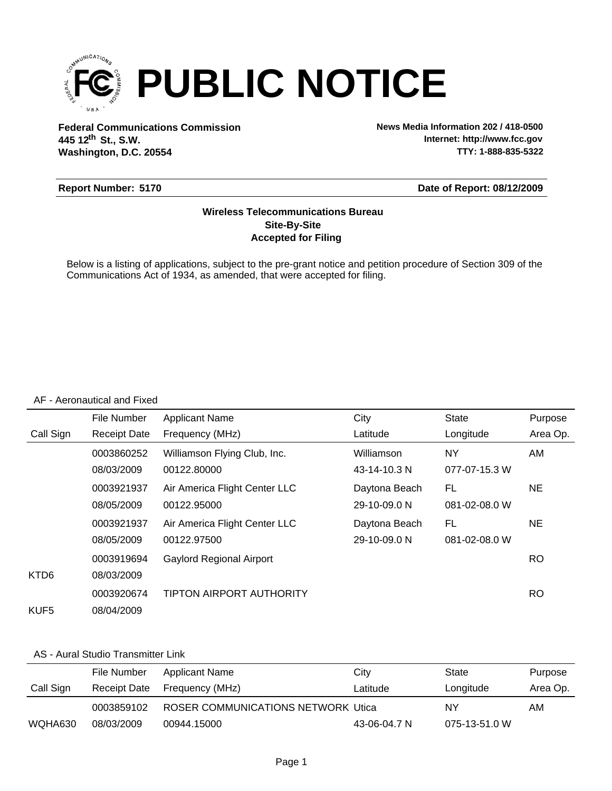

**Federal Communications Commission News Media Information 202 / 418-0500 Washington, D.C. 20554 th 445 12 St., S.W.**

**Internet: http://www.fcc.gov TTY: 1-888-835-5322**

## **Report Number: 5170**

#### **Date of Report: 08/12/2009**

## **Accepted for Filing Site-By-Site Wireless Telecommunications Bureau**

Below is a listing of applications, subject to the pre-grant notice and petition procedure of Section 309 of the Communications Act of 1934, as amended, that were accepted for filing.

#### AF - Aeronautical and Fixed

|                  | File Number         | <b>Applicant Name</b>           | City          | <b>State</b>  | Purpose   |
|------------------|---------------------|---------------------------------|---------------|---------------|-----------|
| Call Sign        | <b>Receipt Date</b> | Frequency (MHz)                 | Latitude      | Longitude     | Area Op.  |
|                  | 0003860252          | Williamson Flying Club, Inc.    | Williamson    | NY.           | AM        |
|                  | 08/03/2009          | 00122.80000                     | 43-14-10.3 N  | 077-07-15.3 W |           |
|                  | 0003921937          | Air America Flight Center LLC   | Daytona Beach | FL            | NE.       |
|                  | 08/05/2009          | 00122.95000                     | 29-10-09.0 N  | 081-02-08.0 W |           |
|                  | 0003921937          | Air America Flight Center LLC   | Daytona Beach | FL            | NE.       |
|                  | 08/05/2009          | 00122.97500                     | 29-10-09.0 N  | 081-02-08.0 W |           |
|                  | 0003919694          | <b>Gaylord Regional Airport</b> |               |               | RO.       |
| KTD <sub>6</sub> | 08/03/2009          |                                 |               |               |           |
|                  | 0003920674          | <b>TIPTON AIRPORT AUTHORITY</b> |               |               | <b>RO</b> |
| KUF <sub>5</sub> | 08/04/2009          |                                 |               |               |           |

#### AS - Aural Studio Transmitter Link

|           | File Number  | Applicant Name                      | City         | State         | Purpose  |
|-----------|--------------|-------------------------------------|--------------|---------------|----------|
| Call Sign | Receipt Date | Frequency (MHz)                     | Latitude     | Longitude     | Area Op. |
|           | 0003859102   | ROSER COMMUNICATIONS NETWORK Utical |              | NY            | AM.      |
| WQHA630   | 08/03/2009   | 00944.15000                         | 43-06-04.7 N | 075-13-51.0 W |          |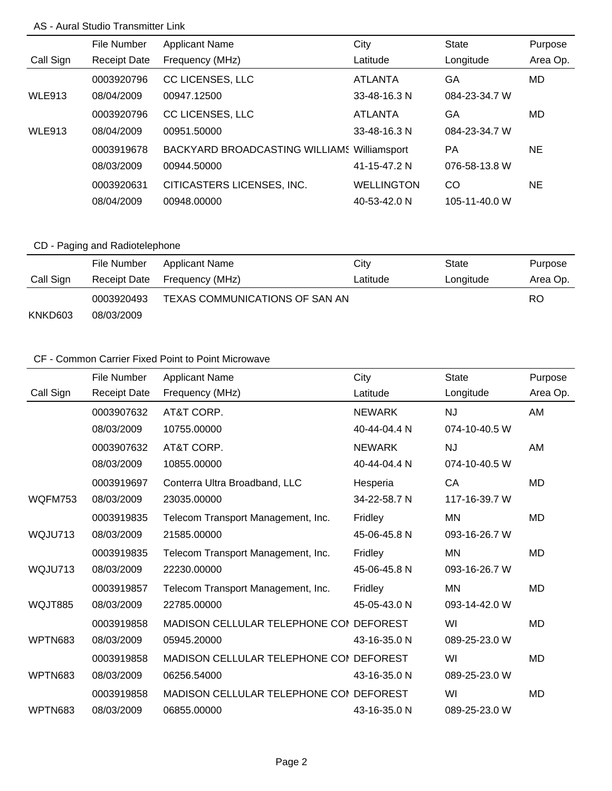## AS - Aural Studio Transmitter Link

|               | File Number         | <b>Applicant Name</b>                              | City              | <b>State</b>  | Purpose   |
|---------------|---------------------|----------------------------------------------------|-------------------|---------------|-----------|
| Call Sign     | <b>Receipt Date</b> | Frequency (MHz)                                    | Latitude          | Longitude     | Area Op.  |
|               | 0003920796          | <b>CC LICENSES, LLC</b>                            | <b>ATLANTA</b>    | GA            | MD.       |
| <b>WLE913</b> | 08/04/2009          | 00947.12500                                        | 33-48-16.3 N      | 084-23-34.7 W |           |
|               | 0003920796          | <b>CC LICENSES, LLC</b>                            | <b>ATLANTA</b>    | GA            | MD.       |
| <b>WLE913</b> | 08/04/2009          | 00951.50000                                        | 33-48-16.3 N      | 084-23-34.7 W |           |
|               | 0003919678          | <b>BACKYARD BROADCASTING WILLIAMS Williamsport</b> |                   | PA            | <b>NE</b> |
|               | 08/03/2009          | 00944.50000                                        | 41-15-47.2 N      | 076-58-13.8 W |           |
|               | 0003920631          | CITICASTERS LICENSES, INC.                         | <b>WELLINGTON</b> | CO            | <b>NE</b> |
|               | 08/04/2009          | 00948.00000                                        | 40-53-42.0 N      | 105-11-40.0 W |           |

# CD - Paging and Radiotelephone

|           | File Number  | <b>Applicant Name</b>          | City     | State     | Purpose  |
|-----------|--------------|--------------------------------|----------|-----------|----------|
| Call Sign | Receipt Date | Frequency (MHz)                | Latitude | Longitude | Area Op. |
|           | 0003920493   | TEXAS COMMUNICATIONS OF SAN AN |          |           | RO.      |
| KNKD603   | 08/03/2009   |                                |          |           |          |

|           | File Number         | <b>Applicant Name</b>                   | City            | <b>State</b>  | Purpose   |
|-----------|---------------------|-----------------------------------------|-----------------|---------------|-----------|
| Call Sign | <b>Receipt Date</b> | Frequency (MHz)                         | Latitude        | Longitude     | Area Op.  |
|           | 0003907632          | AT&T CORP.                              | <b>NEWARK</b>   | <b>NJ</b>     | AM        |
|           | 08/03/2009          | 10755.00000                             | 40-44-04.4 N    | 074-10-40.5 W |           |
|           | 0003907632          | AT&T CORP.                              | <b>NEWARK</b>   | <b>NJ</b>     | AM        |
|           | 08/03/2009          | 10855.00000                             | 40-44-04.4 N    | 074-10-40.5 W |           |
|           | 0003919697          | Conterra Ultra Broadband, LLC           | Hesperia        | CA            | <b>MD</b> |
| WQFM753   | 08/03/2009          | 23035.00000                             | 34-22-58.7 N    | 117-16-39.7 W |           |
|           | 0003919835          | Telecom Transport Management, Inc.      | Fridley         | <b>MN</b>     | <b>MD</b> |
| WQJU713   | 08/03/2009          | 21585.00000                             | 45-06-45.8 N    | 093-16-26.7 W |           |
|           | 0003919835          | Telecom Transport Management, Inc.      | Fridley         | ΜN            | <b>MD</b> |
| WQJU713   | 08/03/2009          | 22230.00000                             | 45-06-45.8 N    | 093-16-26.7 W |           |
|           | 0003919857          | Telecom Transport Management, Inc.      | Fridley         | <b>MN</b>     | <b>MD</b> |
| WQJT885   | 08/03/2009          | 22785.00000                             | 45-05-43.0 N    | 093-14-42.0 W |           |
|           | 0003919858          | <b>MADISON CELLULAR TELEPHONE CON</b>   | <b>DEFOREST</b> | WI            | <b>MD</b> |
| WPTN683   | 08/03/2009          | 05945.20000                             | 43-16-35.0 N    | 089-25-23.0 W |           |
|           | 0003919858          | MADISON CELLULAR TELEPHONE COI DEFOREST |                 | WI            | <b>MD</b> |
| WPTN683   | 08/03/2009          | 06256.54000                             | 43-16-35.0 N    | 089-25-23.0 W |           |
|           | 0003919858          | MADISON CELLULAR TELEPHONE COI DEFOREST |                 | WI            | <b>MD</b> |
| WPTN683   | 08/03/2009          | 06855.00000                             | 43-16-35.0 N    | 089-25-23.0 W |           |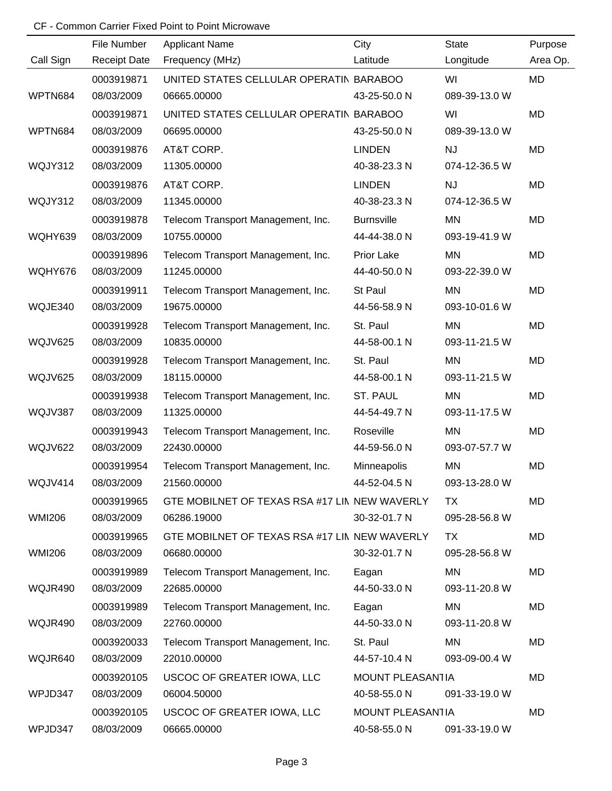|               | File Number         | <b>Applicant Name</b>                         | City              | <b>State</b>  | Purpose   |
|---------------|---------------------|-----------------------------------------------|-------------------|---------------|-----------|
| Call Sign     | <b>Receipt Date</b> | Frequency (MHz)                               | Latitude          | Longitude     | Area Op.  |
|               | 0003919871          | UNITED STATES CELLULAR OPERATIN BARABOO       |                   | WI            | MD        |
| WPTN684       | 08/03/2009          | 06665.00000                                   | 43-25-50.0 N      | 089-39-13.0 W |           |
|               | 0003919871          | UNITED STATES CELLULAR OPERATIN BARABOO       |                   | WI            | <b>MD</b> |
| WPTN684       | 08/03/2009          | 06695.00000                                   | 43-25-50.0 N      | 089-39-13.0 W |           |
|               | 0003919876          | AT&T CORP.                                    | <b>LINDEN</b>     | <b>NJ</b>     | MD        |
| WQJY312       | 08/03/2009          | 11305.00000                                   | 40-38-23.3 N      | 074-12-36.5 W |           |
|               | 0003919876          | AT&T CORP.                                    | <b>LINDEN</b>     | <b>NJ</b>     | MD        |
| WQJY312       | 08/03/2009          | 11345.00000                                   | 40-38-23.3 N      | 074-12-36.5 W |           |
|               | 0003919878          | Telecom Transport Management, Inc.            | <b>Burnsville</b> | <b>MN</b>     | MD        |
| WQHY639       | 08/03/2009          | 10755.00000                                   | 44-44-38.0 N      | 093-19-41.9 W |           |
|               | 0003919896          | Telecom Transport Management, Inc.            | Prior Lake        | <b>MN</b>     | <b>MD</b> |
| WQHY676       | 08/03/2009          | 11245.00000                                   | 44-40-50.0 N      | 093-22-39.0 W |           |
|               | 0003919911          | Telecom Transport Management, Inc.            | St Paul           | <b>MN</b>     | MD        |
| WQJE340       | 08/03/2009          | 19675.00000                                   | 44-56-58.9 N      | 093-10-01.6 W |           |
|               | 0003919928          | Telecom Transport Management, Inc.            | St. Paul          | ΜN            | MD        |
| WQJV625       | 08/03/2009          | 10835.00000                                   | 44-58-00.1 N      | 093-11-21.5 W |           |
|               | 0003919928          | Telecom Transport Management, Inc.            | St. Paul          | <b>MN</b>     | MD        |
| WQJV625       | 08/03/2009          | 18115.00000                                   | 44-58-00.1 N      | 093-11-21.5 W |           |
|               | 0003919938          | Telecom Transport Management, Inc.            | ST. PAUL          | <b>MN</b>     | MD        |
| WQJV387       | 08/03/2009          | 11325.00000                                   | 44-54-49.7 N      | 093-11-17.5 W |           |
|               | 0003919943          | Telecom Transport Management, Inc.            | Roseville         | <b>MN</b>     | MD        |
| WQJV622       | 08/03/2009          | 22430.00000                                   | 44-59-56.0 N      | 093-07-57.7 W |           |
|               | 0003919954          | Telecom Transport Management, Inc.            | Minneapolis       | MN            | MD        |
| WQJV414       | 08/03/2009          | 21560.00000                                   | 44-52-04.5 N      | 093-13-28.0 W |           |
|               | 0003919965          | GTE MOBILNET OF TEXAS RSA #17 LIN NEW WAVERLY |                   | TX            | MD        |
| <b>WMI206</b> | 08/03/2009          | 06286.19000                                   | 30-32-01.7 N      | 095-28-56.8 W |           |
|               | 0003919965          | GTE MOBILNET OF TEXAS RSA #17 LIN NEW WAVERLY |                   | <b>TX</b>     | MD        |
| <b>WMI206</b> | 08/03/2009          | 06680.00000                                   | 30-32-01.7 N      | 095-28-56.8 W |           |
|               | 0003919989          | Telecom Transport Management, Inc.            | Eagan             | MN            | MD        |
| WQJR490       | 08/03/2009          | 22685.00000                                   | 44-50-33.0 N      | 093-11-20.8 W |           |
|               | 0003919989          | Telecom Transport Management, Inc.            | Eagan             | MN            | MD        |
| WQJR490       | 08/03/2009          | 22760.00000                                   | 44-50-33.0 N      | 093-11-20.8 W |           |
|               | 0003920033          | Telecom Transport Management, Inc.            | St. Paul          | <b>MN</b>     | MD        |
| WQJR640       | 08/03/2009          | 22010.00000                                   | 44-57-10.4 N      | 093-09-00.4 W |           |
|               | 0003920105          | USCOC OF GREATER IOWA, LLC                    | MOUNT PLEASAN1IA  |               | MD        |
| WPJD347       | 08/03/2009          | 06004.50000                                   | 40-58-55.0 N      | 091-33-19.0 W |           |
|               | 0003920105          | USCOC OF GREATER IOWA, LLC                    | MOUNT PLEASAN1IA  |               | MD        |
| WPJD347       | 08/03/2009          | 06665.00000                                   | 40-58-55.0 N      | 091-33-19.0 W |           |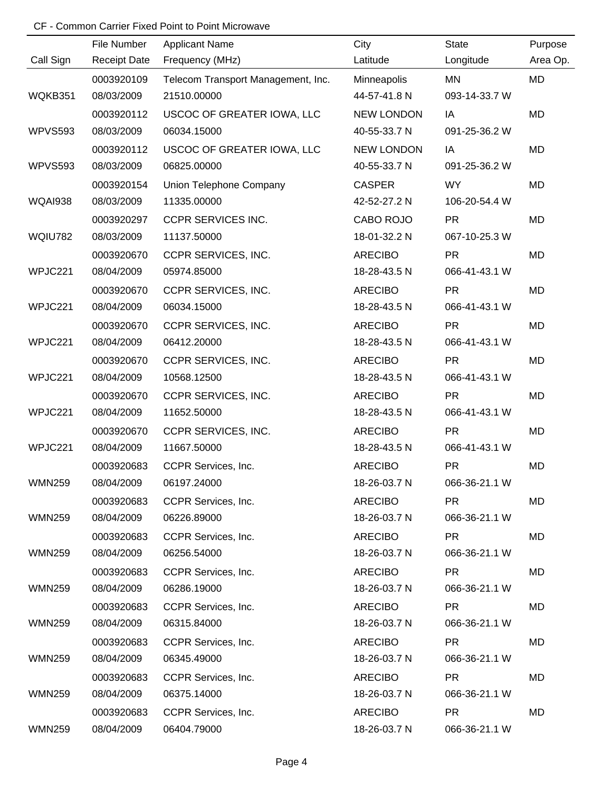|                | File Number         | <b>Applicant Name</b>              | City              | <b>State</b>  | Purpose   |
|----------------|---------------------|------------------------------------|-------------------|---------------|-----------|
| Call Sign      | <b>Receipt Date</b> | Frequency (MHz)                    | Latitude          | Longitude     | Area Op.  |
|                | 0003920109          | Telecom Transport Management, Inc. | Minneapolis       | MN            | MD        |
| WQKB351        | 08/03/2009          | 21510.00000                        | 44-57-41.8 N      | 093-14-33.7 W |           |
|                | 0003920112          | USCOC OF GREATER IOWA, LLC         | <b>NEW LONDON</b> | IA            | MD        |
| <b>WPVS593</b> | 08/03/2009          | 06034.15000                        | 40-55-33.7 N      | 091-25-36.2 W |           |
|                | 0003920112          | USCOC OF GREATER IOWA, LLC         | <b>NEW LONDON</b> | IA            | <b>MD</b> |
| WPVS593        | 08/03/2009          | 06825.00000                        | 40-55-33.7 N      | 091-25-36.2 W |           |
|                | 0003920154          | Union Telephone Company            | <b>CASPER</b>     | <b>WY</b>     | <b>MD</b> |
| <b>WQAI938</b> | 08/03/2009          | 11335.00000                        | 42-52-27.2 N      | 106-20-54.4 W |           |
|                | 0003920297          | <b>CCPR SERVICES INC.</b>          | CABO ROJO         | <b>PR</b>     | MD        |
| <b>WQIU782</b> | 08/03/2009          | 11137.50000                        | 18-01-32.2 N      | 067-10-25.3 W |           |
|                | 0003920670          | CCPR SERVICES, INC.                | <b>ARECIBO</b>    | <b>PR</b>     | <b>MD</b> |
| WPJC221        | 08/04/2009          | 05974.85000                        | 18-28-43.5 N      | 066-41-43.1 W |           |
|                | 0003920670          | CCPR SERVICES, INC.                | <b>ARECIBO</b>    | <b>PR</b>     | <b>MD</b> |
| WPJC221        | 08/04/2009          | 06034.15000                        | 18-28-43.5 N      | 066-41-43.1 W |           |
|                | 0003920670          | CCPR SERVICES, INC.                | <b>ARECIBO</b>    | <b>PR</b>     | <b>MD</b> |
| WPJC221        | 08/04/2009          | 06412.20000                        | 18-28-43.5 N      | 066-41-43.1 W |           |
|                | 0003920670          | CCPR SERVICES, INC.                | <b>ARECIBO</b>    | <b>PR</b>     | MD        |
| WPJC221        | 08/04/2009          | 10568.12500                        | 18-28-43.5 N      | 066-41-43.1 W |           |
|                | 0003920670          | CCPR SERVICES, INC.                | <b>ARECIBO</b>    | <b>PR</b>     | <b>MD</b> |
| WPJC221        | 08/04/2009          | 11652.50000                        | 18-28-43.5 N      | 066-41-43.1 W |           |
|                | 0003920670          | CCPR SERVICES, INC.                | <b>ARECIBO</b>    | <b>PR</b>     | <b>MD</b> |
| WPJC221        | 08/04/2009          | 11667.50000                        | 18-28-43.5 N      | 066-41-43.1 W |           |
|                | 0003920683          | CCPR Services, Inc.                | <b>ARECIBO</b>    | <b>PR</b>     | <b>MD</b> |
| WMN259         | 08/04/2009          | 06197.24000                        | 18-26-03.7 N      | 066-36-21.1 W |           |
|                | 0003920683          | CCPR Services, Inc.                | <b>ARECIBO</b>    | <b>PR</b>     | MD        |
| <b>WMN259</b>  | 08/04/2009          | 06226.89000                        | 18-26-03.7 N      | 066-36-21.1 W |           |
|                | 0003920683          | CCPR Services, Inc.                | <b>ARECIBO</b>    | <b>PR</b>     | MD        |
| <b>WMN259</b>  | 08/04/2009          | 06256.54000                        | 18-26-03.7 N      | 066-36-21.1 W |           |
|                | 0003920683          | CCPR Services, Inc.                | <b>ARECIBO</b>    | PR.           | MD        |
| <b>WMN259</b>  | 08/04/2009          | 06286.19000                        | 18-26-03.7 N      | 066-36-21.1 W |           |
|                | 0003920683          | CCPR Services, Inc.                | <b>ARECIBO</b>    | <b>PR</b>     | MD        |
| <b>WMN259</b>  | 08/04/2009          | 06315.84000                        | 18-26-03.7 N      | 066-36-21.1 W |           |
|                | 0003920683          | CCPR Services, Inc.                | <b>ARECIBO</b>    | <b>PR</b>     | MD        |
| <b>WMN259</b>  | 08/04/2009          | 06345.49000                        | 18-26-03.7 N      | 066-36-21.1 W |           |
|                | 0003920683          | CCPR Services, Inc.                | <b>ARECIBO</b>    | <b>PR</b>     | MD        |
| <b>WMN259</b>  | 08/04/2009          | 06375.14000                        | 18-26-03.7 N      | 066-36-21.1 W |           |
|                | 0003920683          | CCPR Services, Inc.                | <b>ARECIBO</b>    | <b>PR</b>     | MD        |
| <b>WMN259</b>  | 08/04/2009          | 06404.79000                        | 18-26-03.7 N      | 066-36-21.1 W |           |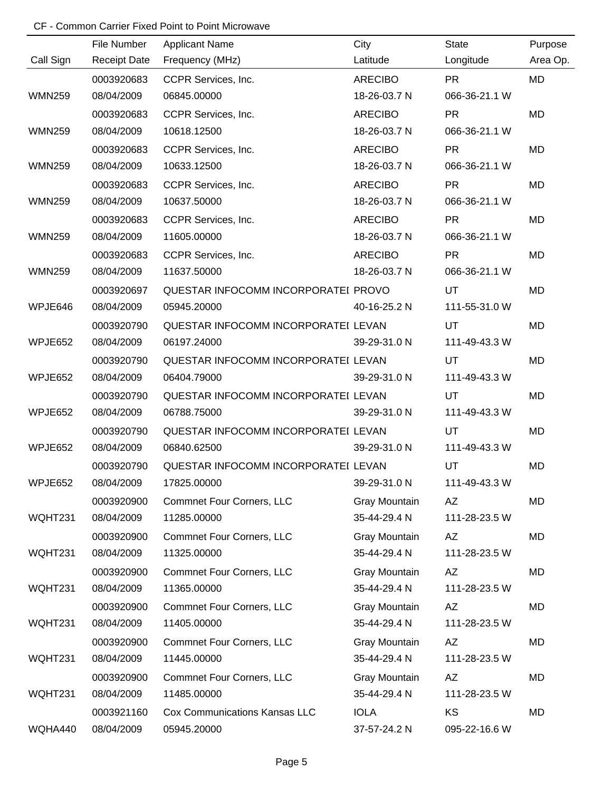|               | File Number         | <b>Applicant Name</b>                | City           | <b>State</b>  | Purpose   |
|---------------|---------------------|--------------------------------------|----------------|---------------|-----------|
| Call Sign     | <b>Receipt Date</b> | Frequency (MHz)                      | Latitude       | Longitude     | Area Op.  |
|               | 0003920683          | CCPR Services, Inc.                  | ARECIBO        | <b>PR</b>     | <b>MD</b> |
| <b>WMN259</b> | 08/04/2009          | 06845.00000                          | 18-26-03.7 N   | 066-36-21.1 W |           |
|               | 0003920683          | CCPR Services, Inc.                  | <b>ARECIBO</b> | <b>PR</b>     | MD        |
| <b>WMN259</b> | 08/04/2009          | 10618.12500                          | 18-26-03.7 N   | 066-36-21.1 W |           |
|               | 0003920683          | CCPR Services, Inc.                  | <b>ARECIBO</b> | <b>PR</b>     | <b>MD</b> |
| <b>WMN259</b> | 08/04/2009          | 10633.12500                          | 18-26-03.7 N   | 066-36-21.1 W |           |
|               | 0003920683          | CCPR Services, Inc.                  | <b>ARECIBO</b> | <b>PR</b>     | <b>MD</b> |
| <b>WMN259</b> | 08/04/2009          | 10637.50000                          | 18-26-03.7 N   | 066-36-21.1 W |           |
|               | 0003920683          | CCPR Services, Inc.                  | <b>ARECIBO</b> | <b>PR</b>     | <b>MD</b> |
| <b>WMN259</b> | 08/04/2009          | 11605.00000                          | 18-26-03.7 N   | 066-36-21.1 W |           |
|               | 0003920683          | CCPR Services, Inc.                  | <b>ARECIBO</b> | <b>PR</b>     | <b>MD</b> |
| <b>WMN259</b> | 08/04/2009          | 11637.50000                          | 18-26-03.7 N   | 066-36-21.1 W |           |
|               | 0003920697          | QUESTAR INFOCOMM INCORPORATEI PROVO  |                | <b>UT</b>     | <b>MD</b> |
| WPJE646       | 08/04/2009          | 05945.20000                          | 40-16-25.2 N   | 111-55-31.0 W |           |
|               | 0003920790          | QUESTAR INFOCOMM INCORPORATEI LEVAN  |                | <b>UT</b>     | <b>MD</b> |
| WPJE652       | 08/04/2009          | 06197.24000                          | 39-29-31.0 N   | 111-49-43.3 W |           |
|               | 0003920790          | QUESTAR INFOCOMM INCORPORATEI LEVAN  |                | UT            | <b>MD</b> |
| WPJE652       | 08/04/2009          | 06404.79000                          | 39-29-31.0 N   | 111-49-43.3 W |           |
|               | 0003920790          | QUESTAR INFOCOMM INCORPORATEI LEVAN  |                | UT            | <b>MD</b> |
| WPJE652       | 08/04/2009          | 06788.75000                          | 39-29-31.0 N   | 111-49-43.3 W |           |
|               | 0003920790          | QUESTAR INFOCOMM INCORPORATEI LEVAN  |                | UT            | <b>MD</b> |
| WPJE652       | 08/04/2009          | 06840.62500                          | 39-29-31.0 N   | 111-49-43.3 W |           |
|               | 0003920790          | QUESTAR INFOCOMM INCORPORATEI LEVAN  |                | UT            | <b>MD</b> |
| WPJE652       | 08/04/2009          | 17825.00000                          | 39-29-31.0 N   | 111-49-43.3 W |           |
|               | 0003920900          | <b>Commnet Four Corners, LLC</b>     | Gray Mountain  | AZ            | MD        |
| WQHT231       | 08/04/2009          | 11285.00000                          | 35-44-29.4 N   | 111-28-23.5 W |           |
|               | 0003920900          | <b>Commnet Four Corners, LLC</b>     | Gray Mountain  | AZ            | MD        |
| WQHT231       | 08/04/2009          | 11325.00000                          | 35-44-29.4 N   | 111-28-23.5 W |           |
|               | 0003920900          | <b>Commnet Four Corners, LLC</b>     | Gray Mountain  | AZ            | MD        |
| WQHT231       | 08/04/2009          | 11365.00000                          | 35-44-29.4 N   | 111-28-23.5 W |           |
|               | 0003920900          | <b>Commnet Four Corners, LLC</b>     | Gray Mountain  | AZ            | MD        |
| WQHT231       | 08/04/2009          | 11405.00000                          | 35-44-29.4 N   | 111-28-23.5 W |           |
|               | 0003920900          | <b>Commnet Four Corners, LLC</b>     | Gray Mountain  | AZ            | MD        |
| WQHT231       | 08/04/2009          | 11445.00000                          | 35-44-29.4 N   | 111-28-23.5 W |           |
|               | 0003920900          | <b>Commnet Four Corners, LLC</b>     | Gray Mountain  | AZ            | MD        |
| WQHT231       | 08/04/2009          | 11485.00000                          | 35-44-29.4 N   | 111-28-23.5 W |           |
|               | 0003921160          | <b>Cox Communications Kansas LLC</b> | <b>IOLA</b>    | KS            | MD        |
| WQHA440       | 08/04/2009          | 05945.20000                          | 37-57-24.2 N   | 095-22-16.6 W |           |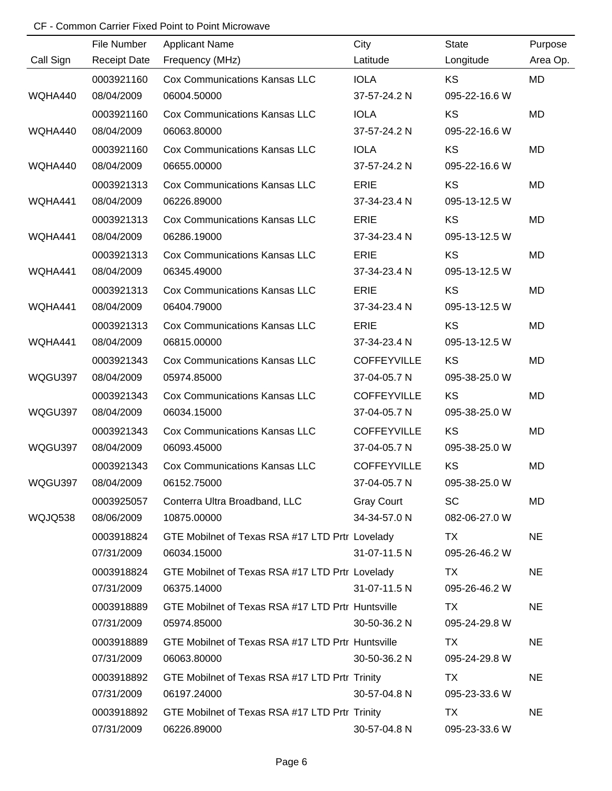|           | File Number         | <b>Applicant Name</b>                             | City               | <b>State</b>  | Purpose   |
|-----------|---------------------|---------------------------------------------------|--------------------|---------------|-----------|
| Call Sign | <b>Receipt Date</b> | Frequency (MHz)                                   | Latitude           | Longitude     | Area Op.  |
|           | 0003921160          | <b>Cox Communications Kansas LLC</b>              | <b>IOLA</b>        | <b>KS</b>     | <b>MD</b> |
| WQHA440   | 08/04/2009          | 06004.50000                                       | 37-57-24.2 N       | 095-22-16.6 W |           |
|           | 0003921160          | <b>Cox Communications Kansas LLC</b>              | <b>IOLA</b>        | KS            | <b>MD</b> |
| WQHA440   | 08/04/2009          | 06063.80000                                       | 37-57-24.2 N       | 095-22-16.6 W |           |
|           | 0003921160          | <b>Cox Communications Kansas LLC</b>              | <b>IOLA</b>        | KS            | <b>MD</b> |
| WQHA440   | 08/04/2009          | 06655.00000                                       | 37-57-24.2 N       | 095-22-16.6 W |           |
|           | 0003921313          | <b>Cox Communications Kansas LLC</b>              | <b>ERIE</b>        | KS            | MD        |
| WQHA441   | 08/04/2009          | 06226.89000                                       | 37-34-23.4 N       | 095-13-12.5 W |           |
|           | 0003921313          | <b>Cox Communications Kansas LLC</b>              | <b>ERIE</b>        | KS            | <b>MD</b> |
| WQHA441   | 08/04/2009          | 06286.19000                                       | 37-34-23.4 N       | 095-13-12.5 W |           |
|           | 0003921313          | <b>Cox Communications Kansas LLC</b>              | <b>ERIE</b>        | KS            | MD        |
| WQHA441   | 08/04/2009          | 06345.49000                                       | 37-34-23.4 N       | 095-13-12.5 W |           |
|           | 0003921313          | <b>Cox Communications Kansas LLC</b>              | <b>ERIE</b>        | KS            | MD        |
| WQHA441   | 08/04/2009          | 06404.79000                                       | 37-34-23.4 N       | 095-13-12.5 W |           |
|           | 0003921313          | <b>Cox Communications Kansas LLC</b>              | <b>ERIE</b>        | KS            | <b>MD</b> |
| WQHA441   | 08/04/2009          | 06815.00000                                       | 37-34-23.4 N       | 095-13-12.5 W |           |
|           | 0003921343          | <b>Cox Communications Kansas LLC</b>              | <b>COFFEYVILLE</b> | KS            | <b>MD</b> |
| WQGU397   | 08/04/2009          | 05974.85000                                       | 37-04-05.7 N       | 095-38-25.0 W |           |
|           | 0003921343          | <b>Cox Communications Kansas LLC</b>              | <b>COFFEYVILLE</b> | KS            | MD        |
| WQGU397   | 08/04/2009          | 06034.15000                                       | 37-04-05.7 N       | 095-38-25.0 W |           |
|           | 0003921343          | <b>Cox Communications Kansas LLC</b>              | <b>COFFEYVILLE</b> | KS            | <b>MD</b> |
| WQGU397   | 08/04/2009          | 06093.45000                                       | 37-04-05.7 N       | 095-38-25.0 W |           |
|           | 0003921343          | <b>Cox Communications Kansas LLC</b>              | <b>COFFEYVILLE</b> | KS            | MD        |
| WQGU397   | 08/04/2009          | 06152.75000                                       | 37-04-05.7 N       | 095-38-25.0 W |           |
|           | 0003925057          | Conterra Ultra Broadband, LLC                     | <b>Gray Court</b>  | <b>SC</b>     | MD        |
| WQJQ538   | 08/06/2009          | 10875.00000                                       | 34-34-57.0 N       | 082-06-27.0 W |           |
|           | 0003918824          | GTE Mobilnet of Texas RSA #17 LTD Prtr Lovelady   |                    | TX            | <b>NE</b> |
|           | 07/31/2009          | 06034.15000                                       | 31-07-11.5 N       | 095-26-46.2 W |           |
|           | 0003918824          | GTE Mobilnet of Texas RSA #17 LTD Prtr Lovelady   |                    | TX            | <b>NE</b> |
|           | 07/31/2009          | 06375.14000                                       | 31-07-11.5 N       | 095-26-46.2 W |           |
|           | 0003918889          | GTE Mobilnet of Texas RSA #17 LTD Prtr Huntsville |                    | TX            | <b>NE</b> |
|           | 07/31/2009          | 05974.85000                                       | 30-50-36.2 N       | 095-24-29.8 W |           |
|           | 0003918889          | GTE Mobilnet of Texas RSA #17 LTD Prtr Huntsville |                    | TX            | <b>NE</b> |
|           | 07/31/2009          | 06063.80000                                       | 30-50-36.2 N       | 095-24-29.8 W |           |
|           | 0003918892          | GTE Mobilnet of Texas RSA #17 LTD Prtr Trinity    |                    | TX            | <b>NE</b> |
|           | 07/31/2009          | 06197.24000                                       | 30-57-04.8 N       | 095-23-33.6 W |           |
|           | 0003918892          | GTE Mobilnet of Texas RSA #17 LTD Prtr Trinity    |                    | TX            | <b>NE</b> |
|           | 07/31/2009          | 06226.89000                                       | 30-57-04.8 N       | 095-23-33.6 W |           |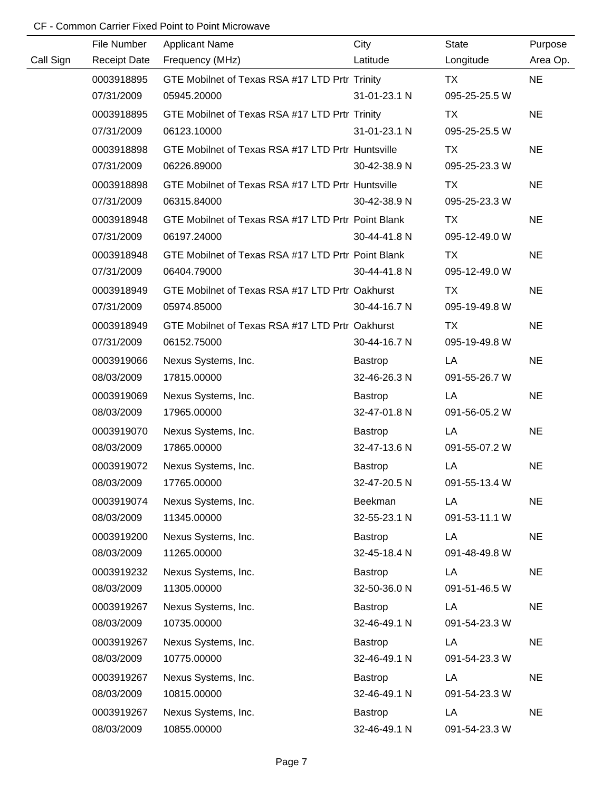|           | File Number         | <b>Applicant Name</b>                              | City         | <b>State</b>  | Purpose   |
|-----------|---------------------|----------------------------------------------------|--------------|---------------|-----------|
| Call Sign | <b>Receipt Date</b> | Frequency (MHz)                                    | Latitude     | Longitude     | Area Op.  |
|           | 0003918895          | GTE Mobilnet of Texas RSA #17 LTD Prtr Trinity     |              | TX            | <b>NE</b> |
|           | 07/31/2009          | 05945.20000                                        | 31-01-23.1 N | 095-25-25.5 W |           |
|           | 0003918895          | GTE Mobilnet of Texas RSA #17 LTD Prtr Trinity     |              | TX            | <b>NE</b> |
|           | 07/31/2009          | 06123.10000                                        | 31-01-23.1 N | 095-25-25.5 W |           |
|           | 0003918898          | GTE Mobilnet of Texas RSA #17 LTD Prtr Huntsville  |              | TX            | <b>NE</b> |
|           | 07/31/2009          | 06226.89000                                        | 30-42-38.9 N | 095-25-23.3 W |           |
|           | 0003918898          | GTE Mobilnet of Texas RSA #17 LTD Prtr Huntsville  |              | TX            | <b>NE</b> |
|           | 07/31/2009          | 06315.84000                                        | 30-42-38.9 N | 095-25-23.3 W |           |
|           | 0003918948          | GTE Mobilnet of Texas RSA #17 LTD Prtr Point Blank |              | <b>TX</b>     | <b>NE</b> |
|           | 07/31/2009          | 06197.24000                                        | 30-44-41.8 N | 095-12-49.0 W |           |
|           | 0003918948          | GTE Mobilnet of Texas RSA #17 LTD Prtr Point Blank |              | TX            | <b>NE</b> |
|           | 07/31/2009          | 06404.79000                                        | 30-44-41.8 N | 095-12-49.0 W |           |
|           | 0003918949          | GTE Mobilnet of Texas RSA #17 LTD Prtr Oakhurst    |              | TX            | <b>NE</b> |
|           | 07/31/2009          | 05974.85000                                        | 30-44-16.7 N | 095-19-49.8 W |           |
|           | 0003918949          | GTE Mobilnet of Texas RSA #17 LTD Prtr Oakhurst    |              | TX            | <b>NE</b> |
|           | 07/31/2009          | 06152.75000                                        | 30-44-16.7 N | 095-19-49.8 W |           |
|           | 0003919066          | Nexus Systems, Inc.                                | Bastrop      | LA            | <b>NE</b> |
|           | 08/03/2009          | 17815.00000                                        | 32-46-26.3 N | 091-55-26.7 W |           |
|           | 0003919069          | Nexus Systems, Inc.                                | Bastrop      | LA            | <b>NE</b> |
|           | 08/03/2009          | 17965.00000                                        | 32-47-01.8 N | 091-56-05.2 W |           |
|           | 0003919070          | Nexus Systems, Inc.                                | Bastrop      | LA            | <b>NE</b> |
|           | 08/03/2009          | 17865.00000                                        | 32-47-13.6 N | 091-55-07.2 W |           |
|           | 0003919072          | Nexus Systems, Inc.                                | Bastrop      | LA            | <b>NE</b> |
|           | 08/03/2009          | 17765.00000                                        | 32-47-20.5 N | 091-55-13.4 W |           |
|           | 0003919074          | Nexus Systems, Inc.                                | Beekman      | LA            | <b>NE</b> |
|           | 08/03/2009          | 11345.00000                                        | 32-55-23.1 N | 091-53-11.1 W |           |
|           | 0003919200          | Nexus Systems, Inc.                                | Bastrop      | LA            | <b>NE</b> |
|           | 08/03/2009          | 11265.00000                                        | 32-45-18.4 N | 091-48-49.8 W |           |
|           | 0003919232          | Nexus Systems, Inc.                                | Bastrop      | LA            | <b>NE</b> |
|           | 08/03/2009          | 11305.00000                                        | 32-50-36.0 N | 091-51-46.5 W |           |
|           | 0003919267          | Nexus Systems, Inc.                                | Bastrop      | LA            | <b>NE</b> |
|           | 08/03/2009          | 10735.00000                                        | 32-46-49.1 N | 091-54-23.3 W |           |
|           | 0003919267          | Nexus Systems, Inc.                                | Bastrop      | LA            | <b>NE</b> |
|           | 08/03/2009          | 10775.00000                                        | 32-46-49.1 N | 091-54-23.3 W |           |
|           | 0003919267          | Nexus Systems, Inc.                                | Bastrop      | LA            | <b>NE</b> |
|           | 08/03/2009          | 10815.00000                                        | 32-46-49.1 N | 091-54-23.3 W |           |
|           | 0003919267          | Nexus Systems, Inc.                                | Bastrop      | LA            | <b>NE</b> |
|           | 08/03/2009          | 10855.00000                                        | 32-46-49.1 N | 091-54-23.3 W |           |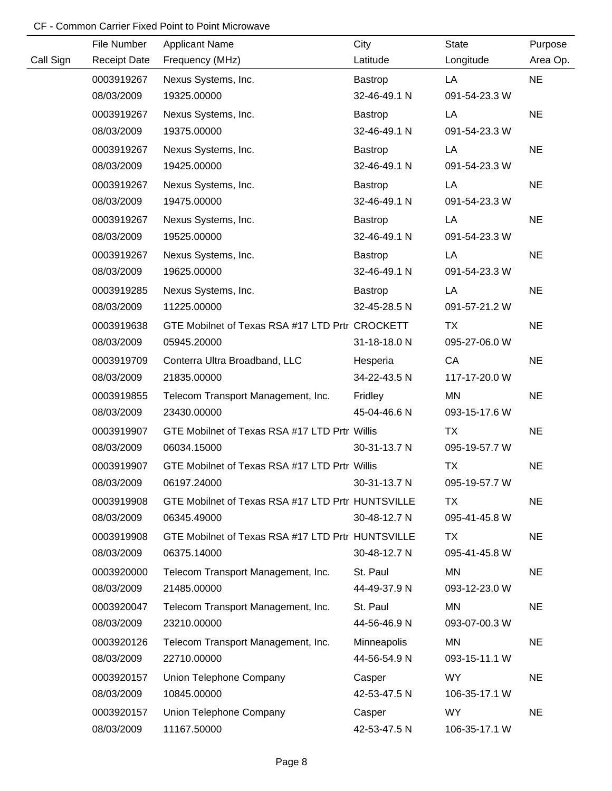|           | File Number         | <b>Applicant Name</b>                             | City           | <b>State</b>  | Purpose   |
|-----------|---------------------|---------------------------------------------------|----------------|---------------|-----------|
| Call Sign | <b>Receipt Date</b> | Frequency (MHz)                                   | Latitude       | Longitude     | Area Op.  |
|           | 0003919267          | Nexus Systems, Inc.                               | Bastrop        | LA            | <b>NE</b> |
|           | 08/03/2009          | 19325.00000                                       | 32-46-49.1 N   | 091-54-23.3 W |           |
|           | 0003919267          | Nexus Systems, Inc.                               | Bastrop        | LA            | <b>NE</b> |
|           | 08/03/2009          | 19375.00000                                       | 32-46-49.1 N   | 091-54-23.3 W |           |
|           | 0003919267          | Nexus Systems, Inc.                               | Bastrop        | LA            | <b>NE</b> |
|           | 08/03/2009          | 19425.00000                                       | 32-46-49.1 N   | 091-54-23.3 W |           |
|           | 0003919267          | Nexus Systems, Inc.                               | Bastrop        | LA            | <b>NE</b> |
|           | 08/03/2009          | 19475.00000                                       | 32-46-49.1 N   | 091-54-23.3 W |           |
|           | 0003919267          | Nexus Systems, Inc.                               | <b>Bastrop</b> | LA            | <b>NE</b> |
|           | 08/03/2009          | 19525.00000                                       | 32-46-49.1 N   | 091-54-23.3 W |           |
|           | 0003919267          | Nexus Systems, Inc.                               | Bastrop        | LA            | <b>NE</b> |
|           | 08/03/2009          | 19625.00000                                       | 32-46-49.1 N   | 091-54-23.3 W |           |
|           | 0003919285          | Nexus Systems, Inc.                               | <b>Bastrop</b> | LA            | <b>NE</b> |
|           | 08/03/2009          | 11225.00000                                       | 32-45-28.5 N   | 091-57-21.2 W |           |
|           | 0003919638          | GTE Mobilnet of Texas RSA #17 LTD Prtr CROCKETT   |                | TX            | <b>NE</b> |
|           | 08/03/2009          | 05945.20000                                       | 31-18-18.0 N   | 095-27-06.0 W |           |
|           | 0003919709          | Conterra Ultra Broadband, LLC                     | Hesperia       | CA            | <b>NE</b> |
|           | 08/03/2009          | 21835.00000                                       | 34-22-43.5 N   | 117-17-20.0 W |           |
|           | 0003919855          | Telecom Transport Management, Inc.                | Fridley        | <b>MN</b>     | <b>NE</b> |
|           | 08/03/2009          | 23430.00000                                       | 45-04-46.6 N   | 093-15-17.6 W |           |
|           | 0003919907          | GTE Mobilnet of Texas RSA #17 LTD Prtr Willis     |                | TX            | <b>NE</b> |
|           | 08/03/2009          | 06034.15000                                       | 30-31-13.7 N   | 095-19-57.7 W |           |
|           | 0003919907          | GTE Mobilnet of Texas RSA #17 LTD Prtr Willis     |                | <b>TX</b>     | <b>NE</b> |
|           | 08/03/2009          | 06197.24000                                       | 30-31-13.7 N   | 095-19-57.7 W |           |
|           | 0003919908          | GTE Mobilnet of Texas RSA #17 LTD Prtr HUNTSVILLE |                | <b>TX</b>     | <b>NE</b> |
|           | 08/03/2009          | 06345.49000                                       | 30-48-12.7 N   | 095-41-45.8 W |           |
|           | 0003919908          | GTE Mobilnet of Texas RSA #17 LTD Prtr HUNTSVILLE |                | <b>TX</b>     | <b>NE</b> |
|           | 08/03/2009          | 06375.14000                                       | 30-48-12.7 N   | 095-41-45.8 W |           |
|           | 0003920000          | Telecom Transport Management, Inc.                | St. Paul       | <b>MN</b>     | <b>NE</b> |
|           | 08/03/2009          | 21485.00000                                       | 44-49-37.9 N   | 093-12-23.0 W |           |
|           | 0003920047          | Telecom Transport Management, Inc.                | St. Paul       | MN            | <b>NE</b> |
|           | 08/03/2009          | 23210.00000                                       | 44-56-46.9 N   | 093-07-00.3 W |           |
|           | 0003920126          | Telecom Transport Management, Inc.                | Minneapolis    | ΜN            | <b>NE</b> |
|           | 08/03/2009          | 22710.00000                                       | 44-56-54.9 N   | 093-15-11.1 W |           |
|           | 0003920157          | Union Telephone Company                           | Casper         | <b>WY</b>     | <b>NE</b> |
|           | 08/03/2009          | 10845.00000                                       | 42-53-47.5 N   | 106-35-17.1 W |           |
|           | 0003920157          | Union Telephone Company                           | Casper         | <b>WY</b>     | <b>NE</b> |
|           | 08/03/2009          | 11167.50000                                       | 42-53-47.5 N   | 106-35-17.1 W |           |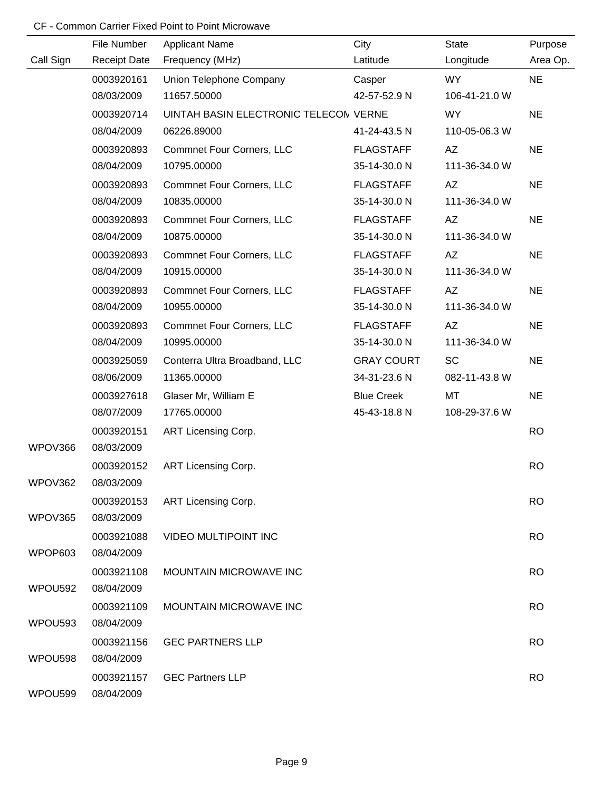|           | File Number         | <b>Applicant Name</b>                 | City              | <b>State</b>  | Purpose   |
|-----------|---------------------|---------------------------------------|-------------------|---------------|-----------|
| Call Sign | <b>Receipt Date</b> | Frequency (MHz)                       | Latitude          | Longitude     | Area Op.  |
|           | 0003920161          | Union Telephone Company               | Casper            | WY            | <b>NE</b> |
|           | 08/03/2009          | 11657.50000                           | 42-57-52.9 N      | 106-41-21.0 W |           |
|           | 0003920714          | UINTAH BASIN ELECTRONIC TELECON VERNE |                   | WY.           | <b>NE</b> |
|           | 08/04/2009          | 06226.89000                           | 41-24-43.5 N      | 110-05-06.3 W |           |
|           | 0003920893          | <b>Commnet Four Corners, LLC</b>      | <b>FLAGSTAFF</b>  | AZ            | <b>NE</b> |
|           | 08/04/2009          | 10795.00000                           | 35-14-30.0 N      | 111-36-34.0 W |           |
|           | 0003920893          | <b>Commnet Four Corners, LLC</b>      | <b>FLAGSTAFF</b>  | AZ            | <b>NE</b> |
|           | 08/04/2009          | 10835.00000                           | 35-14-30.0 N      | 111-36-34.0 W |           |
|           | 0003920893          | <b>Commnet Four Corners, LLC</b>      | <b>FLAGSTAFF</b>  | AZ            | <b>NE</b> |
|           | 08/04/2009          | 10875.00000                           | 35-14-30.0 N      | 111-36-34.0 W |           |
|           | 0003920893          | <b>Commnet Four Corners, LLC</b>      | <b>FLAGSTAFF</b>  | AZ            | <b>NE</b> |
|           | 08/04/2009          | 10915.00000                           | 35-14-30.0 N      | 111-36-34.0 W |           |
|           | 0003920893          | <b>Commnet Four Corners, LLC</b>      | <b>FLAGSTAFF</b>  | AZ            | <b>NE</b> |
|           | 08/04/2009          | 10955.00000                           | 35-14-30.0 N      | 111-36-34.0 W |           |
|           | 0003920893          | <b>Commnet Four Corners, LLC</b>      | <b>FLAGSTAFF</b>  | AZ            | <b>NE</b> |
|           | 08/04/2009          | 10995.00000                           | 35-14-30.0 N      | 111-36-34.0 W |           |
|           | 0003925059          | Conterra Ultra Broadband, LLC         | <b>GRAY COURT</b> | SC            | <b>NE</b> |
|           | 08/06/2009          | 11365.00000                           | 34-31-23.6 N      | 082-11-43.8 W |           |
|           | 0003927618          | Glaser Mr, William E                  | <b>Blue Creek</b> | MT            | <b>NE</b> |
|           | 08/07/2009          | 17765.00000                           | 45-43-18.8 N      | 108-29-37.6 W |           |
|           | 0003920151          | ART Licensing Corp.                   |                   |               | <b>RO</b> |
| WPOV366   | 08/03/2009          |                                       |                   |               |           |
|           | 0003920152          | ART Licensing Corp.                   |                   |               | <b>RO</b> |
| WPOV362   | 08/03/2009          |                                       |                   |               |           |
|           | 0003920153          | ART Licensing Corp.                   |                   |               | <b>RO</b> |
| WPOV365   | 08/03/2009          |                                       |                   |               |           |
|           | 0003921088          | <b>VIDEO MULTIPOINT INC</b>           |                   |               | <b>RO</b> |
| WPOP603   | 08/04/2009          |                                       |                   |               |           |
|           | 0003921108          | MOUNTAIN MICROWAVE INC                |                   |               | <b>RO</b> |
| WPOU592   | 08/04/2009          |                                       |                   |               |           |
|           | 0003921109          | MOUNTAIN MICROWAVE INC                |                   |               | <b>RO</b> |
| WPOU593   | 08/04/2009          |                                       |                   |               |           |
|           | 0003921156          | <b>GEC PARTNERS LLP</b>               |                   |               | <b>RO</b> |
| WPOU598   | 08/04/2009          |                                       |                   |               |           |
|           | 0003921157          | <b>GEC Partners LLP</b>               |                   |               | <b>RO</b> |
| WPOU599   | 08/04/2009          |                                       |                   |               |           |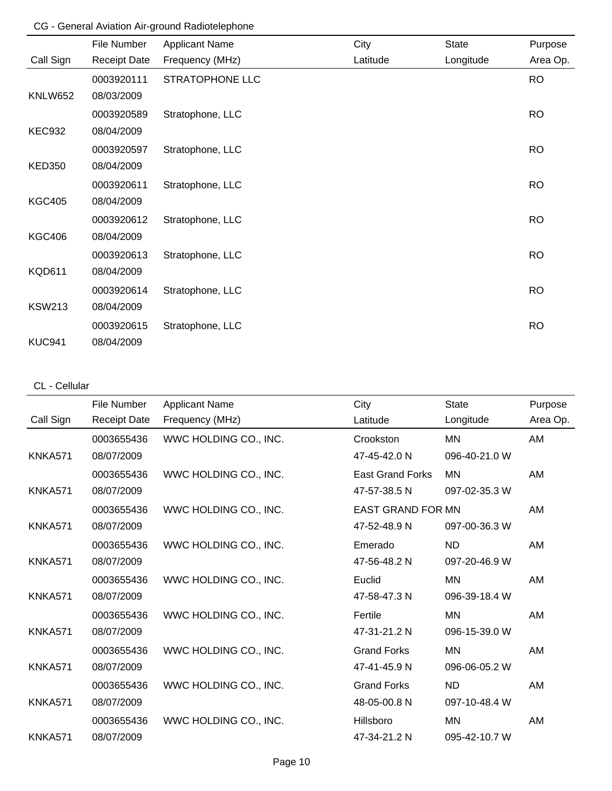## CG - General Aviation Air-ground Radiotelephone

|                | File Number         | <b>Applicant Name</b> | City     | State     | Purpose   |
|----------------|---------------------|-----------------------|----------|-----------|-----------|
| Call Sign      | <b>Receipt Date</b> | Frequency (MHz)       | Latitude | Longitude | Area Op.  |
|                | 0003920111          | STRATOPHONE LLC       |          |           | <b>RO</b> |
| <b>KNLW652</b> | 08/03/2009          |                       |          |           |           |
|                | 0003920589          | Stratophone, LLC      |          |           | <b>RO</b> |
| <b>KEC932</b>  | 08/04/2009          |                       |          |           |           |
|                | 0003920597          | Stratophone, LLC      |          |           | <b>RO</b> |
| <b>KED350</b>  | 08/04/2009          |                       |          |           |           |
|                | 0003920611          | Stratophone, LLC      |          |           | <b>RO</b> |
| <b>KGC405</b>  | 08/04/2009          |                       |          |           |           |
|                | 0003920612          | Stratophone, LLC      |          |           | <b>RO</b> |
| <b>KGC406</b>  | 08/04/2009          |                       |          |           |           |
|                | 0003920613          | Stratophone, LLC      |          |           | <b>RO</b> |
| <b>KQD611</b>  | 08/04/2009          |                       |          |           |           |
|                | 0003920614          | Stratophone, LLC      |          |           | <b>RO</b> |
| <b>KSW213</b>  | 08/04/2009          |                       |          |           |           |
|                | 0003920615          | Stratophone, LLC      |          |           | <b>RO</b> |
| <b>KUC941</b>  | 08/04/2009          |                       |          |           |           |

#### CL - Cellular

|                | File Number         | Applicant Name        | City                     | <b>State</b>  | Purpose  |
|----------------|---------------------|-----------------------|--------------------------|---------------|----------|
| Call Sign      | <b>Receipt Date</b> | Frequency (MHz)       | Latitude                 | Longitude     | Area Op. |
|                | 0003655436          | WWC HOLDING CO., INC. | Crookston                | <b>MN</b>     | AM       |
| KNKA571        | 08/07/2009          |                       | 47-45-42.0 N             | 096-40-21.0 W |          |
|                | 0003655436          | WWC HOLDING CO., INC. | <b>East Grand Forks</b>  | ΜN            | AM       |
| KNKA571        | 08/07/2009          |                       | 47-57-38.5 N             | 097-02-35.3 W |          |
|                | 0003655436          | WWC HOLDING CO., INC. | <b>EAST GRAND FOR MN</b> |               | AM       |
| KNKA571        | 08/07/2009          |                       | 47-52-48.9 N             | 097-00-36.3 W |          |
|                | 0003655436          | WWC HOLDING CO., INC. | Emerado                  | <b>ND</b>     | AM       |
| <b>KNKA571</b> | 08/07/2009          |                       | 47-56-48.2 N             | 097-20-46.9 W |          |
|                | 0003655436          | WWC HOLDING CO., INC. | Euclid                   | <b>MN</b>     | AM       |
| <b>KNKA571</b> | 08/07/2009          |                       | 47-58-47.3 N             | 096-39-18.4 W |          |
|                | 0003655436          | WWC HOLDING CO., INC. | Fertile                  | <b>MN</b>     | AM       |
| KNKA571        | 08/07/2009          |                       | 47-31-21.2 N             | 096-15-39.0 W |          |
|                | 0003655436          | WWC HOLDING CO., INC. | <b>Grand Forks</b>       | MN            | AM       |
| KNKA571        | 08/07/2009          |                       | 47-41-45.9 N             | 096-06-05.2 W |          |
|                | 0003655436          | WWC HOLDING CO., INC. | <b>Grand Forks</b>       | <b>ND</b>     | AM       |
| KNKA571        | 08/07/2009          |                       | 48-05-00.8 N             | 097-10-48.4 W |          |
|                | 0003655436          | WWC HOLDING CO., INC. | Hillsboro                | <b>MN</b>     | AM       |
| KNKA571        | 08/07/2009          |                       | 47-34-21.2 N             | 095-42-10.7 W |          |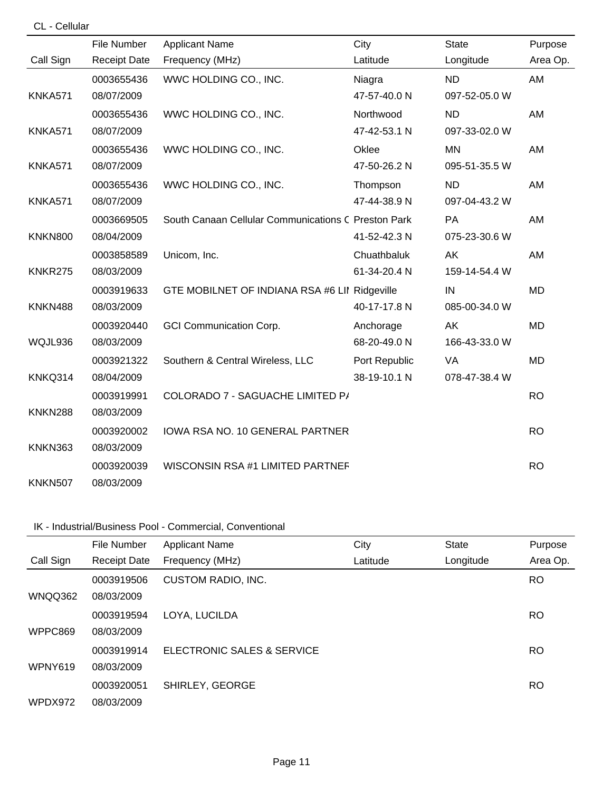| CL - Cellular  |                     |                                                     |               |               |           |
|----------------|---------------------|-----------------------------------------------------|---------------|---------------|-----------|
|                | File Number         | <b>Applicant Name</b>                               | City          | <b>State</b>  | Purpose   |
| Call Sign      | <b>Receipt Date</b> | Frequency (MHz)                                     | Latitude      | Longitude     | Area Op.  |
|                | 0003655436          | WWC HOLDING CO., INC.                               | Niagra        | <b>ND</b>     | AM        |
| <b>KNKA571</b> | 08/07/2009          |                                                     | 47-57-40.0 N  | 097-52-05.0 W |           |
|                | 0003655436          | WWC HOLDING CO., INC.                               | Northwood     | <b>ND</b>     | AM        |
| <b>KNKA571</b> | 08/07/2009          |                                                     | 47-42-53.1 N  | 097-33-02.0 W |           |
|                | 0003655436          | WWC HOLDING CO., INC.                               | Oklee         | <b>MN</b>     | AM        |
| <b>KNKA571</b> | 08/07/2009          |                                                     | 47-50-26.2 N  | 095-51-35.5 W |           |
|                | 0003655436          | WWC HOLDING CO., INC.                               | Thompson      | <b>ND</b>     | AM        |
| KNKA571        | 08/07/2009          |                                                     | 47-44-38.9 N  | 097-04-43.2 W |           |
|                | 0003669505          | South Canaan Cellular Communications C Preston Park |               | <b>PA</b>     | AM        |
| <b>KNKN800</b> | 08/04/2009          |                                                     | 41-52-42.3 N  | 075-23-30.6 W |           |
|                | 0003858589          | Unicom, Inc.                                        | Chuathbaluk   | AK            | AM        |
| KNKR275        | 08/03/2009          |                                                     | 61-34-20.4 N  | 159-14-54.4 W |           |
|                | 0003919633          | GTE MOBILNET OF INDIANA RSA #6 LII Ridgeville       |               | IN            | <b>MD</b> |
| KNKN488        | 08/03/2009          |                                                     | 40-17-17.8 N  | 085-00-34.0 W |           |
|                | 0003920440          | <b>GCI Communication Corp.</b>                      | Anchorage     | AK            | <b>MD</b> |
| WQJL936        | 08/03/2009          |                                                     | 68-20-49.0 N  | 166-43-33.0 W |           |
|                | 0003921322          | Southern & Central Wireless, LLC                    | Port Republic | VA            | <b>MD</b> |
| KNKQ314        | 08/04/2009          |                                                     | 38-19-10.1 N  | 078-47-38.4 W |           |
|                | 0003919991          | COLORADO 7 - SAGUACHE LIMITED P/                    |               |               | <b>RO</b> |
| KNKN288        | 08/03/2009          |                                                     |               |               |           |
|                | 0003920002          | IOWA RSA NO. 10 GENERAL PARTNER                     |               |               | <b>RO</b> |
| KNKN363        | 08/03/2009          |                                                     |               |               |           |
|                | 0003920039          | WISCONSIN RSA #1 LIMITED PARTNEF                    |               |               | <b>RO</b> |
| <b>KNKN507</b> | 08/03/2009          |                                                     |               |               |           |

## IK - Industrial/Business Pool - Commercial, Conventional

|           | File Number         | <b>Applicant Name</b>      | City     | <b>State</b> | Purpose   |
|-----------|---------------------|----------------------------|----------|--------------|-----------|
| Call Sign | <b>Receipt Date</b> | Frequency (MHz)            | Latitude | Longitude    | Area Op.  |
|           | 0003919506          | <b>CUSTOM RADIO, INC.</b>  |          |              | RO.       |
| WNQQ362   | 08/03/2009          |                            |          |              |           |
|           | 0003919594          | LOYA, LUCILDA              |          |              | <b>RO</b> |
| WPPC869   | 08/03/2009          |                            |          |              |           |
|           | 0003919914          | ELECTRONIC SALES & SERVICE |          |              | <b>RO</b> |
| WPNY619   | 08/03/2009          |                            |          |              |           |
|           | 0003920051          | SHIRLEY, GEORGE            |          |              | <b>RO</b> |
| WPDX972   | 08/03/2009          |                            |          |              |           |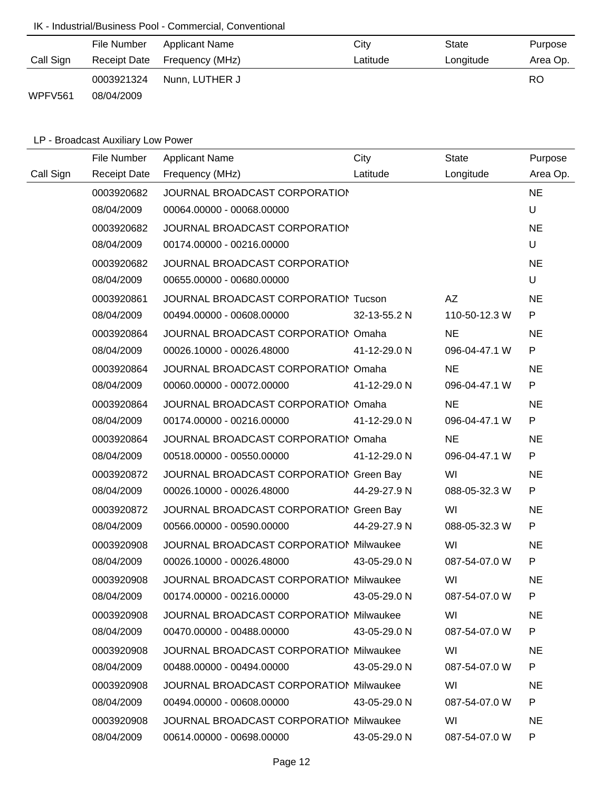# IK - Industrial/Business Pool - Commercial, Conventional

|           | File Number  | Applicant Name  | City     | State     | Purpose  |
|-----------|--------------|-----------------|----------|-----------|----------|
| Call Sign | Receipt Date | Frequency (MHz) | Latitude | Longitude | Area Op. |
|           | 0003921324   | Nunn, LUTHER J  |          |           | RO       |
| WPFV561   | 08/04/2009   |                 |          |           |          |

# LP - Broadcast Auxiliary Low Power

|           | File Number         | <b>Applicant Name</b>                          | City         | <b>State</b>  | Purpose   |
|-----------|---------------------|------------------------------------------------|--------------|---------------|-----------|
| Call Sign | <b>Receipt Date</b> | Frequency (MHz)                                | Latitude     | Longitude     | Area Op.  |
|           | 0003920682          | JOURNAL BROADCAST CORPORATION                  |              |               | <b>NE</b> |
|           | 08/04/2009          | 00064.00000 - 00068.00000                      |              |               | U         |
|           | 0003920682          | JOURNAL BROADCAST CORPORATION                  |              |               | <b>NE</b> |
|           | 08/04/2009          | 00174.00000 - 00216.00000                      |              |               | U         |
|           | 0003920682          | JOURNAL BROADCAST CORPORATION                  |              |               | <b>NE</b> |
|           | 08/04/2009          | 00655.00000 - 00680.00000                      |              |               | U         |
|           | 0003920861          | JOURNAL BROADCAST CORPORATION Tucson           |              | AZ            | <b>NE</b> |
|           | 08/04/2009          | 00494.00000 - 00608.00000                      | 32-13-55.2 N | 110-50-12.3 W | P         |
|           | 0003920864          | JOURNAL BROADCAST CORPORATION Omaha            |              | <b>NE</b>     | <b>NE</b> |
|           | 08/04/2009          | 00026.10000 - 00026.48000                      | 41-12-29.0 N | 096-04-47.1 W | P         |
|           | 0003920864          | JOURNAL BROADCAST CORPORATION Omaha            |              | <b>NE</b>     | <b>NE</b> |
|           | 08/04/2009          | 00060.00000 - 00072.00000                      | 41-12-29.0 N | 096-04-47.1 W | P         |
|           | 0003920864          | JOURNAL BROADCAST CORPORATION Omaha            |              | <b>NE</b>     | <b>NE</b> |
|           | 08/04/2009          | 00174.00000 - 00216.00000                      | 41-12-29.0 N | 096-04-47.1 W | P         |
|           | 0003920864          | JOURNAL BROADCAST CORPORATION Omaha            |              | <b>NE</b>     | <b>NE</b> |
|           | 08/04/2009          | 00518.00000 - 00550.00000                      | 41-12-29.0 N | 096-04-47.1 W | P         |
|           | 0003920872          | JOURNAL BROADCAST CORPORATION Green Bay        |              | WI            | <b>NE</b> |
|           | 08/04/2009          | 00026.10000 - 00026.48000                      | 44-29-27.9 N | 088-05-32.3 W | P         |
|           | 0003920872          | JOURNAL BROADCAST CORPORATION Green Bay        |              | WI            | <b>NE</b> |
|           | 08/04/2009          | 00566.00000 - 00590.00000                      | 44-29-27.9 N | 088-05-32.3 W | P         |
|           | 0003920908          | JOURNAL BROADCAST CORPORATION Milwaukee        |              | WI            | <b>NE</b> |
|           | 08/04/2009          | 00026.10000 - 00026.48000                      | 43-05-29.0 N | 087-54-07.0 W | P         |
|           | 0003920908          | JOURNAL BROADCAST CORPORATION Milwaukee        |              | WI            | <b>NE</b> |
|           | 08/04/2009          | 00174.00000 - 00216.00000 43-05-29.0 N         |              | 087-54-07.0 W | P         |
|           | 0003920908          | <b>JOURNAL BROADCAST CORPORATION Milwaukee</b> |              | WI            | <b>NE</b> |
|           | 08/04/2009          | 00470.00000 - 00488.00000                      | 43-05-29.0 N | 087-54-07.0 W | P         |
|           | 0003920908          | JOURNAL BROADCAST CORPORATION Milwaukee        |              | WI            | <b>NE</b> |
|           | 08/04/2009          | 00488.00000 - 00494.00000                      | 43-05-29.0 N | 087-54-07.0 W | P.        |
|           | 0003920908          | JOURNAL BROADCAST CORPORATION Milwaukee        |              | WI            | <b>NE</b> |
|           | 08/04/2009          | 00494.00000 - 00608.00000                      | 43-05-29.0 N | 087-54-07.0 W | P.        |
|           | 0003920908          | <b>JOURNAL BROADCAST CORPORATION Milwaukee</b> |              | WI            | <b>NE</b> |
|           | 08/04/2009          | 00614.00000 - 00698.00000                      | 43-05-29.0 N | 087-54-07.0 W | P         |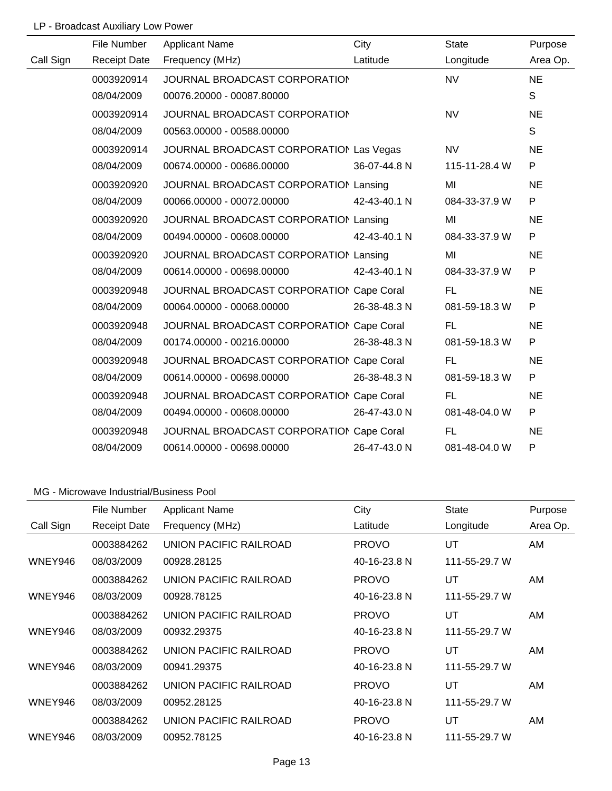# LP - Broadcast Auxiliary Low Power

|           | File Number         | <b>Applicant Name</b>                    | City         | <b>State</b>  | Purpose   |
|-----------|---------------------|------------------------------------------|--------------|---------------|-----------|
| Call Sign | <b>Receipt Date</b> | Frequency (MHz)                          | Latitude     | Longitude     | Area Op.  |
|           | 0003920914          | JOURNAL BROADCAST CORPORATION            |              | <b>NV</b>     | <b>NE</b> |
|           | 08/04/2009          | 00076.20000 - 00087.80000                |              |               | S         |
|           | 0003920914          | JOURNAL BROADCAST CORPORATION            |              | <b>NV</b>     | <b>NE</b> |
|           | 08/04/2009          | 00563.00000 - 00588.00000                |              |               | S         |
|           | 0003920914          | JOURNAL BROADCAST CORPORATION Las Vegas  |              | <b>NV</b>     | <b>NE</b> |
|           | 08/04/2009          | 00674.00000 - 00686.00000                | 36-07-44.8 N | 115-11-28.4 W | P         |
|           | 0003920920          | JOURNAL BROADCAST CORPORATION Lansing    |              | MI            | <b>NE</b> |
|           | 08/04/2009          | 00066.00000 - 00072.00000                | 42-43-40.1 N | 084-33-37.9 W | P         |
|           | 0003920920          | JOURNAL BROADCAST CORPORATION Lansing    |              | MI            | <b>NE</b> |
|           | 08/04/2009          | 00494.00000 - 00608.00000                | 42-43-40.1 N | 084-33-37.9 W | P         |
|           | 0003920920          | JOURNAL BROADCAST CORPORATION Lansing    |              | MI            | <b>NE</b> |
|           | 08/04/2009          | 00614.00000 - 00698.00000                | 42-43-40.1 N | 084-33-37.9 W | P         |
|           | 0003920948          | JOURNAL BROADCAST CORPORATION Cape Coral |              | FL.           | <b>NE</b> |
|           | 08/04/2009          | 00064.00000 - 00068.00000                | 26-38-48.3 N | 081-59-18.3 W | P         |
|           | 0003920948          | JOURNAL BROADCAST CORPORATION Cape Coral |              | FL.           | <b>NE</b> |
|           | 08/04/2009          | 00174.00000 - 00216.00000                | 26-38-48.3 N | 081-59-18.3 W | P         |
|           | 0003920948          | JOURNAL BROADCAST CORPORATION Cape Coral |              | <b>FL</b>     | <b>NE</b> |
|           | 08/04/2009          | 00614.00000 - 00698.00000                | 26-38-48.3 N | 081-59-18.3 W | P         |
|           | 0003920948          | JOURNAL BROADCAST CORPORATION Cape Coral |              | <b>FL</b>     | <b>NE</b> |
|           | 08/04/2009          | 00494.00000 - 00608.00000                | 26-47-43.0 N | 081-48-04.0 W | P         |
|           | 0003920948          | JOURNAL BROADCAST CORPORATION Cape Coral |              | <b>FL</b>     | <b>NE</b> |
|           | 08/04/2009          | 00614.00000 - 00698.00000                | 26-47-43.0 N | 081-48-04.0 W | P         |

|           | File Number         | <b>Applicant Name</b>         | City         | <b>State</b>  | Purpose  |
|-----------|---------------------|-------------------------------|--------------|---------------|----------|
| Call Sign | <b>Receipt Date</b> | Frequency (MHz)               | Latitude     | Longitude     | Area Op. |
|           | 0003884262          | UNION PACIFIC RAILROAD        | <b>PROVO</b> | UT            | AM.      |
| WNEY946   | 08/03/2009          | 00928.28125                   | 40-16-23.8 N | 111-55-29.7 W |          |
|           | 0003884262          | UNION PACIFIC RAILROAD        | <b>PROVO</b> | UT            | AM       |
| WNEY946   | 08/03/2009          | 00928.78125                   | 40-16-23.8 N | 111-55-29.7 W |          |
|           | 0003884262          | UNION PACIFIC RAILROAD        | <b>PROVO</b> | UT            | AM       |
| WNEY946   | 08/03/2009          | 00932.29375                   | 40-16-23.8 N | 111-55-29.7 W |          |
|           | 0003884262          | UNION PACIFIC RAILROAD        | <b>PROVO</b> | UT            | AM       |
| WNEY946   | 08/03/2009          | 00941.29375                   | 40-16-23.8 N | 111-55-29.7 W |          |
|           | 0003884262          | UNION PACIFIC RAILROAD        | <b>PROVO</b> | UT            | AM       |
| WNEY946   | 08/03/2009          | 00952.28125                   | 40-16-23.8 N | 111-55-29.7 W |          |
|           | 0003884262          | <b>UNION PACIFIC RAILROAD</b> | <b>PROVO</b> | UT            | AM.      |
| WNEY946   | 08/03/2009          | 00952.78125                   | 40-16-23.8 N | 111-55-29.7 W |          |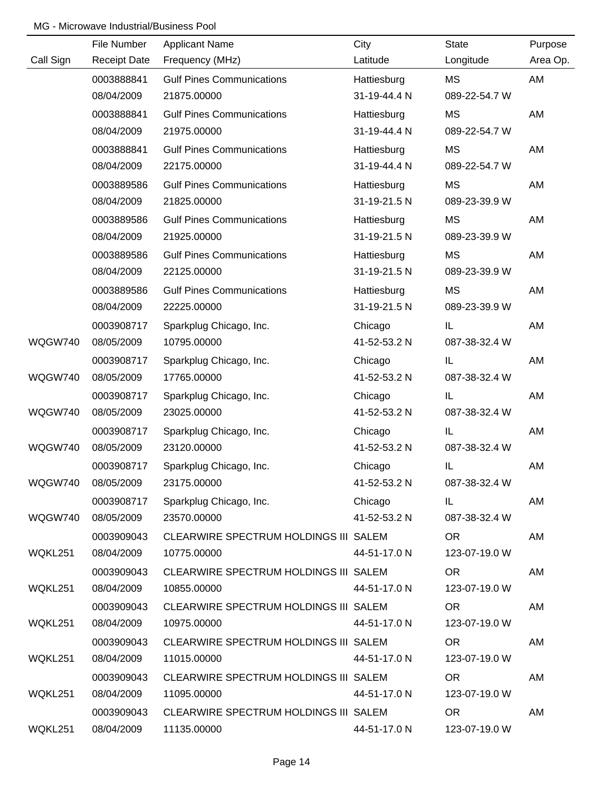|           | File Number         | <b>Applicant Name</b>                 | City         | <b>State</b>  | Purpose  |
|-----------|---------------------|---------------------------------------|--------------|---------------|----------|
| Call Sign | <b>Receipt Date</b> | Frequency (MHz)                       | Latitude     | Longitude     | Area Op. |
|           | 0003888841          | <b>Gulf Pines Communications</b>      | Hattiesburg  | МS            | AM       |
|           | 08/04/2009          | 21875.00000                           | 31-19-44.4 N | 089-22-54.7 W |          |
|           | 0003888841          | <b>Gulf Pines Communications</b>      | Hattiesburg  | MS            | AM       |
|           | 08/04/2009          | 21975.00000                           | 31-19-44.4 N | 089-22-54.7 W |          |
|           | 0003888841          | <b>Gulf Pines Communications</b>      | Hattiesburg  | MS            | AM       |
|           | 08/04/2009          | 22175.00000                           | 31-19-44.4 N | 089-22-54.7 W |          |
|           | 0003889586          | <b>Gulf Pines Communications</b>      | Hattiesburg  | MS            | AM       |
|           | 08/04/2009          | 21825.00000                           | 31-19-21.5 N | 089-23-39.9 W |          |
|           | 0003889586          | <b>Gulf Pines Communications</b>      | Hattiesburg  | MS            | AM       |
|           | 08/04/2009          | 21925.00000                           | 31-19-21.5 N | 089-23-39.9 W |          |
|           | 0003889586          | <b>Gulf Pines Communications</b>      | Hattiesburg  | MS            | AM       |
|           | 08/04/2009          | 22125.00000                           | 31-19-21.5 N | 089-23-39.9 W |          |
|           | 0003889586          | <b>Gulf Pines Communications</b>      | Hattiesburg  | MS            | AM       |
|           | 08/04/2009          | 22225.00000                           | 31-19-21.5 N | 089-23-39.9 W |          |
|           | 0003908717          | Sparkplug Chicago, Inc.               | Chicago      | IL.           | AM       |
| WQGW740   | 08/05/2009          | 10795.00000                           | 41-52-53.2 N | 087-38-32.4 W |          |
|           | 0003908717          | Sparkplug Chicago, Inc.               | Chicago      | IL.           | AM       |
| WQGW740   | 08/05/2009          | 17765.00000                           | 41-52-53.2 N | 087-38-32.4 W |          |
|           | 0003908717          | Sparkplug Chicago, Inc.               | Chicago      | IL            | AM       |
| WQGW740   | 08/05/2009          | 23025.00000                           | 41-52-53.2 N | 087-38-32.4 W |          |
|           | 0003908717          | Sparkplug Chicago, Inc.               | Chicago      | IL            | AM       |
| WQGW740   | 08/05/2009          | 23120.00000                           | 41-52-53.2 N | 087-38-32.4 W |          |
|           | 0003908717          | Sparkplug Chicago, Inc.               | Chicago      | IL            | AM       |
| WQGW740   | 08/05/2009          | 23175.00000                           | 41-52-53.2 N | 087-38-32.4 W |          |
|           | 0003908717          | Sparkplug Chicago, Inc.               | Chicago      | IL.           | AM       |
| WQGW740   | 08/05/2009          | 23570.00000                           | 41-52-53.2 N | 087-38-32.4 W |          |
|           | 0003909043          | CLEARWIRE SPECTRUM HOLDINGS III SALEM |              | OR.           | AM       |
| WQKL251   | 08/04/2009          | 10775.00000                           | 44-51-17.0 N | 123-07-19.0 W |          |
|           | 0003909043          | CLEARWIRE SPECTRUM HOLDINGS III SALEM |              | OR.           | AM       |
| WQKL251   | 08/04/2009          | 10855.00000                           | 44-51-17.0 N | 123-07-19.0 W |          |
|           | 0003909043          | CLEARWIRE SPECTRUM HOLDINGS III SALEM |              | OR.           | AM       |
| WQKL251   | 08/04/2009          | 10975.00000                           | 44-51-17.0 N | 123-07-19.0 W |          |
|           | 0003909043          | CLEARWIRE SPECTRUM HOLDINGS III SALEM |              | <b>OR</b>     | AM       |
| WQKL251   | 08/04/2009          | 11015.00000                           | 44-51-17.0 N | 123-07-19.0 W |          |
|           | 0003909043          | CLEARWIRE SPECTRUM HOLDINGS III SALEM |              | <b>OR</b>     | AM       |
| WQKL251   | 08/04/2009          | 11095.00000                           | 44-51-17.0 N | 123-07-19.0 W |          |
|           | 0003909043          | CLEARWIRE SPECTRUM HOLDINGS III SALEM |              | <b>OR</b>     | AM       |
| WQKL251   | 08/04/2009          | 11135.00000                           | 44-51-17.0 N | 123-07-19.0 W |          |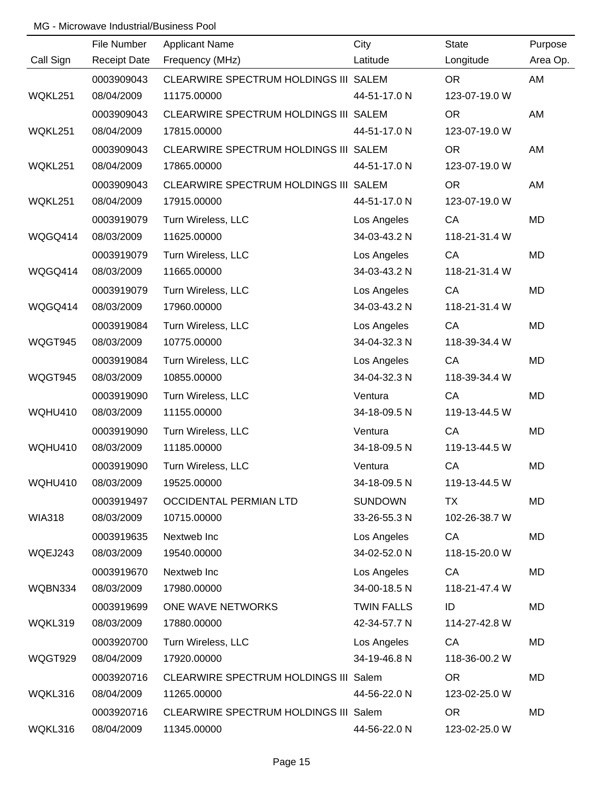|                | File Number         | <b>Applicant Name</b>                 | City              | <b>State</b>  | Purpose   |
|----------------|---------------------|---------------------------------------|-------------------|---------------|-----------|
| Call Sign      | <b>Receipt Date</b> | Frequency (MHz)                       | Latitude          | Longitude     | Area Op.  |
|                | 0003909043          | CLEARWIRE SPECTRUM HOLDINGS III SALEM |                   | <b>OR</b>     | AM        |
| WQKL251        | 08/04/2009          | 11175.00000                           | 44-51-17.0 N      | 123-07-19.0 W |           |
|                | 0003909043          | CLEARWIRE SPECTRUM HOLDINGS III SALEM |                   | <b>OR</b>     | AM        |
| WQKL251        | 08/04/2009          | 17815.00000                           | 44-51-17.0 N      | 123-07-19.0 W |           |
|                | 0003909043          | CLEARWIRE SPECTRUM HOLDINGS III SALEM |                   | <b>OR</b>     | AM        |
| WQKL251        | 08/04/2009          | 17865.00000                           | 44-51-17.0 N      | 123-07-19.0 W |           |
|                | 0003909043          | CLEARWIRE SPECTRUM HOLDINGS III SALEM |                   | <b>OR</b>     | AM        |
| WQKL251        | 08/04/2009          | 17915.00000                           | 44-51-17.0 N      | 123-07-19.0 W |           |
|                | 0003919079          | Turn Wireless, LLC                    | Los Angeles       | CA            | <b>MD</b> |
| WQGQ414        | 08/03/2009          | 11625.00000                           | 34-03-43.2 N      | 118-21-31.4 W |           |
|                | 0003919079          | Turn Wireless, LLC                    | Los Angeles       | CA            | <b>MD</b> |
| WQGQ414        | 08/03/2009          | 11665.00000                           | 34-03-43.2 N      | 118-21-31.4 W |           |
|                | 0003919079          | Turn Wireless, LLC                    | Los Angeles       | CA            | <b>MD</b> |
| WQGQ414        | 08/03/2009          | 17960.00000                           | 34-03-43.2 N      | 118-21-31.4 W |           |
|                | 0003919084          | Turn Wireless, LLC                    | Los Angeles       | CA            | <b>MD</b> |
| WQGT945        | 08/03/2009          | 10775.00000                           | 34-04-32.3 N      | 118-39-34.4 W |           |
|                | 0003919084          | Turn Wireless, LLC                    | Los Angeles       | CA            | <b>MD</b> |
| WQGT945        | 08/03/2009          | 10855.00000                           | 34-04-32.3 N      | 118-39-34.4 W |           |
|                | 0003919090          | Turn Wireless, LLC                    | Ventura           | CA            | <b>MD</b> |
| WQHU410        | 08/03/2009          | 11155.00000                           | 34-18-09.5 N      | 119-13-44.5 W |           |
|                | 0003919090          | Turn Wireless, LLC                    | Ventura           | CA            | <b>MD</b> |
| WQHU410        | 08/03/2009          | 11185.00000                           | 34-18-09.5 N      | 119-13-44.5 W |           |
|                | 0003919090          | Turn Wireless, LLC                    | Ventura           | CA            | <b>MD</b> |
| <b>WQHU410</b> | 08/03/2009          | 19525.00000                           | 34-18-09.5 N      | 119-13-44.5 W |           |
|                | 0003919497          | <b>OCCIDENTAL PERMIAN LTD</b>         | <b>SUNDOWN</b>    | <b>TX</b>     | MD        |
| <b>WIA318</b>  | 08/03/2009          | 10715.00000                           | 33-26-55.3 N      | 102-26-38.7 W |           |
|                | 0003919635          | Nextweb Inc                           | Los Angeles       | CA            | <b>MD</b> |
| WQEJ243        | 08/03/2009          | 19540.00000                           | 34-02-52.0 N      | 118-15-20.0 W |           |
|                | 0003919670          | Nextweb Inc                           | Los Angeles       | CA            | <b>MD</b> |
| WQBN334        | 08/03/2009          | 17980.00000                           | 34-00-18.5 N      | 118-21-47.4 W |           |
|                | 0003919699          | ONE WAVE NETWORKS                     | <b>TWIN FALLS</b> | ID            | <b>MD</b> |
| WQKL319        | 08/03/2009          | 17880.00000                           | 42-34-57.7 N      | 114-27-42.8 W |           |
|                | 0003920700          | Turn Wireless, LLC                    | Los Angeles       | CA            | <b>MD</b> |
| WQGT929        | 08/04/2009          | 17920.00000                           | 34-19-46.8 N      | 118-36-00.2 W |           |
|                | 0003920716          | CLEARWIRE SPECTRUM HOLDINGS III Salem |                   | <b>OR</b>     | <b>MD</b> |
| WQKL316        | 08/04/2009          | 11265.00000                           | 44-56-22.0 N      | 123-02-25.0 W |           |
|                | 0003920716          | CLEARWIRE SPECTRUM HOLDINGS III Salem |                   | <b>OR</b>     | <b>MD</b> |
| WQKL316        | 08/04/2009          | 11345.00000                           | 44-56-22.0 N      | 123-02-25.0 W |           |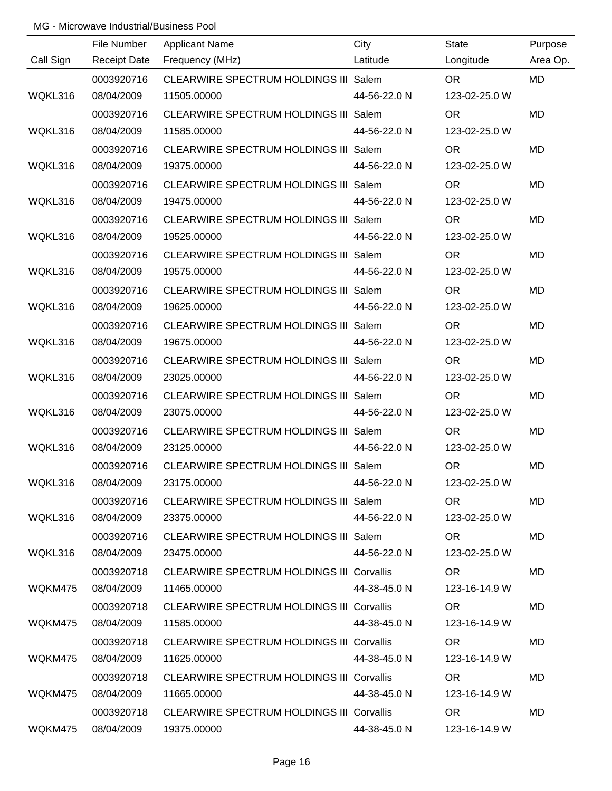|           | File Number         | <b>Applicant Name</b>                            | City         | <b>State</b>  | Purpose   |
|-----------|---------------------|--------------------------------------------------|--------------|---------------|-----------|
| Call Sign | <b>Receipt Date</b> | Frequency (MHz)                                  | Latitude     | Longitude     | Area Op.  |
|           | 0003920716          | CLEARWIRE SPECTRUM HOLDINGS III Salem            |              | <b>OR</b>     | <b>MD</b> |
| WQKL316   | 08/04/2009          | 11505.00000                                      | 44-56-22.0 N | 123-02-25.0 W |           |
|           | 0003920716          | CLEARWIRE SPECTRUM HOLDINGS III Salem            |              | <b>OR</b>     | <b>MD</b> |
| WQKL316   | 08/04/2009          | 11585.00000                                      | 44-56-22.0 N | 123-02-25.0 W |           |
|           | 0003920716          | CLEARWIRE SPECTRUM HOLDINGS III Salem            |              | <b>OR</b>     | <b>MD</b> |
| WQKL316   | 08/04/2009          | 19375.00000                                      | 44-56-22.0 N | 123-02-25.0 W |           |
|           | 0003920716          | CLEARWIRE SPECTRUM HOLDINGS III Salem            |              | <b>OR</b>     | <b>MD</b> |
| WQKL316   | 08/04/2009          | 19475.00000                                      | 44-56-22.0 N | 123-02-25.0 W |           |
|           | 0003920716          | CLEARWIRE SPECTRUM HOLDINGS III Salem            |              | <b>OR</b>     | MD        |
| WQKL316   | 08/04/2009          | 19525.00000                                      | 44-56-22.0 N | 123-02-25.0 W |           |
|           | 0003920716          | CLEARWIRE SPECTRUM HOLDINGS III Salem            |              | <b>OR</b>     | <b>MD</b> |
| WQKL316   | 08/04/2009          | 19575.00000                                      | 44-56-22.0 N | 123-02-25.0 W |           |
|           | 0003920716          | CLEARWIRE SPECTRUM HOLDINGS III Salem            |              | <b>OR</b>     | MD        |
| WQKL316   | 08/04/2009          | 19625.00000                                      | 44-56-22.0 N | 123-02-25.0 W |           |
|           | 0003920716          | CLEARWIRE SPECTRUM HOLDINGS III Salem            |              | <b>OR</b>     | <b>MD</b> |
| WQKL316   | 08/04/2009          | 19675.00000                                      | 44-56-22.0 N | 123-02-25.0 W |           |
|           | 0003920716          | CLEARWIRE SPECTRUM HOLDINGS III Salem            |              | <b>OR</b>     | MD        |
| WQKL316   | 08/04/2009          | 23025.00000                                      | 44-56-22.0 N | 123-02-25.0 W |           |
|           | 0003920716          | CLEARWIRE SPECTRUM HOLDINGS III Salem            |              | <b>OR</b>     | <b>MD</b> |
| WQKL316   | 08/04/2009          | 23075.00000                                      | 44-56-22.0 N | 123-02-25.0 W |           |
|           | 0003920716          | CLEARWIRE SPECTRUM HOLDINGS III Salem            |              | <b>OR</b>     | <b>MD</b> |
| WQKL316   | 08/04/2009          | 23125.00000                                      | 44-56-22.0 N | 123-02-25.0 W |           |
|           | 0003920716          | CLEARWIRE SPECTRUM HOLDINGS III Salem            |              | <b>OR</b>     | MD        |
| WQKL316   | 08/04/2009          | 23175.00000                                      | 44-56-22.0 N | 123-02-25.0 W |           |
|           | 0003920716          | CLEARWIRE SPECTRUM HOLDINGS III Salem            |              | OR.           | MD        |
| WQKL316   | 08/04/2009          | 23375.00000                                      | 44-56-22.0 N | 123-02-25.0 W |           |
|           | 0003920716          | CLEARWIRE SPECTRUM HOLDINGS III Salem            |              | OR.           | MD        |
| WQKL316   | 08/04/2009          | 23475.00000                                      | 44-56-22.0 N | 123-02-25.0 W |           |
|           | 0003920718          | <b>CLEARWIRE SPECTRUM HOLDINGS III Corvallis</b> |              | OR.           | MD        |
| WQKM475   | 08/04/2009          | 11465.00000                                      | 44-38-45.0 N | 123-16-14.9 W |           |
|           | 0003920718          | <b>CLEARWIRE SPECTRUM HOLDINGS III Corvallis</b> |              | OR.           | MD        |
| WQKM475   | 08/04/2009          | 11585.00000                                      | 44-38-45.0 N | 123-16-14.9 W |           |
|           | 0003920718          | <b>CLEARWIRE SPECTRUM HOLDINGS III Corvallis</b> |              | <b>OR</b>     | MD        |
| WQKM475   | 08/04/2009          | 11625.00000                                      | 44-38-45.0 N | 123-16-14.9 W |           |
|           | 0003920718          | <b>CLEARWIRE SPECTRUM HOLDINGS III Corvallis</b> |              | <b>OR</b>     | MD        |
| WQKM475   | 08/04/2009          | 11665.00000                                      | 44-38-45.0 N | 123-16-14.9 W |           |
|           | 0003920718          | <b>CLEARWIRE SPECTRUM HOLDINGS III Corvallis</b> |              | <b>OR</b>     | MD        |
| WQKM475   | 08/04/2009          | 19375.00000                                      | 44-38-45.0 N | 123-16-14.9 W |           |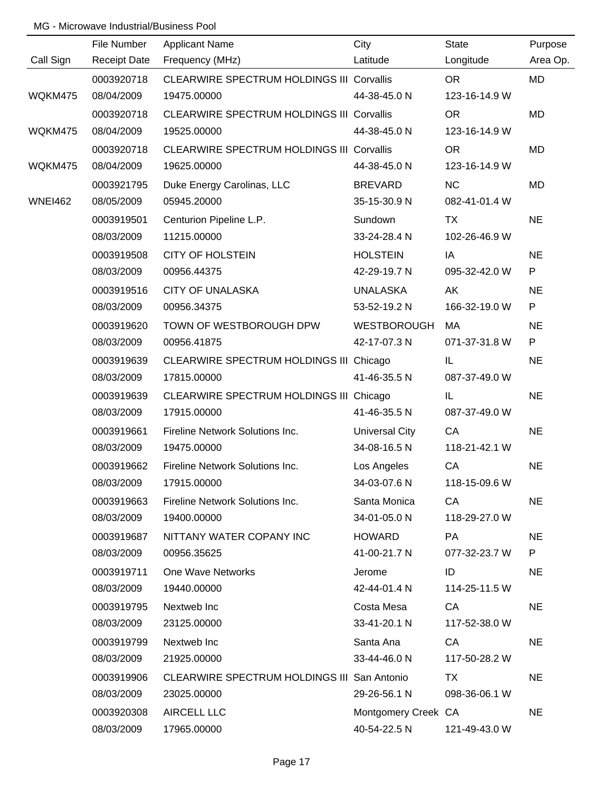|                | File Number         | <b>Applicant Name</b>                            | City                  | <b>State</b>  | Purpose      |
|----------------|---------------------|--------------------------------------------------|-----------------------|---------------|--------------|
| Call Sign      | <b>Receipt Date</b> | Frequency (MHz)                                  | Latitude              | Longitude     | Area Op.     |
|                | 0003920718          | CLEARWIRE SPECTRUM HOLDINGS III Corvallis        |                       | <b>OR</b>     | <b>MD</b>    |
| WQKM475        | 08/04/2009          | 19475.00000                                      | 44-38-45.0 N          | 123-16-14.9 W |              |
|                | 0003920718          | CLEARWIRE SPECTRUM HOLDINGS III Corvallis        |                       | OR            | MD           |
| WQKM475        | 08/04/2009          | 19525.00000                                      | 44-38-45.0 N          | 123-16-14.9 W |              |
|                | 0003920718          | <b>CLEARWIRE SPECTRUM HOLDINGS III Corvallis</b> |                       | <b>OR</b>     | MD           |
| WQKM475        | 08/04/2009          | 19625.00000                                      | 44-38-45.0 N          | 123-16-14.9 W |              |
|                | 0003921795          | Duke Energy Carolinas, LLC                       | <b>BREVARD</b>        | <b>NC</b>     | <b>MD</b>    |
| <b>WNEI462</b> | 08/05/2009          | 05945.20000                                      | 35-15-30.9 N          | 082-41-01.4 W |              |
|                | 0003919501          | Centurion Pipeline L.P.                          | Sundown               | TX            | <b>NE</b>    |
|                | 08/03/2009          | 11215.00000                                      | 33-24-28.4 N          | 102-26-46.9 W |              |
|                | 0003919508          | <b>CITY OF HOLSTEIN</b>                          | <b>HOLSTEIN</b>       | IA            | <b>NE</b>    |
|                | 08/03/2009          | 00956.44375                                      | 42-29-19.7 N          | 095-32-42.0 W | P            |
|                | 0003919516          | <b>CITY OF UNALASKA</b>                          | <b>UNALASKA</b>       | AK            | <b>NE</b>    |
|                | 08/03/2009          | 00956.34375                                      | 53-52-19.2 N          | 166-32-19.0 W | $\mathsf{P}$ |
|                | 0003919620          | TOWN OF WESTBOROUGH DPW                          | <b>WESTBOROUGH</b>    | МA            | <b>NE</b>    |
|                | 08/03/2009          | 00956.41875                                      | 42-17-07.3 N          | 071-37-31.8 W | ${\sf P}$    |
|                | 0003919639          | CLEARWIRE SPECTRUM HOLDINGS III Chicago          |                       | IL.           | <b>NE</b>    |
|                | 08/03/2009          | 17815.00000                                      | 41-46-35.5 N          | 087-37-49.0 W |              |
|                | 0003919639          | CLEARWIRE SPECTRUM HOLDINGS III Chicago          |                       | IL.           | <b>NE</b>    |
|                | 08/03/2009          | 17915.00000                                      | 41-46-35.5 N          | 087-37-49.0 W |              |
|                | 0003919661          | Fireline Network Solutions Inc.                  | <b>Universal City</b> | CA            | <b>NE</b>    |
|                | 08/03/2009          | 19475.00000                                      | 34-08-16.5 N          | 118-21-42.1 W |              |
|                | 0003919662          | Fireline Network Solutions Inc.                  | Los Angeles           | CA            | <b>NE</b>    |
|                | 08/03/2009          | 17915.00000                                      | 34-03-07.6 N          | 118-15-09.6 W |              |
|                | 0003919663          | Fireline Network Solutions Inc.                  | Santa Monica          | CA            | <b>NE</b>    |
|                | 08/03/2009          | 19400.00000                                      | 34-01-05.0 N          | 118-29-27.0 W |              |
|                | 0003919687          | NITTANY WATER COPANY INC                         | <b>HOWARD</b>         | <b>PA</b>     | <b>NE</b>    |
|                | 08/03/2009          | 00956.35625                                      | 41-00-21.7 N          | 077-32-23.7 W | P            |
|                | 0003919711          | One Wave Networks                                | Jerome                | ID            | <b>NE</b>    |
|                | 08/03/2009          | 19440.00000                                      | 42-44-01.4 N          | 114-25-11.5 W |              |
|                | 0003919795          | Nextweb Inc                                      | Costa Mesa            | CA            | <b>NE</b>    |
|                | 08/03/2009          | 23125.00000                                      | 33-41-20.1 N          | 117-52-38.0 W |              |
|                | 0003919799          | Nextweb Inc                                      | Santa Ana             | CA            | <b>NE</b>    |
|                | 08/03/2009          | 21925.00000                                      | 33-44-46.0 N          | 117-50-28.2 W |              |
|                | 0003919906          | CLEARWIRE SPECTRUM HOLDINGS III San Antonio      |                       | TX            | <b>NE</b>    |
|                | 08/03/2009          | 23025.00000                                      | 29-26-56.1 N          | 098-36-06.1 W |              |
|                | 0003920308          | <b>AIRCELL LLC</b>                               | Montgomery Creek CA   |               | <b>NE</b>    |
|                | 08/03/2009          | 17965.00000                                      | 40-54-22.5 N          | 121-49-43.0 W |              |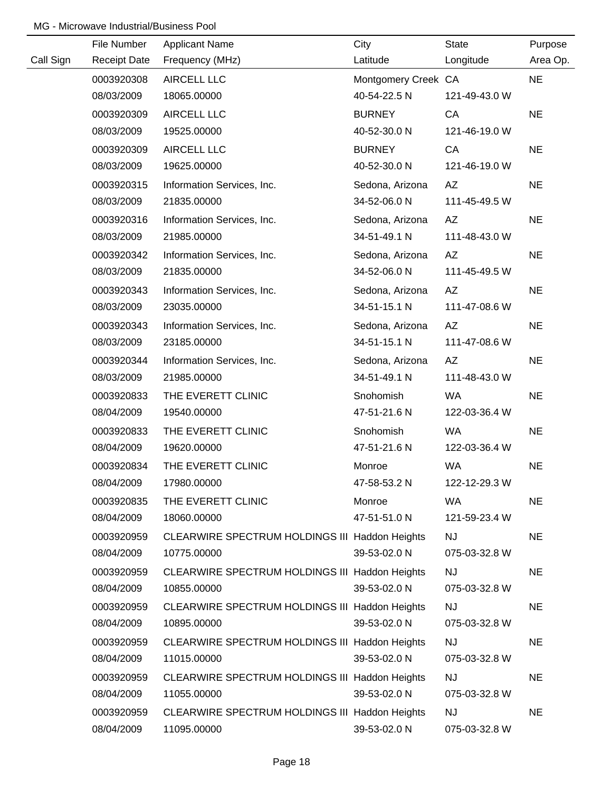|           | File Number         | <b>Applicant Name</b>                          | City                | State         | Purpose   |
|-----------|---------------------|------------------------------------------------|---------------------|---------------|-----------|
| Call Sign | <b>Receipt Date</b> | Frequency (MHz)                                | Latitude            | Longitude     | Area Op.  |
|           | 0003920308          | AIRCELL LLC                                    | Montgomery Creek CA |               | <b>NE</b> |
|           | 08/03/2009          | 18065.00000                                    | 40-54-22.5 N        | 121-49-43.0 W |           |
|           | 0003920309          | AIRCELL LLC                                    | <b>BURNEY</b>       | CA            | <b>NE</b> |
|           | 08/03/2009          | 19525.00000                                    | 40-52-30.0 N        | 121-46-19.0 W |           |
|           | 0003920309          | <b>AIRCELL LLC</b>                             | <b>BURNEY</b>       | CA            | <b>NE</b> |
|           | 08/03/2009          | 19625.00000                                    | 40-52-30.0 N        | 121-46-19.0 W |           |
|           | 0003920315          | Information Services, Inc.                     | Sedona, Arizona     | AZ            | <b>NE</b> |
|           | 08/03/2009          | 21835.00000                                    | 34-52-06.0 N        | 111-45-49.5 W |           |
|           | 0003920316          | Information Services, Inc.                     | Sedona, Arizona     | AZ            | <b>NE</b> |
|           | 08/03/2009          | 21985.00000                                    | 34-51-49.1 N        | 111-48-43.0 W |           |
|           | 0003920342          | Information Services, Inc.                     | Sedona, Arizona     | AZ            | <b>NE</b> |
|           | 08/03/2009          | 21835.00000                                    | 34-52-06.0 N        | 111-45-49.5 W |           |
|           | 0003920343          | Information Services, Inc.                     | Sedona, Arizona     | AZ            | <b>NE</b> |
|           | 08/03/2009          | 23035.00000                                    | 34-51-15.1 N        | 111-47-08.6 W |           |
|           | 0003920343          | Information Services, Inc.                     | Sedona, Arizona     | AZ            | <b>NE</b> |
|           | 08/03/2009          | 23185.00000                                    | 34-51-15.1 N        | 111-47-08.6 W |           |
|           | 0003920344          | Information Services, Inc.                     | Sedona, Arizona     | AZ            | <b>NE</b> |
|           | 08/03/2009          | 21985.00000                                    | 34-51-49.1 N        | 111-48-43.0 W |           |
|           | 0003920833          | THE EVERETT CLINIC                             | Snohomish           | WA            | <b>NE</b> |
|           | 08/04/2009          | 19540.00000                                    | 47-51-21.6 N        | 122-03-36.4 W |           |
|           | 0003920833          | THE EVERETT CLINIC                             | Snohomish           | WA            | <b>NE</b> |
|           | 08/04/2009          | 19620.00000                                    | 47-51-21.6 N        | 122-03-36.4 W |           |
|           | 0003920834          | THE EVERETT CLINIC                             | Monroe              | WA            | <b>NE</b> |
|           | 08/04/2009          | 17980.00000                                    | 47-58-53.2 N        | 122-12-29.3 W |           |
|           | 0003920835          | THE EVERETT CLINIC                             | Monroe              | <b>WA</b>     | <b>NE</b> |
|           | 08/04/2009          | 18060.00000                                    | 47-51-51.0 N        | 121-59-23.4 W |           |
|           | 0003920959          | CLEARWIRE SPECTRUM HOLDINGS III Haddon Heights |                     | <b>NJ</b>     | <b>NE</b> |
|           | 08/04/2009          | 10775.00000                                    | 39-53-02.0 N        | 075-03-32.8 W |           |
|           | 0003920959          | CLEARWIRE SPECTRUM HOLDINGS III Haddon Heights |                     | <b>NJ</b>     | <b>NE</b> |
|           | 08/04/2009          | 10855.00000                                    | 39-53-02.0 N        | 075-03-32.8 W |           |
|           | 0003920959          | CLEARWIRE SPECTRUM HOLDINGS III Haddon Heights |                     | <b>NJ</b>     | <b>NE</b> |
|           | 08/04/2009          | 10895.00000                                    | 39-53-02.0 N        | 075-03-32.8 W |           |
|           | 0003920959          | CLEARWIRE SPECTRUM HOLDINGS III Haddon Heights |                     | <b>NJ</b>     | <b>NE</b> |
|           | 08/04/2009          | 11015.00000                                    | 39-53-02.0 N        | 075-03-32.8 W |           |
|           | 0003920959          | CLEARWIRE SPECTRUM HOLDINGS III Haddon Heights |                     | <b>NJ</b>     | <b>NE</b> |
|           | 08/04/2009          | 11055.00000                                    | 39-53-02.0 N        | 075-03-32.8 W |           |
|           | 0003920959          | CLEARWIRE SPECTRUM HOLDINGS III Haddon Heights |                     | <b>NJ</b>     | <b>NE</b> |
|           | 08/04/2009          | 11095.00000                                    | 39-53-02.0 N        | 075-03-32.8 W |           |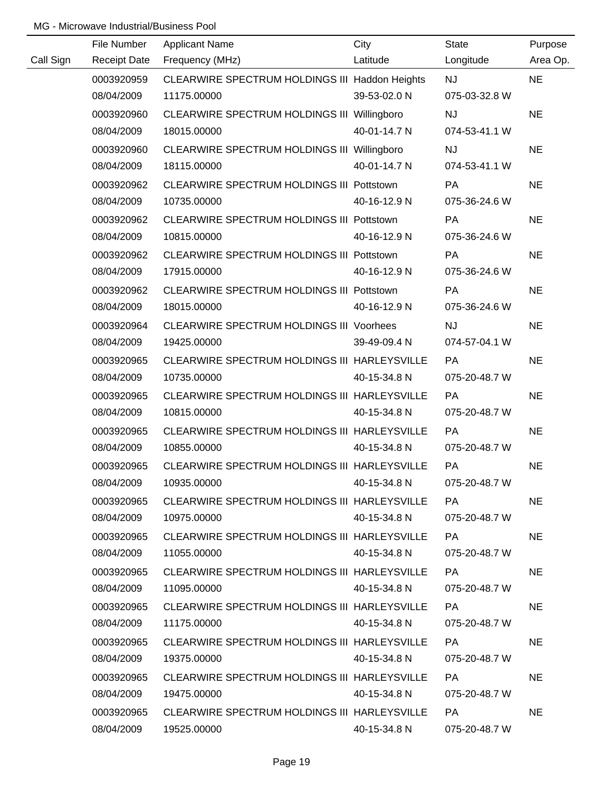|           | File Number | <b>Applicant Name</b>                           | City         | State         | Purpose   |
|-----------|-------------|-------------------------------------------------|--------------|---------------|-----------|
| Call Sign |             | Receipt Date Frequency (MHz)                    | Latitude     | Longitude     | Area Op.  |
|           | 0003920959  | CLEARWIRE SPECTRUM HOLDINGS III Haddon Heights  |              | <b>NJ</b>     | <b>NE</b> |
|           | 08/04/2009  | 11175.00000                                     | 39-53-02.0 N | 075-03-32.8 W |           |
|           | 0003920960  | CLEARWIRE SPECTRUM HOLDINGS III Willingboro     |              | <b>NJ</b>     | <b>NE</b> |
|           | 08/04/2009  | 18015.00000                                     | 40-01-14.7 N | 074-53-41.1 W |           |
|           | 0003920960  | CLEARWIRE SPECTRUM HOLDINGS III Willingboro     |              | <b>NJ</b>     | <b>NE</b> |
|           | 08/04/2009  | 18115.00000                                     | 40-01-14.7 N | 074-53-41.1 W |           |
|           | 0003920962  | CLEARWIRE SPECTRUM HOLDINGS III Pottstown       |              | PA            | <b>NE</b> |
|           | 08/04/2009  | 10735.00000                                     | 40-16-12.9 N | 075-36-24.6 W |           |
|           | 0003920962  | CLEARWIRE SPECTRUM HOLDINGS III Pottstown       |              | PA            | <b>NE</b> |
|           | 08/04/2009  | 10815.00000                                     | 40-16-12.9 N | 075-36-24.6 W |           |
|           | 0003920962  | CLEARWIRE SPECTRUM HOLDINGS III Pottstown       |              | <b>PA</b>     | <b>NE</b> |
|           | 08/04/2009  | 17915.00000                                     | 40-16-12.9 N | 075-36-24.6 W |           |
|           | 0003920962  | CLEARWIRE SPECTRUM HOLDINGS III Pottstown       |              | PA            | <b>NE</b> |
|           | 08/04/2009  | 18015.00000                                     | 40-16-12.9 N | 075-36-24.6 W |           |
|           | 0003920964  | <b>CLEARWIRE SPECTRUM HOLDINGS III Voorhees</b> |              | <b>NJ</b>     | <b>NE</b> |
|           | 08/04/2009  | 19425.00000                                     | 39-49-09.4 N | 074-57-04.1 W |           |
|           | 0003920965  | CLEARWIRE SPECTRUM HOLDINGS III HARLEYSVILLE    |              | <b>PA</b>     | <b>NE</b> |
|           | 08/04/2009  | 10735.00000                                     | 40-15-34.8 N | 075-20-48.7 W |           |
|           | 0003920965  | CLEARWIRE SPECTRUM HOLDINGS III HARLEYSVILLE    |              | <b>PA</b>     | <b>NE</b> |
|           | 08/04/2009  | 10815.00000                                     | 40-15-34.8 N | 075-20-48.7 W |           |
|           | 0003920965  | CLEARWIRE SPECTRUM HOLDINGS III HARLEYSVILLE    |              | PA            | <b>NE</b> |
|           | 08/04/2009  | 10855.00000                                     | 40-15-34.8 N | 075-20-48.7 W |           |
|           | 0003920965  | CLEARWIRE SPECTRUM HOLDINGS III HARLEYSVILLE    |              | PA            | <b>NE</b> |
|           | 08/04/2009  | 10935.00000                                     | 40-15-34.8 N | 075-20-48.7 W |           |
|           | 0003920965  | CLEARWIRE SPECTRUM HOLDINGS III HARLEYSVILLE    |              | PA.           | <b>NE</b> |
|           | 08/04/2009  | 10975.00000                                     | 40-15-34.8 N | 075-20-48.7 W |           |
|           | 0003920965  | CLEARWIRE SPECTRUM HOLDINGS III HARLEYSVILLE    |              | PA.           | <b>NE</b> |
|           | 08/04/2009  | 11055.00000                                     | 40-15-34.8 N | 075-20-48.7 W |           |
|           | 0003920965  | CLEARWIRE SPECTRUM HOLDINGS III HARLEYSVILLE    |              | <b>PA</b>     | NE.       |
|           | 08/04/2009  | 11095.00000                                     | 40-15-34.8 N | 075-20-48.7 W |           |
|           | 0003920965  | CLEARWIRE SPECTRUM HOLDINGS III HARLEYSVILLE    |              | PA            | <b>NE</b> |
|           | 08/04/2009  | 11175.00000                                     | 40-15-34.8 N | 075-20-48.7 W |           |
|           | 0003920965  | CLEARWIRE SPECTRUM HOLDINGS III HARLEYSVILLE    |              | <b>PA</b>     | <b>NE</b> |
|           | 08/04/2009  | 19375.00000                                     | 40-15-34.8 N | 075-20-48.7 W |           |
|           | 0003920965  | CLEARWIRE SPECTRUM HOLDINGS III HARLEYSVILLE    |              | PA            | NE        |
|           | 08/04/2009  | 19475.00000                                     | 40-15-34.8 N | 075-20-48.7 W |           |
|           | 0003920965  | CLEARWIRE SPECTRUM HOLDINGS III HARLEYSVILLE    |              | PA            | <b>NE</b> |
|           | 08/04/2009  | 19525.00000                                     | 40-15-34.8 N | 075-20-48.7 W |           |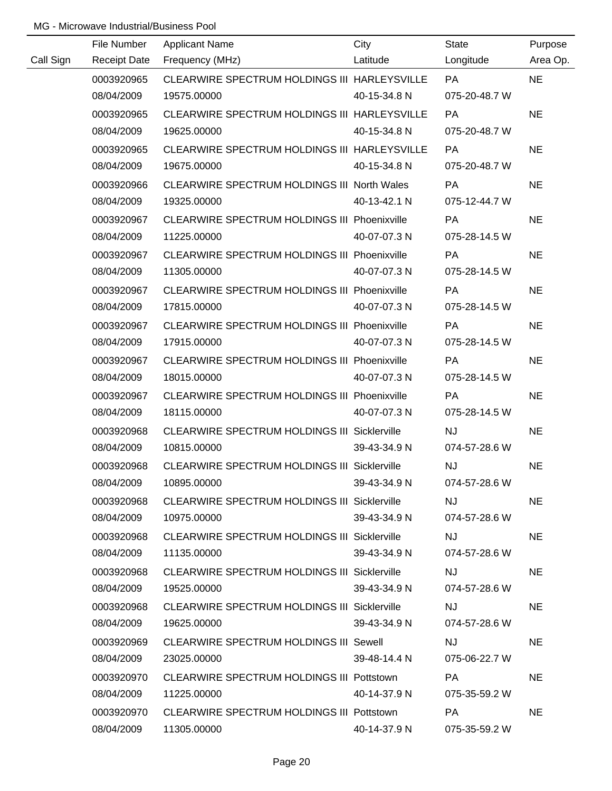|           | File Number         | <b>Applicant Name</b>                               | City         | State         | Purpose   |
|-----------|---------------------|-----------------------------------------------------|--------------|---------------|-----------|
| Call Sign | <b>Receipt Date</b> | Frequency (MHz)                                     | Latitude     | Longitude     | Area Op.  |
|           | 0003920965          | CLEARWIRE SPECTRUM HOLDINGS III HARLEYSVILLE        |              | <b>PA</b>     | <b>NE</b> |
|           | 08/04/2009          | 19575.00000                                         | 40-15-34.8 N | 075-20-48.7 W |           |
|           | 0003920965          | CLEARWIRE SPECTRUM HOLDINGS III HARLEYSVILLE        |              | <b>PA</b>     | <b>NE</b> |
|           | 08/04/2009          | 19625.00000                                         | 40-15-34.8 N | 075-20-48.7 W |           |
|           | 0003920965          | CLEARWIRE SPECTRUM HOLDINGS III HARLEYSVILLE        |              | PA            | <b>NE</b> |
|           | 08/04/2009          | 19675.00000                                         | 40-15-34.8 N | 075-20-48.7 W |           |
|           | 0003920966          | CLEARWIRE SPECTRUM HOLDINGS III North Wales         |              | <b>PA</b>     | <b>NE</b> |
|           | 08/04/2009          | 19325.00000                                         | 40-13-42.1 N | 075-12-44.7 W |           |
|           | 0003920967          | CLEARWIRE SPECTRUM HOLDINGS III Phoenixville        |              | PA            | <b>NE</b> |
|           | 08/04/2009          | 11225.00000                                         | 40-07-07.3 N | 075-28-14.5 W |           |
|           | 0003920967          | CLEARWIRE SPECTRUM HOLDINGS III Phoenixville        |              | PA            | <b>NE</b> |
|           | 08/04/2009          | 11305.00000                                         | 40-07-07.3 N | 075-28-14.5 W |           |
|           | 0003920967          | CLEARWIRE SPECTRUM HOLDINGS III Phoenixville        |              | PA            | <b>NE</b> |
|           | 08/04/2009          | 17815.00000                                         | 40-07-07.3 N | 075-28-14.5 W |           |
|           | 0003920967          | CLEARWIRE SPECTRUM HOLDINGS III Phoenixville        |              | <b>PA</b>     | <b>NE</b> |
|           | 08/04/2009          | 17915.00000                                         | 40-07-07.3 N | 075-28-14.5 W |           |
|           | 0003920967          | CLEARWIRE SPECTRUM HOLDINGS III Phoenixville        |              | PA            | <b>NE</b> |
|           | 08/04/2009          | 18015.00000                                         | 40-07-07.3 N | 075-28-14.5 W |           |
|           | 0003920967          | CLEARWIRE SPECTRUM HOLDINGS III Phoenixville        |              | <b>PA</b>     | <b>NE</b> |
|           | 08/04/2009          | 18115.00000                                         | 40-07-07.3 N | 075-28-14.5 W |           |
|           | 0003920968          | <b>CLEARWIRE SPECTRUM HOLDINGS III Sicklerville</b> |              | NJ            | <b>NE</b> |
|           | 08/04/2009          | 10815.00000                                         | 39-43-34.9 N | 074-57-28.6 W |           |
|           | 0003920968          | <b>CLEARWIRE SPECTRUM HOLDINGS III Sicklerville</b> |              | <b>NJ</b>     | <b>NE</b> |
|           | 08/04/2009          | 10895.00000                                         | 39-43-34.9 N | 074-57-28.6 W |           |
|           | 0003920968          | <b>CLEARWIRE SPECTRUM HOLDINGS III Sicklerville</b> |              | NJ.           | <b>NE</b> |
|           | 08/04/2009          | 10975.00000                                         | 39-43-34.9 N | 074-57-28.6 W |           |
|           | 0003920968          | <b>CLEARWIRE SPECTRUM HOLDINGS III Sicklerville</b> |              | NJ.           | <b>NE</b> |
|           | 08/04/2009          | 11135.00000                                         | 39-43-34.9 N | 074-57-28.6 W |           |
|           | 0003920968          | <b>CLEARWIRE SPECTRUM HOLDINGS III Sicklerville</b> |              | NJ.           | <b>NE</b> |
|           | 08/04/2009          | 19525.00000                                         | 39-43-34.9 N | 074-57-28.6 W |           |
|           | 0003920968          | <b>CLEARWIRE SPECTRUM HOLDINGS III Sicklerville</b> |              | <b>NJ</b>     | <b>NE</b> |
|           | 08/04/2009          | 19625.00000                                         | 39-43-34.9 N | 074-57-28.6 W |           |
|           | 0003920969          | <b>CLEARWIRE SPECTRUM HOLDINGS III Sewell</b>       |              | <b>NJ</b>     | <b>NE</b> |
|           | 08/04/2009          | 23025.00000                                         | 39-48-14.4 N | 075-06-22.7 W |           |
|           | 0003920970          | CLEARWIRE SPECTRUM HOLDINGS III Pottstown           |              | PA            | <b>NE</b> |
|           | 08/04/2009          | 11225.00000                                         | 40-14-37.9 N | 075-35-59.2 W |           |
|           | 0003920970          | CLEARWIRE SPECTRUM HOLDINGS III Pottstown           |              | PA            | <b>NE</b> |
|           | 08/04/2009          | 11305.00000                                         | 40-14-37.9 N | 075-35-59.2 W |           |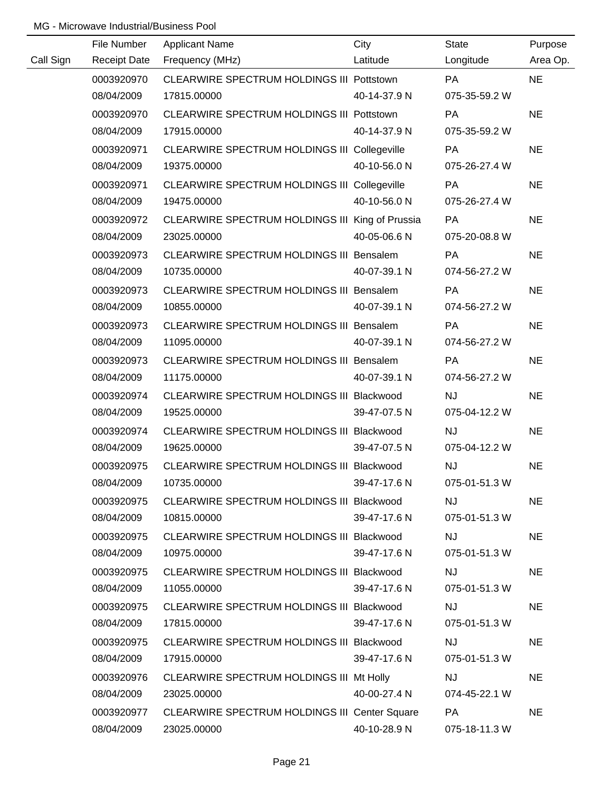|           | File Number         | <b>Applicant Name</b>                                | City         | State         | Purpose   |
|-----------|---------------------|------------------------------------------------------|--------------|---------------|-----------|
| Call Sign | <b>Receipt Date</b> | Frequency (MHz)                                      | Latitude     | Longitude     | Area Op.  |
|           | 0003920970          | CLEARWIRE SPECTRUM HOLDINGS III Pottstown            |              | PA            | <b>NE</b> |
|           | 08/04/2009          | 17815.00000                                          | 40-14-37.9 N | 075-35-59.2 W |           |
|           | 0003920970          | CLEARWIRE SPECTRUM HOLDINGS III Pottstown            |              | PA            | <b>NE</b> |
|           | 08/04/2009          | 17915.00000                                          | 40-14-37.9 N | 075-35-59.2 W |           |
|           | 0003920971          | CLEARWIRE SPECTRUM HOLDINGS III Collegeville         |              | <b>PA</b>     | <b>NE</b> |
|           | 08/04/2009          | 19375.00000                                          | 40-10-56.0 N | 075-26-27.4 W |           |
|           | 0003920971          | CLEARWIRE SPECTRUM HOLDINGS III Collegeville         |              | PA            | <b>NE</b> |
|           | 08/04/2009          | 19475.00000                                          | 40-10-56.0 N | 075-26-27.4 W |           |
|           | 0003920972          | CLEARWIRE SPECTRUM HOLDINGS III King of Prussia      |              | <b>PA</b>     | <b>NE</b> |
|           | 08/04/2009          | 23025.00000                                          | 40-05-06.6 N | 075-20-08.8 W |           |
|           | 0003920973          | CLEARWIRE SPECTRUM HOLDINGS III Bensalem             |              | PA            | <b>NE</b> |
|           | 08/04/2009          | 10735.00000                                          | 40-07-39.1 N | 074-56-27.2 W |           |
|           | 0003920973          | CLEARWIRE SPECTRUM HOLDINGS III Bensalem             |              | <b>PA</b>     | <b>NE</b> |
|           | 08/04/2009          | 10855.00000                                          | 40-07-39.1 N | 074-56-27.2 W |           |
|           | 0003920973          | CLEARWIRE SPECTRUM HOLDINGS III Bensalem             |              | <b>PA</b>     | <b>NE</b> |
|           | 08/04/2009          | 11095.00000                                          | 40-07-39.1 N | 074-56-27.2 W |           |
|           | 0003920973          | CLEARWIRE SPECTRUM HOLDINGS III Bensalem             |              | <b>PA</b>     | <b>NE</b> |
|           | 08/04/2009          | 11175.00000                                          | 40-07-39.1 N | 074-56-27.2 W |           |
|           | 0003920974          | CLEARWIRE SPECTRUM HOLDINGS III Blackwood            |              | <b>NJ</b>     | <b>NE</b> |
|           | 08/04/2009          | 19525.00000                                          | 39-47-07.5 N | 075-04-12.2 W |           |
|           | 0003920974          | CLEARWIRE SPECTRUM HOLDINGS III Blackwood            |              | NJ            | <b>NE</b> |
|           | 08/04/2009          | 19625.00000                                          | 39-47-07.5 N | 075-04-12.2 W |           |
|           | 0003920975          | CLEARWIRE SPECTRUM HOLDINGS III Blackwood            |              | NJ            | <b>NE</b> |
|           | 08/04/2009          | 10735.00000                                          | 39-47-17.6 N | 075-01-51.3 W |           |
|           | 0003920975          | CLEARWIRE SPECTRUM HOLDINGS III Blackwood            |              | <b>NJ</b>     | <b>NE</b> |
|           | 08/04/2009          | 10815.00000                                          | 39-47-17.6 N | 075-01-51.3 W |           |
|           | 0003920975          | CLEARWIRE SPECTRUM HOLDINGS III Blackwood            |              | <b>NJ</b>     | <b>NE</b> |
|           | 08/04/2009          | 10975.00000                                          | 39-47-17.6 N | 075-01-51.3 W |           |
|           | 0003920975          | CLEARWIRE SPECTRUM HOLDINGS III Blackwood            |              | <b>NJ</b>     | <b>NE</b> |
|           | 08/04/2009          | 11055.00000                                          | 39-47-17.6 N | 075-01-51.3 W |           |
|           | 0003920975          | CLEARWIRE SPECTRUM HOLDINGS III Blackwood            |              | <b>NJ</b>     | <b>NE</b> |
|           | 08/04/2009          | 17815.00000                                          | 39-47-17.6 N | 075-01-51.3 W |           |
|           | 0003920975          | CLEARWIRE SPECTRUM HOLDINGS III Blackwood            |              | <b>NJ</b>     | <b>NE</b> |
|           | 08/04/2009          | 17915.00000                                          | 39-47-17.6 N | 075-01-51.3 W |           |
|           | 0003920976          | CLEARWIRE SPECTRUM HOLDINGS III Mt Holly             |              | <b>NJ</b>     | <b>NE</b> |
|           | 08/04/2009          | 23025.00000                                          | 40-00-27.4 N | 074-45-22.1 W |           |
|           | 0003920977          | <b>CLEARWIRE SPECTRUM HOLDINGS III Center Square</b> |              | <b>PA</b>     | <b>NE</b> |
|           | 08/04/2009          | 23025.00000                                          | 40-10-28.9 N | 075-18-11.3 W |           |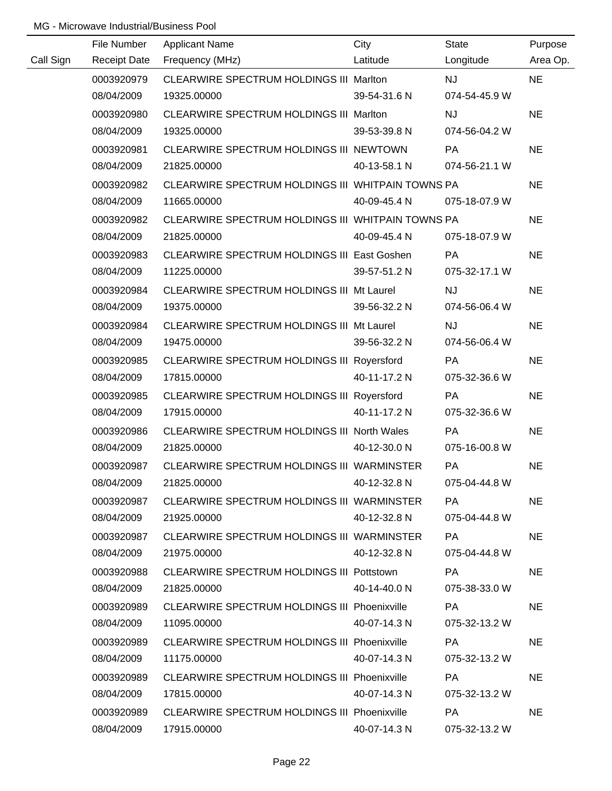|           | File Number | <b>Applicant Name</b>                             | City         | State         | Purpose   |
|-----------|-------------|---------------------------------------------------|--------------|---------------|-----------|
| Call Sign |             | Receipt Date Frequency (MHz)                      | Latitude     | Longitude     | Area Op.  |
|           | 0003920979  | CLEARWIRE SPECTRUM HOLDINGS III Marlton           |              | <b>NJ</b>     | <b>NE</b> |
|           | 08/04/2009  | 19325.00000                                       | 39-54-31.6 N | 074-54-45.9 W |           |
|           | 0003920980  | CLEARWIRE SPECTRUM HOLDINGS III Marlton           |              | <b>NJ</b>     | <b>NE</b> |
|           | 08/04/2009  | 19325.00000                                       | 39-53-39.8 N | 074-56-04.2 W |           |
|           | 0003920981  | CLEARWIRE SPECTRUM HOLDINGS III NEWTOWN           |              | PA            | <b>NE</b> |
|           | 08/04/2009  | 21825.00000                                       | 40-13-58.1 N | 074-56-21.1 W |           |
|           | 0003920982  | CLEARWIRE SPECTRUM HOLDINGS III WHITPAIN TOWNS PA |              |               | <b>NE</b> |
|           | 08/04/2009  | 11665.00000                                       | 40-09-45.4 N | 075-18-07.9 W |           |
|           | 0003920982  | CLEARWIRE SPECTRUM HOLDINGS III WHITPAIN TOWNS PA |              |               | <b>NE</b> |
|           | 08/04/2009  | 21825.00000                                       | 40-09-45.4 N | 075-18-07.9 W |           |
|           | 0003920983  | CLEARWIRE SPECTRUM HOLDINGS III East Goshen       |              | PA            | <b>NE</b> |
|           | 08/04/2009  | 11225.00000                                       | 39-57-51.2 N | 075-32-17.1 W |           |
|           | 0003920984  | CLEARWIRE SPECTRUM HOLDINGS III Mt Laurel         |              | <b>NJ</b>     | <b>NE</b> |
|           | 08/04/2009  | 19375.00000                                       | 39-56-32.2 N | 074-56-06.4 W |           |
|           | 0003920984  | CLEARWIRE SPECTRUM HOLDINGS III Mt Laurel         |              | <b>NJ</b>     | <b>NE</b> |
|           | 08/04/2009  | 19475.00000                                       | 39-56-32.2 N | 074-56-06.4 W |           |
|           | 0003920985  | CLEARWIRE SPECTRUM HOLDINGS III Royersford        |              | <b>PA</b>     | <b>NE</b> |
|           | 08/04/2009  | 17815.00000                                       | 40-11-17.2 N | 075-32-36.6 W |           |
|           | 0003920985  | CLEARWIRE SPECTRUM HOLDINGS III Royersford        |              | <b>PA</b>     | <b>NE</b> |
|           | 08/04/2009  | 17915.00000                                       | 40-11-17.2 N | 075-32-36.6 W |           |
|           | 0003920986  | CLEARWIRE SPECTRUM HOLDINGS III North Wales       |              | PA            | <b>NE</b> |
|           | 08/04/2009  | 21825.00000                                       | 40-12-30.0 N | 075-16-00.8 W |           |
|           | 0003920987  | CLEARWIRE SPECTRUM HOLDINGS III WARMINSTER        |              | PA            | <b>NE</b> |
|           | 08/04/2009  | 21825.00000                                       | 40-12-32.8 N | 075-04-44.8 W |           |
|           | 0003920987  | CLEARWIRE SPECTRUM HOLDINGS III WARMINSTER        |              | <b>PA</b>     | <b>NE</b> |
|           | 08/04/2009  | 21925.00000                                       | 40-12-32.8 N | 075-04-44.8 W |           |
|           | 0003920987  | CLEARWIRE SPECTRUM HOLDINGS III WARMINSTER        |              | PA.           | <b>NE</b> |
|           | 08/04/2009  | 21975.00000                                       | 40-12-32.8 N | 075-04-44.8 W |           |
|           | 0003920988  | CLEARWIRE SPECTRUM HOLDINGS III Pottstown         |              | PA.           | <b>NE</b> |
|           | 08/04/2009  | 21825.00000                                       | 40-14-40.0 N | 075-38-33.0 W |           |
|           | 0003920989  | CLEARWIRE SPECTRUM HOLDINGS III Phoenixville      |              | PA.           | <b>NE</b> |
|           | 08/04/2009  | 11095.00000                                       | 40-07-14.3 N | 075-32-13.2 W |           |
|           | 0003920989  | CLEARWIRE SPECTRUM HOLDINGS III Phoenixville      |              | PA.           | <b>NE</b> |
|           | 08/04/2009  | 11175.00000                                       | 40-07-14.3 N | 075-32-13.2 W |           |
|           | 0003920989  | CLEARWIRE SPECTRUM HOLDINGS III Phoenixville      |              | PA.           | <b>NE</b> |
|           | 08/04/2009  | 17815.00000                                       | 40-07-14.3 N | 075-32-13.2 W |           |
|           | 0003920989  | CLEARWIRE SPECTRUM HOLDINGS III Phoenixville      |              | <b>PA</b>     | <b>NE</b> |
|           | 08/04/2009  | 17915.00000                                       | 40-07-14.3 N | 075-32-13.2 W |           |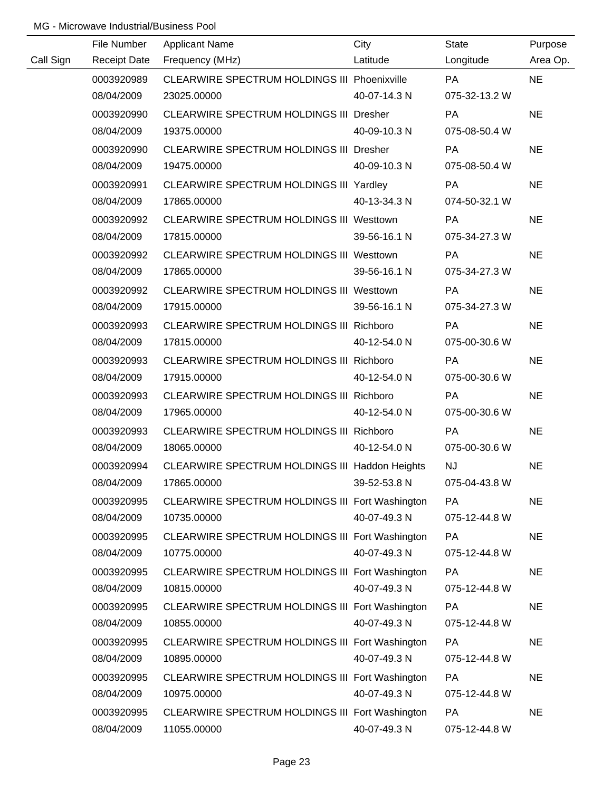|           | File Number         | <b>Applicant Name</b>                           | City         | State         | Purpose   |
|-----------|---------------------|-------------------------------------------------|--------------|---------------|-----------|
| Call Sign | <b>Receipt Date</b> | Frequency (MHz)                                 | Latitude     | Longitude     | Area Op.  |
|           | 0003920989          | CLEARWIRE SPECTRUM HOLDINGS III Phoenixville    |              | <b>PA</b>     | <b>NE</b> |
|           | 08/04/2009          | 23025.00000                                     | 40-07-14.3 N | 075-32-13.2 W |           |
|           | 0003920990          | CLEARWIRE SPECTRUM HOLDINGS III Dresher         |              | PA            | <b>NE</b> |
|           | 08/04/2009          | 19375.00000                                     | 40-09-10.3 N | 075-08-50.4 W |           |
|           | 0003920990          | <b>CLEARWIRE SPECTRUM HOLDINGS III Dresher</b>  |              | <b>PA</b>     | <b>NE</b> |
|           | 08/04/2009          | 19475.00000                                     | 40-09-10.3 N | 075-08-50.4 W |           |
|           | 0003920991          | CLEARWIRE SPECTRUM HOLDINGS III Yardley         |              | PA            | <b>NE</b> |
|           | 08/04/2009          | 17865.00000                                     | 40-13-34.3 N | 074-50-32.1 W |           |
|           | 0003920992          | CLEARWIRE SPECTRUM HOLDINGS III Westtown        |              | PA            | <b>NE</b> |
|           | 08/04/2009          | 17815.00000                                     | 39-56-16.1 N | 075-34-27.3 W |           |
|           | 0003920992          | CLEARWIRE SPECTRUM HOLDINGS III Westtown        |              | <b>PA</b>     | <b>NE</b> |
|           | 08/04/2009          | 17865.00000                                     | 39-56-16.1 N | 075-34-27.3 W |           |
|           | 0003920992          | CLEARWIRE SPECTRUM HOLDINGS III Westtown        |              | <b>PA</b>     | <b>NE</b> |
|           | 08/04/2009          | 17915.00000                                     | 39-56-16.1 N | 075-34-27.3 W |           |
|           | 0003920993          | CLEARWIRE SPECTRUM HOLDINGS III Richboro        |              | <b>PA</b>     | <b>NE</b> |
|           | 08/04/2009          | 17815.00000                                     | 40-12-54.0 N | 075-00-30.6 W |           |
|           | 0003920993          | CLEARWIRE SPECTRUM HOLDINGS III Richboro        |              | PA            | <b>NE</b> |
|           | 08/04/2009          | 17915.00000                                     | 40-12-54.0 N | 075-00-30.6 W |           |
|           | 0003920993          | CLEARWIRE SPECTRUM HOLDINGS III Richboro        |              | PA            | <b>NE</b> |
|           | 08/04/2009          | 17965.00000                                     | 40-12-54.0 N | 075-00-30.6 W |           |
|           | 0003920993          | CLEARWIRE SPECTRUM HOLDINGS III Richboro        |              | PA            | <b>NE</b> |
|           | 08/04/2009          | 18065.00000                                     | 40-12-54.0 N | 075-00-30.6 W |           |
|           | 0003920994          | CLEARWIRE SPECTRUM HOLDINGS III Haddon Heights  |              | <b>NJ</b>     | <b>NE</b> |
|           | 08/04/2009          | 17865.00000                                     | 39-52-53.8 N | 075-04-43.8 W |           |
|           | 0003920995          | CLEARWIRE SPECTRUM HOLDINGS III Fort Washington |              | PA            | <b>NE</b> |
|           | 08/04/2009          | 10735.00000                                     | 40-07-49.3 N | 075-12-44.8 W |           |
|           | 0003920995          | CLEARWIRE SPECTRUM HOLDINGS III Fort Washington |              | <b>PA</b>     | <b>NE</b> |
|           | 08/04/2009          | 10775.00000                                     | 40-07-49.3 N | 075-12-44.8 W |           |
|           | 0003920995          | CLEARWIRE SPECTRUM HOLDINGS III Fort Washington |              | <b>PA</b>     | <b>NE</b> |
|           | 08/04/2009          | 10815.00000                                     | 40-07-49.3 N | 075-12-44.8 W |           |
|           | 0003920995          | CLEARWIRE SPECTRUM HOLDINGS III Fort Washington |              | <b>PA</b>     | <b>NE</b> |
|           | 08/04/2009          | 10855.00000                                     | 40-07-49.3 N | 075-12-44.8 W |           |
|           | 0003920995          | CLEARWIRE SPECTRUM HOLDINGS III Fort Washington |              | <b>PA</b>     | <b>NE</b> |
|           | 08/04/2009          | 10895.00000                                     | 40-07-49.3 N | 075-12-44.8 W |           |
|           | 0003920995          | CLEARWIRE SPECTRUM HOLDINGS III Fort Washington |              | <b>PA</b>     | <b>NE</b> |
|           | 08/04/2009          | 10975.00000                                     | 40-07-49.3 N | 075-12-44.8 W |           |
|           | 0003920995          | CLEARWIRE SPECTRUM HOLDINGS III Fort Washington |              | PA            | <b>NE</b> |
|           | 08/04/2009          | 11055.00000                                     | 40-07-49.3 N | 075-12-44.8 W |           |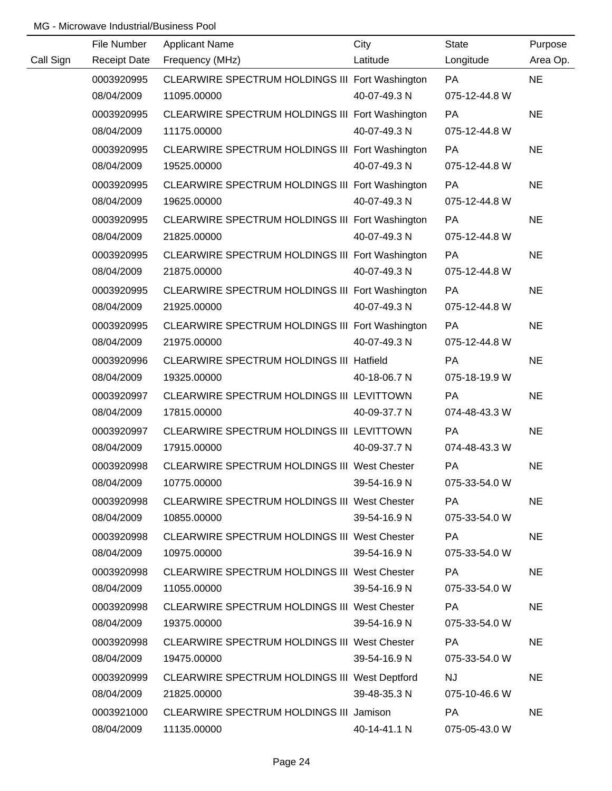|           | File Number | <b>Applicant Name</b>                           | City         | <b>State</b>  | Purpose   |
|-----------|-------------|-------------------------------------------------|--------------|---------------|-----------|
| Call Sign |             | Receipt Date Frequency (MHz)                    | Latitude     | Longitude     | Area Op.  |
|           | 0003920995  | CLEARWIRE SPECTRUM HOLDINGS III Fort Washington |              | <b>PA</b>     | <b>NE</b> |
|           | 08/04/2009  | 11095.00000                                     | 40-07-49.3 N | 075-12-44.8 W |           |
|           | 0003920995  | CLEARWIRE SPECTRUM HOLDINGS III Fort Washington |              | PA            | <b>NE</b> |
|           | 08/04/2009  | 11175.00000                                     | 40-07-49.3 N | 075-12-44.8 W |           |
|           | 0003920995  | CLEARWIRE SPECTRUM HOLDINGS III Fort Washington |              | PA            | <b>NE</b> |
|           | 08/04/2009  | 19525.00000                                     | 40-07-49.3 N | 075-12-44.8 W |           |
|           | 0003920995  | CLEARWIRE SPECTRUM HOLDINGS III Fort Washington |              | PA            | <b>NE</b> |
|           | 08/04/2009  | 19625.00000                                     | 40-07-49.3 N | 075-12-44.8 W |           |
|           | 0003920995  | CLEARWIRE SPECTRUM HOLDINGS III Fort Washington |              | PA            | <b>NE</b> |
|           | 08/04/2009  | 21825.00000                                     | 40-07-49.3 N | 075-12-44.8 W |           |
|           | 0003920995  | CLEARWIRE SPECTRUM HOLDINGS III Fort Washington |              | PA            | <b>NE</b> |
|           | 08/04/2009  | 21875.00000                                     | 40-07-49.3 N | 075-12-44.8 W |           |
|           | 0003920995  | CLEARWIRE SPECTRUM HOLDINGS III Fort Washington |              | PA            | <b>NE</b> |
|           | 08/04/2009  | 21925.00000                                     | 40-07-49.3 N | 075-12-44.8 W |           |
|           | 0003920995  | CLEARWIRE SPECTRUM HOLDINGS III Fort Washington |              | PA            | <b>NE</b> |
|           | 08/04/2009  | 21975.00000                                     | 40-07-49.3 N | 075-12-44.8 W |           |
|           | 0003920996  | CLEARWIRE SPECTRUM HOLDINGS III Hatfield        |              | PA            | <b>NE</b> |
|           | 08/04/2009  | 19325.00000                                     | 40-18-06.7 N | 075-18-19.9 W |           |
|           | 0003920997  | CLEARWIRE SPECTRUM HOLDINGS III LEVITTOWN       |              | PA            | <b>NE</b> |
|           | 08/04/2009  | 17815.00000                                     | 40-09-37.7 N | 074-48-43.3 W |           |
|           | 0003920997  | CLEARWIRE SPECTRUM HOLDINGS III LEVITTOWN       |              | <b>PA</b>     | <b>NE</b> |
|           | 08/04/2009  | 17915.00000                                     | 40-09-37.7 N | 074-48-43.3 W |           |
|           | 0003920998  | CLEARWIRE SPECTRUM HOLDINGS III West Chester    |              | PA            | <b>NE</b> |
|           | 08/04/2009  | 10775.00000                                     | 39-54-16.9 N | 075-33-54.0 W |           |
|           | 0003920998  | CLEARWIRE SPECTRUM HOLDINGS III West Chester    |              | PA            | <b>NE</b> |
|           | 08/04/2009  | 10855.00000                                     | 39-54-16.9 N | 075-33-54.0 W |           |
|           | 0003920998  | CLEARWIRE SPECTRUM HOLDINGS III West Chester    |              | <b>PA</b>     | <b>NE</b> |
|           | 08/04/2009  | 10975.00000                                     | 39-54-16.9 N | 075-33-54.0 W |           |
|           | 0003920998  | CLEARWIRE SPECTRUM HOLDINGS III West Chester    |              | <b>PA</b>     | <b>NE</b> |
|           | 08/04/2009  | 11055.00000                                     | 39-54-16.9 N | 075-33-54.0 W |           |
|           | 0003920998  | CLEARWIRE SPECTRUM HOLDINGS III West Chester    |              | PA            | <b>NE</b> |
|           | 08/04/2009  | 19375.00000                                     | 39-54-16.9 N | 075-33-54.0 W |           |
|           | 0003920998  | CLEARWIRE SPECTRUM HOLDINGS III West Chester    |              | <b>PA</b>     | <b>NE</b> |
|           | 08/04/2009  | 19475.00000                                     | 39-54-16.9 N | 075-33-54.0 W |           |
|           | 0003920999  | CLEARWIRE SPECTRUM HOLDINGS III West Deptford   |              | <b>NJ</b>     | <b>NE</b> |
|           | 08/04/2009  | 21825.00000                                     | 39-48-35.3 N | 075-10-46.6 W |           |
|           | 0003921000  | CLEARWIRE SPECTRUM HOLDINGS III Jamison         |              | PA            | <b>NE</b> |
|           | 08/04/2009  | 11135.00000                                     | 40-14-41.1 N | 075-05-43.0 W |           |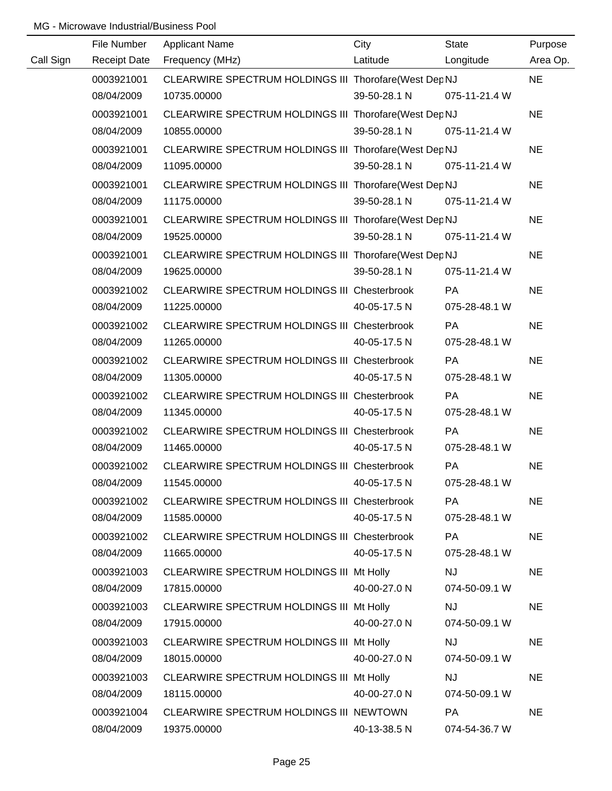| City<br>File Number<br><b>Applicant Name</b><br>State                                                                                          |                     |
|------------------------------------------------------------------------------------------------------------------------------------------------|---------------------|
| Call Sign<br>Latitude<br>Receipt Date Frequency (MHz)<br>Longitude                                                                             | Purpose<br>Area Op. |
| CLEARWIRE SPECTRUM HOLDINGS III Thorofare(West Dep NJ<br>0003921001<br><b>NE</b>                                                               |                     |
| 08/04/2009<br>39-50-28.1 N 075-11-21.4 W<br>10735.00000                                                                                        |                     |
| <b>NE</b><br>0003921001<br>CLEARWIRE SPECTRUM HOLDINGS III Thorofare(West Dep NJ                                                               |                     |
| 39-50-28.1 N 075-11-21.4 W<br>08/04/2009<br>10855.00000                                                                                        |                     |
| <b>NE</b><br>0003921001<br>CLEARWIRE SPECTRUM HOLDINGS III Thorofare(West Dep NJ                                                               |                     |
| 08/04/2009<br>11095.00000<br>39-50-28.1 N 075-11-21.4 W                                                                                        |                     |
| <b>NE</b><br>0003921001<br>CLEARWIRE SPECTRUM HOLDINGS III Thorofare(West Dep NJ                                                               |                     |
| 39-50-28.1 N<br>075-11-21.4 W<br>08/04/2009<br>11175.00000                                                                                     |                     |
| <b>NE</b><br>0003921001<br>CLEARWIRE SPECTRUM HOLDINGS III Thorofare(West Dep NJ                                                               |                     |
| 08/04/2009<br>39-50-28.1 N<br>075-11-21.4 W<br>19525.00000                                                                                     |                     |
| 0003921001<br>CLEARWIRE SPECTRUM HOLDINGS III Thorofare(West Dep NJ<br><b>NE</b>                                                               |                     |
| 39-50-28.1 N<br>075-11-21.4 W<br>08/04/2009<br>19625.00000                                                                                     |                     |
| 0003921002<br>CLEARWIRE SPECTRUM HOLDINGS III Chesterbrook<br>PA<br><b>NE</b>                                                                  |                     |
| 08/04/2009<br>11225.00000<br>40-05-17.5 N<br>075-28-48.1 W                                                                                     |                     |
| 0003921002<br>CLEARWIRE SPECTRUM HOLDINGS III Chesterbrook<br><b>PA</b><br><b>NE</b>                                                           |                     |
| 08/04/2009<br>40-05-17.5 N<br>11265.00000<br>075-28-48.1 W                                                                                     |                     |
| 0003921002<br>CLEARWIRE SPECTRUM HOLDINGS III Chesterbrook<br><b>PA</b><br><b>NE</b>                                                           |                     |
| 08/04/2009<br>11305.00000<br>40-05-17.5 N<br>075-28-48.1 W                                                                                     |                     |
| <b>NE</b><br>0003921002<br><b>PA</b><br>CLEARWIRE SPECTRUM HOLDINGS III Chesterbrook                                                           |                     |
| 08/04/2009<br>11345.00000<br>40-05-17.5 N<br>075-28-48.1 W                                                                                     |                     |
| <b>NE</b><br>0003921002<br>CLEARWIRE SPECTRUM HOLDINGS III Chesterbrook<br><b>PA</b>                                                           |                     |
| 08/04/2009<br>40-05-17.5 N<br>11465.00000<br>075-28-48.1 W                                                                                     |                     |
| 0003921002<br>CLEARWIRE SPECTRUM HOLDINGS III Chesterbrook<br>PA<br><b>NE</b>                                                                  |                     |
| 08/04/2009<br>11545.00000<br>40-05-17.5 N<br>075-28-48.1 W                                                                                     |                     |
| 0003921002<br>CLEARWIRE SPECTRUM HOLDINGS III Chesterbrook<br>PA<br><b>NE</b>                                                                  |                     |
| 08/04/2009<br>11585.00000<br>40-05-17.5 N<br>075-28-48.1 W                                                                                     |                     |
| CLEARWIRE SPECTRUM HOLDINGS III Chesterbrook<br>0003921002<br>PA<br><b>NE</b>                                                                  |                     |
| 08/04/2009<br>40-05-17.5 N<br>11665.00000<br>075-28-48.1 W                                                                                     |                     |
| 0003921003<br><b>NJ</b><br><b>NE</b><br>CLEARWIRE SPECTRUM HOLDINGS III Mt Holly                                                               |                     |
| 08/04/2009<br>17815.00000<br>40-00-27.0 N<br>074-50-09.1 W                                                                                     |                     |
| 0003921003<br>CLEARWIRE SPECTRUM HOLDINGS III Mt Holly<br><b>NJ</b><br><b>NE</b>                                                               |                     |
| 08/04/2009<br>40-00-27.0 N<br>074-50-09.1 W<br>17915.00000                                                                                     |                     |
| 0003921003<br><b>NJ</b><br><b>NE</b><br>CLEARWIRE SPECTRUM HOLDINGS III Mt Holly                                                               |                     |
| 08/04/2009<br>40-00-27.0 N<br>074-50-09.1 W<br>18015.00000                                                                                     |                     |
| 0003921003<br><b>NJ</b><br><b>NE</b><br>CLEARWIRE SPECTRUM HOLDINGS III Mt Holly<br>08/04/2009<br>074-50-09.1 W<br>18115.00000<br>40-00-27.0 N |                     |
| 0003921004<br><b>PA</b><br><b>NE</b>                                                                                                           |                     |
| CLEARWIRE SPECTRUM HOLDINGS III NEWTOWN<br>08/04/2009<br>19375.00000<br>40-13-38.5 N<br>074-54-36.7 W                                          |                     |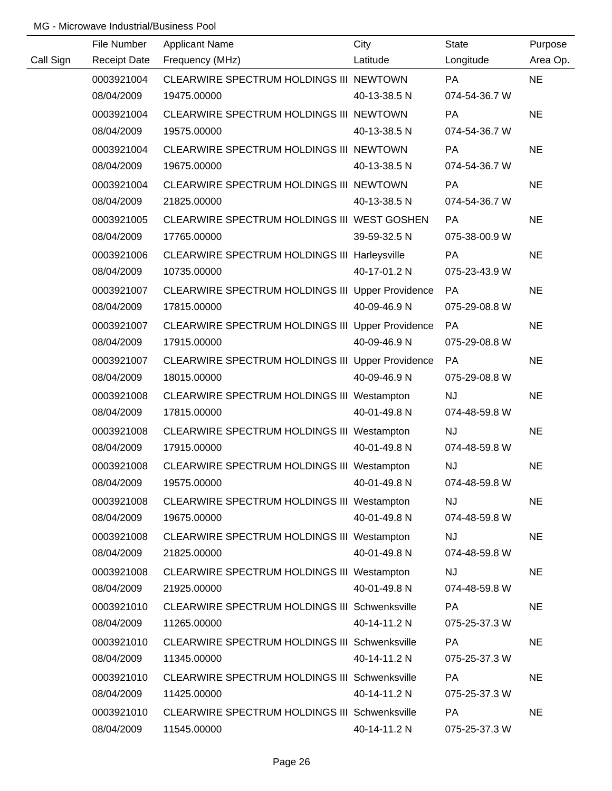|           | File Number         | <b>Applicant Name</b>                                | City         | <b>State</b>  | Purpose   |
|-----------|---------------------|------------------------------------------------------|--------------|---------------|-----------|
| Call Sign | <b>Receipt Date</b> | Frequency (MHz)                                      | Latitude     | Longitude     | Area Op.  |
|           | 0003921004          | CLEARWIRE SPECTRUM HOLDINGS III NEWTOWN              |              | <b>PA</b>     | <b>NE</b> |
|           | 08/04/2009          | 19475.00000                                          | 40-13-38.5 N | 074-54-36.7 W |           |
|           | 0003921004          | CLEARWIRE SPECTRUM HOLDINGS III NEWTOWN              |              | PA            | <b>NE</b> |
|           | 08/04/2009          | 19575.00000                                          | 40-13-38.5 N | 074-54-36.7 W |           |
|           | 0003921004          | CLEARWIRE SPECTRUM HOLDINGS III NEWTOWN              |              | <b>PA</b>     | <b>NE</b> |
|           | 08/04/2009          | 19675.00000                                          | 40-13-38.5 N | 074-54-36.7 W |           |
|           | 0003921004          | CLEARWIRE SPECTRUM HOLDINGS III NEWTOWN              |              | PA            | <b>NE</b> |
|           | 08/04/2009          | 21825.00000                                          | 40-13-38.5 N | 074-54-36.7 W |           |
|           | 0003921005          | CLEARWIRE SPECTRUM HOLDINGS III WEST GOSHEN          |              | <b>PA</b>     | <b>NE</b> |
|           | 08/04/2009          | 17765.00000                                          | 39-59-32.5 N | 075-38-00.9 W |           |
|           | 0003921006          | <b>CLEARWIRE SPECTRUM HOLDINGS III Harleysville</b>  |              | PA            | <b>NE</b> |
|           | 08/04/2009          | 10735.00000                                          | 40-17-01.2 N | 075-23-43.9 W |           |
|           | 0003921007          | CLEARWIRE SPECTRUM HOLDINGS III Upper Providence     |              | PA            | <b>NE</b> |
|           | 08/04/2009          | 17815.00000                                          | 40-09-46.9 N | 075-29-08.8 W |           |
|           | 0003921007          | CLEARWIRE SPECTRUM HOLDINGS III Upper Providence     |              | PA            | <b>NE</b> |
|           | 08/04/2009          | 17915.00000                                          | 40-09-46.9 N | 075-29-08.8 W |           |
|           | 0003921007          | CLEARWIRE SPECTRUM HOLDINGS III Upper Providence     |              | PA            | <b>NE</b> |
|           | 08/04/2009          | 18015.00000                                          | 40-09-46.9 N | 075-29-08.8 W |           |
|           | 0003921008          | CLEARWIRE SPECTRUM HOLDINGS III Westampton           |              | <b>NJ</b>     | <b>NE</b> |
|           | 08/04/2009          | 17815.00000                                          | 40-01-49.8 N | 074-48-59.8 W |           |
|           | 0003921008          | CLEARWIRE SPECTRUM HOLDINGS III Westampton           |              | <b>NJ</b>     | <b>NE</b> |
|           | 08/04/2009          | 17915.00000                                          | 40-01-49.8 N | 074-48-59.8 W |           |
|           | 0003921008          | CLEARWIRE SPECTRUM HOLDINGS III Westampton           |              | <b>NJ</b>     | <b>NE</b> |
|           | 08/04/2009          | 19575.00000                                          | 40-01-49.8 N | 074-48-59.8 W |           |
|           | 0003921008          | CLEARWIRE SPECTRUM HOLDINGS III Westampton           |              | <b>NJ</b>     | <b>NE</b> |
|           | 08/04/2009          | 19675.00000                                          | 40-01-49.8 N | 074-48-59.8 W |           |
|           | 0003921008          | CLEARWIRE SPECTRUM HOLDINGS III Westampton           |              | <b>NJ</b>     | <b>NE</b> |
|           | 08/04/2009          | 21825.00000                                          | 40-01-49.8 N | 074-48-59.8 W |           |
|           | 0003921008          | CLEARWIRE SPECTRUM HOLDINGS III Westampton           |              | <b>NJ</b>     | <b>NE</b> |
|           | 08/04/2009          | 21925.00000                                          | 40-01-49.8 N | 074-48-59.8 W |           |
|           | 0003921010          | CLEARWIRE SPECTRUM HOLDINGS III Schwenksville        |              | PA            | <b>NE</b> |
|           | 08/04/2009          | 11265.00000                                          | 40-14-11.2 N | 075-25-37.3 W |           |
|           | 0003921010          | CLEARWIRE SPECTRUM HOLDINGS III Schwenksville        |              | PA            | <b>NE</b> |
|           | 08/04/2009          | 11345.00000                                          | 40-14-11.2 N | 075-25-37.3 W |           |
|           | 0003921010          | CLEARWIRE SPECTRUM HOLDINGS III Schwenksville        |              | <b>PA</b>     | <b>NE</b> |
|           | 08/04/2009          | 11425.00000                                          | 40-14-11.2 N | 075-25-37.3 W |           |
|           | 0003921010          | <b>CLEARWIRE SPECTRUM HOLDINGS III Schwenksville</b> |              | PA            | <b>NE</b> |
|           | 08/04/2009          | 11545.00000                                          | 40-14-11.2 N | 075-25-37.3 W |           |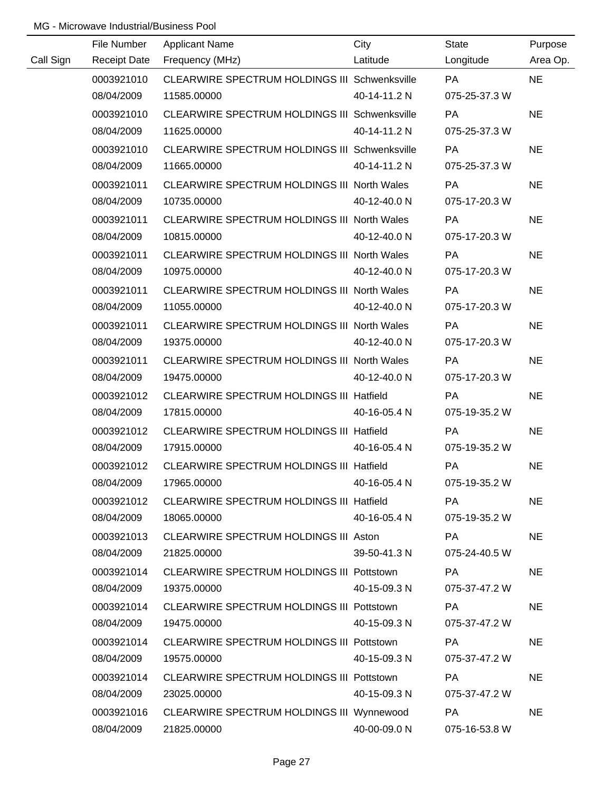|           | File Number         | <b>Applicant Name</b>                                | City         | <b>State</b>  | Purpose   |
|-----------|---------------------|------------------------------------------------------|--------------|---------------|-----------|
| Call Sign | <b>Receipt Date</b> | Frequency (MHz)                                      | Latitude     | Longitude     | Area Op.  |
|           | 0003921010          | <b>CLEARWIRE SPECTRUM HOLDINGS III Schwenksville</b> |              | <b>PA</b>     | <b>NE</b> |
|           | 08/04/2009          | 11585.00000                                          | 40-14-11.2 N | 075-25-37.3 W |           |
|           | 0003921010          | CLEARWIRE SPECTRUM HOLDINGS III Schwenksville        |              | PA            | <b>NE</b> |
|           | 08/04/2009          | 11625.00000                                          | 40-14-11.2 N | 075-25-37.3 W |           |
|           | 0003921010          | CLEARWIRE SPECTRUM HOLDINGS III Schwenksville        |              | PA            | <b>NE</b> |
|           | 08/04/2009          | 11665.00000                                          | 40-14-11.2 N | 075-25-37.3 W |           |
|           | 0003921011          | CLEARWIRE SPECTRUM HOLDINGS III North Wales          |              | <b>PA</b>     | <b>NE</b> |
|           | 08/04/2009          | 10735.00000                                          | 40-12-40.0 N | 075-17-20.3 W |           |
|           | 0003921011          | CLEARWIRE SPECTRUM HOLDINGS III North Wales          |              | <b>PA</b>     | <b>NE</b> |
|           | 08/04/2009          | 10815.00000                                          | 40-12-40.0 N | 075-17-20.3 W |           |
|           | 0003921011          | CLEARWIRE SPECTRUM HOLDINGS III North Wales          |              | PA            | <b>NE</b> |
|           | 08/04/2009          | 10975.00000                                          | 40-12-40.0 N | 075-17-20.3 W |           |
|           | 0003921011          | CLEARWIRE SPECTRUM HOLDINGS III North Wales          |              | PA            | <b>NE</b> |
|           | 08/04/2009          | 11055.00000                                          | 40-12-40.0 N | 075-17-20.3 W |           |
|           | 0003921011          | CLEARWIRE SPECTRUM HOLDINGS III North Wales          |              | PA            | <b>NE</b> |
|           | 08/04/2009          | 19375.00000                                          | 40-12-40.0 N | 075-17-20.3 W |           |
|           | 0003921011          | CLEARWIRE SPECTRUM HOLDINGS III North Wales          |              | PA            | <b>NE</b> |
|           | 08/04/2009          | 19475.00000                                          | 40-12-40.0 N | 075-17-20.3 W |           |
|           | 0003921012          | <b>CLEARWIRE SPECTRUM HOLDINGS III Hatfield</b>      |              | PA            | <b>NE</b> |
|           | 08/04/2009          | 17815.00000                                          | 40-16-05.4 N | 075-19-35.2 W |           |
|           | 0003921012          | <b>CLEARWIRE SPECTRUM HOLDINGS III Hatfield</b>      |              | PA            | <b>NE</b> |
|           | 08/04/2009          | 17915.00000                                          | 40-16-05.4 N | 075-19-35.2 W |           |
|           | 0003921012          | CLEARWIRE SPECTRUM HOLDINGS III Hatfield             |              | PA            | <b>NE</b> |
|           | 08/04/2009          | 17965.00000                                          | 40-16-05.4 N | 075-19-35.2 W |           |
|           | 0003921012          | CLEARWIRE SPECTRUM HOLDINGS III Hatfield             |              | PA            | <b>NE</b> |
|           | 08/04/2009          | 18065.00000                                          | 40-16-05.4 N | 075-19-35.2 W |           |
|           | 0003921013          | CLEARWIRE SPECTRUM HOLDINGS III Aston                |              | PA            | <b>NE</b> |
|           | 08/04/2009          | 21825.00000                                          | 39-50-41.3 N | 075-24-40.5 W |           |
|           | 0003921014          | CLEARWIRE SPECTRUM HOLDINGS III Pottstown            |              | PA            | <b>NE</b> |
|           | 08/04/2009          | 19375.00000                                          | 40-15-09.3 N | 075-37-47.2 W |           |
|           | 0003921014          | CLEARWIRE SPECTRUM HOLDINGS III Pottstown            |              | <b>PA</b>     | <b>NE</b> |
|           | 08/04/2009          | 19475.00000                                          | 40-15-09.3 N | 075-37-47.2 W |           |
|           | 0003921014          | CLEARWIRE SPECTRUM HOLDINGS III Pottstown            |              | PA            | <b>NE</b> |
|           | 08/04/2009          | 19575.00000                                          | 40-15-09.3 N | 075-37-47.2 W |           |
|           | 0003921014          | CLEARWIRE SPECTRUM HOLDINGS III Pottstown            |              | PA            | <b>NE</b> |
|           | 08/04/2009          | 23025.00000                                          | 40-15-09.3 N | 075-37-47.2 W |           |
|           | 0003921016          | CLEARWIRE SPECTRUM HOLDINGS III Wynnewood            |              | <b>PA</b>     | <b>NE</b> |
|           | 08/04/2009          | 21825.00000                                          | 40-00-09.0 N | 075-16-53.8 W |           |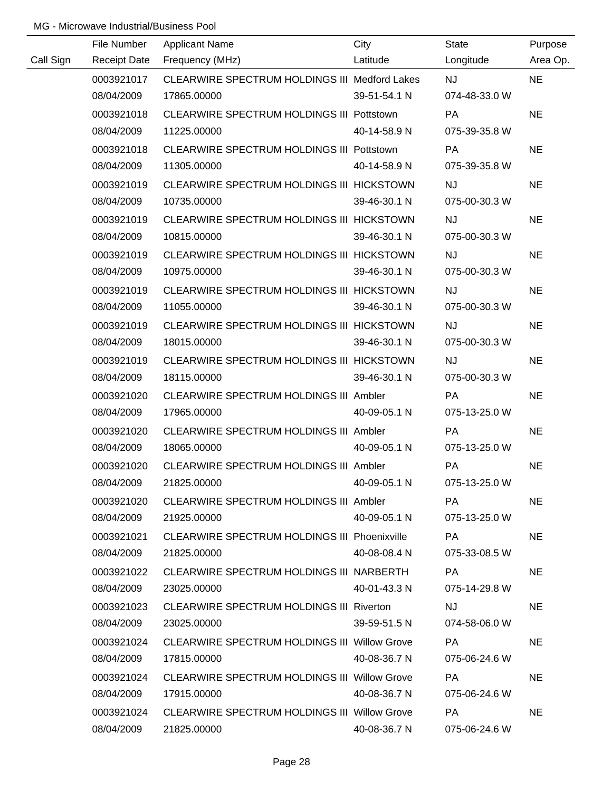|           | File Number | <b>Applicant Name</b>                               | City         | State                                                                                                         | Purpose   |
|-----------|-------------|-----------------------------------------------------|--------------|---------------------------------------------------------------------------------------------------------------|-----------|
| Call Sign |             | Receipt Date Frequency (MHz)                        | Latitude     | Longitude                                                                                                     | Area Op.  |
|           | 0003921017  | CLEARWIRE SPECTRUM HOLDINGS III Medford Lakes       |              | NJ PORT AND THE RESERVE OF THE RESERVE OF THE RESERVE OF THE RESERVE OF THE RESERVE OF THE RESERVE OF THE RES | <b>NE</b> |
|           | 08/04/2009  | 17865.00000                                         | 39-51-54.1 N | 074-48-33.0 W                                                                                                 |           |
|           | 0003921018  | CLEARWIRE SPECTRUM HOLDINGS III Pottstown           |              | <b>PA</b>                                                                                                     | <b>NE</b> |
|           | 08/04/2009  | 11225.00000                                         | 40-14-58.9 N | 075-39-35.8 W                                                                                                 |           |
|           | 0003921018  | CLEARWIRE SPECTRUM HOLDINGS III Pottstown           |              | <b>PA</b>                                                                                                     | <b>NE</b> |
|           | 08/04/2009  | 11305.00000                                         | 40-14-58.9 N | 075-39-35.8 W                                                                                                 |           |
|           | 0003921019  | CLEARWIRE SPECTRUM HOLDINGS III HICKSTOWN           |              | <b>NJ</b>                                                                                                     | <b>NE</b> |
|           | 08/04/2009  | 10735.00000                                         | 39-46-30.1 N | 075-00-30.3 W                                                                                                 |           |
|           | 0003921019  | CLEARWIRE SPECTRUM HOLDINGS III HICKSTOWN           |              | <b>NJ</b>                                                                                                     | <b>NE</b> |
|           | 08/04/2009  | 10815.00000                                         | 39-46-30.1 N | 075-00-30.3 W                                                                                                 |           |
|           | 0003921019  | CLEARWIRE SPECTRUM HOLDINGS III HICKSTOWN           |              | <b>NJ</b>                                                                                                     | <b>NE</b> |
|           | 08/04/2009  | 10975.00000                                         | 39-46-30.1 N | 075-00-30.3 W                                                                                                 |           |
|           | 0003921019  | CLEARWIRE SPECTRUM HOLDINGS III HICKSTOWN           |              | <b>NJ</b>                                                                                                     | <b>NE</b> |
|           | 08/04/2009  | 11055.00000                                         | 39-46-30.1 N | 075-00-30.3 W                                                                                                 |           |
|           | 0003921019  | CLEARWIRE SPECTRUM HOLDINGS III HICKSTOWN           |              | <b>NJ</b>                                                                                                     | <b>NE</b> |
|           | 08/04/2009  | 18015.00000                                         | 39-46-30.1 N | 075-00-30.3 W                                                                                                 |           |
|           | 0003921019  | CLEARWIRE SPECTRUM HOLDINGS III HICKSTOWN           |              | <b>NJ</b>                                                                                                     | <b>NE</b> |
|           | 08/04/2009  | 18115.00000                                         | 39-46-30.1 N | 075-00-30.3 W                                                                                                 |           |
|           | 0003921020  | CLEARWIRE SPECTRUM HOLDINGS III Ambler              |              | <b>PA</b>                                                                                                     | <b>NE</b> |
|           | 08/04/2009  | 17965.00000                                         | 40-09-05.1 N | 075-13-25.0 W                                                                                                 |           |
|           | 0003921020  | CLEARWIRE SPECTRUM HOLDINGS III Ambler              |              | <b>PA</b>                                                                                                     | <b>NE</b> |
|           | 08/04/2009  | 18065.00000                                         | 40-09-05.1 N | 075-13-25.0 W                                                                                                 |           |
|           | 0003921020  | CLEARWIRE SPECTRUM HOLDINGS III Ambler              |              | PA                                                                                                            | <b>NE</b> |
|           | 08/04/2009  | 21825.00000                                         | 40-09-05.1 N | 075-13-25.0 W                                                                                                 |           |
|           | 0003921020  | CLEARWIRE SPECTRUM HOLDINGS III Ambler              |              | PA                                                                                                            | <b>NE</b> |
|           | 08/04/2009  | 21925.00000                                         | 40-09-05.1 N | 075-13-25.0 W                                                                                                 |           |
|           | 0003921021  | <b>CLEARWIRE SPECTRUM HOLDINGS III Phoenixville</b> |              | PA                                                                                                            | <b>NE</b> |
|           | 08/04/2009  | 21825.00000                                         | 40-08-08.4 N | 075-33-08.5 W                                                                                                 |           |
|           | 0003921022  | CLEARWIRE SPECTRUM HOLDINGS III NARBERTH            |              | PA                                                                                                            | <b>NE</b> |
|           | 08/04/2009  | 23025.00000                                         | 40-01-43.3 N | 075-14-29.8 W                                                                                                 |           |
|           | 0003921023  | <b>CLEARWIRE SPECTRUM HOLDINGS III Riverton</b>     |              | <b>NJ</b>                                                                                                     | <b>NE</b> |
|           | 08/04/2009  | 23025.00000                                         | 39-59-51.5 N | 074-58-06.0 W                                                                                                 |           |
|           | 0003921024  | <b>CLEARWIRE SPECTRUM HOLDINGS III Willow Grove</b> |              | PA                                                                                                            | <b>NE</b> |
|           | 08/04/2009  | 17815.00000                                         | 40-08-36.7 N | 075-06-24.6 W                                                                                                 |           |
|           | 0003921024  | <b>CLEARWIRE SPECTRUM HOLDINGS III Willow Grove</b> |              | PA.                                                                                                           | <b>NE</b> |
|           | 08/04/2009  | 17915.00000                                         | 40-08-36.7 N | 075-06-24.6 W                                                                                                 |           |
|           | 0003921024  | <b>CLEARWIRE SPECTRUM HOLDINGS III Willow Grove</b> |              | PA.                                                                                                           | <b>NE</b> |
|           | 08/04/2009  | 21825.00000                                         | 40-08-36.7 N | 075-06-24.6 W                                                                                                 |           |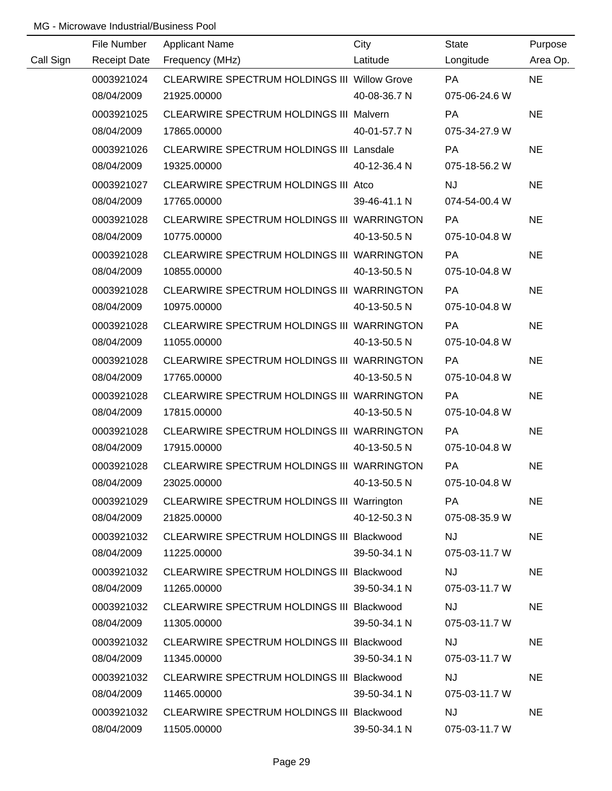|           | File Number         | <b>Applicant Name</b>                        | City         | State         | Purpose   |
|-----------|---------------------|----------------------------------------------|--------------|---------------|-----------|
| Call Sign | <b>Receipt Date</b> | Frequency (MHz)                              | Latitude     | Longitude     | Area Op.  |
|           | 0003921024          | CLEARWIRE SPECTRUM HOLDINGS III Willow Grove |              | PA            | <b>NE</b> |
|           | 08/04/2009          | 21925.00000                                  | 40-08-36.7 N | 075-06-24.6 W |           |
|           | 0003921025          | CLEARWIRE SPECTRUM HOLDINGS III Malvern      |              | <b>PA</b>     | <b>NE</b> |
|           | 08/04/2009          | 17865.00000                                  | 40-01-57.7 N | 075-34-27.9 W |           |
|           | 0003921026          | CLEARWIRE SPECTRUM HOLDINGS III Lansdale     |              | PA            | <b>NE</b> |
|           | 08/04/2009          | 19325.00000                                  | 40-12-36.4 N | 075-18-56.2 W |           |
|           | 0003921027          | CLEARWIRE SPECTRUM HOLDINGS III Atco         |              | <b>NJ</b>     | <b>NE</b> |
|           | 08/04/2009          | 17765.00000                                  | 39-46-41.1 N | 074-54-00.4 W |           |
|           | 0003921028          | CLEARWIRE SPECTRUM HOLDINGS III WARRINGTON   |              | PA            | <b>NE</b> |
|           | 08/04/2009          | 10775.00000                                  | 40-13-50.5 N | 075-10-04.8 W |           |
|           | 0003921028          | CLEARWIRE SPECTRUM HOLDINGS III WARRINGTON   |              | <b>PA</b>     | <b>NE</b> |
|           | 08/04/2009          | 10855.00000                                  | 40-13-50.5 N | 075-10-04.8 W |           |
|           | 0003921028          | CLEARWIRE SPECTRUM HOLDINGS III WARRINGTON   |              | PA            | <b>NE</b> |
|           | 08/04/2009          | 10975.00000                                  | 40-13-50.5 N | 075-10-04.8 W |           |
|           | 0003921028          | CLEARWIRE SPECTRUM HOLDINGS III WARRINGTON   |              | PA            | <b>NE</b> |
|           | 08/04/2009          | 11055.00000                                  | 40-13-50.5 N | 075-10-04.8 W |           |
|           | 0003921028          | CLEARWIRE SPECTRUM HOLDINGS III WARRINGTON   |              | PA            | <b>NE</b> |
|           | 08/04/2009          | 17765.00000                                  | 40-13-50.5 N | 075-10-04.8 W |           |
|           | 0003921028          | CLEARWIRE SPECTRUM HOLDINGS III WARRINGTON   |              | PA            | <b>NE</b> |
|           | 08/04/2009          | 17815.00000                                  | 40-13-50.5 N | 075-10-04.8 W |           |
|           | 0003921028          | CLEARWIRE SPECTRUM HOLDINGS III WARRINGTON   |              | PA            | <b>NE</b> |
|           | 08/04/2009          | 17915.00000                                  | 40-13-50.5 N | 075-10-04.8 W |           |
|           | 0003921028          | CLEARWIRE SPECTRUM HOLDINGS III WARRINGTON   |              | PA            | <b>NE</b> |
|           | 08/04/2009          | 23025.00000                                  | 40-13-50.5 N | 075-10-04.8 W |           |
|           | 0003921029          | CLEARWIRE SPECTRUM HOLDINGS III Warrington   |              | PA            | <b>NE</b> |
|           | 08/04/2009          | 21825.00000                                  | 40-12-50.3 N | 075-08-35.9 W |           |
|           | 0003921032          | CLEARWIRE SPECTRUM HOLDINGS III Blackwood    |              | <b>NJ</b>     | <b>NE</b> |
|           | 08/04/2009          | 11225.00000                                  | 39-50-34.1 N | 075-03-11.7 W |           |
|           | 0003921032          | CLEARWIRE SPECTRUM HOLDINGS III Blackwood    |              | <b>NJ</b>     | <b>NE</b> |
|           | 08/04/2009          | 11265.00000                                  | 39-50-34.1 N | 075-03-11.7 W |           |
|           | 0003921032          | CLEARWIRE SPECTRUM HOLDINGS III Blackwood    |              | <b>NJ</b>     | <b>NE</b> |
|           | 08/04/2009          | 11305.00000                                  | 39-50-34.1 N | 075-03-11.7 W |           |
|           | 0003921032          | CLEARWIRE SPECTRUM HOLDINGS III Blackwood    |              | <b>NJ</b>     | <b>NE</b> |
|           | 08/04/2009          | 11345.00000                                  | 39-50-34.1 N | 075-03-11.7 W |           |
|           | 0003921032          | CLEARWIRE SPECTRUM HOLDINGS III Blackwood    |              | <b>NJ</b>     | <b>NE</b> |
|           | 08/04/2009          | 11465.00000                                  | 39-50-34.1 N | 075-03-11.7 W |           |
|           | 0003921032          | CLEARWIRE SPECTRUM HOLDINGS III Blackwood    |              | <b>NJ</b>     | <b>NE</b> |
|           | 08/04/2009          | 11505.00000                                  | 39-50-34.1 N | 075-03-11.7 W |           |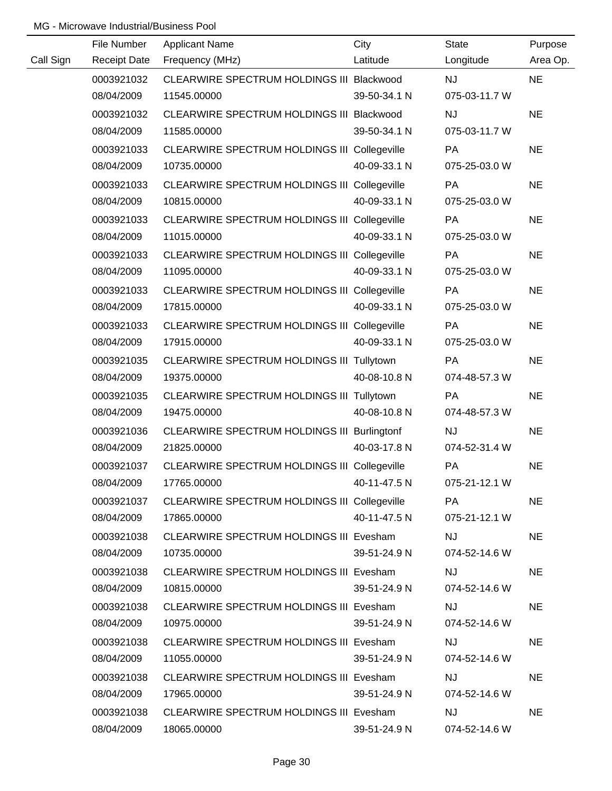|           | File Number         | <b>Applicant Name</b>                               | City         | <b>State</b>  | Purpose   |
|-----------|---------------------|-----------------------------------------------------|--------------|---------------|-----------|
| Call Sign | <b>Receipt Date</b> | Frequency (MHz)                                     | Latitude     | Longitude     | Area Op.  |
|           | 0003921032          | CLEARWIRE SPECTRUM HOLDINGS III Blackwood           |              | <b>NJ</b>     | <b>NE</b> |
|           | 08/04/2009          | 11545.00000                                         | 39-50-34.1 N | 075-03-11.7 W |           |
|           | 0003921032          | CLEARWIRE SPECTRUM HOLDINGS III Blackwood           |              | <b>NJ</b>     | <b>NE</b> |
|           | 08/04/2009          | 11585.00000                                         | 39-50-34.1 N | 075-03-11.7 W |           |
|           | 0003921033          | CLEARWIRE SPECTRUM HOLDINGS III Collegeville        |              | <b>PA</b>     | <b>NE</b> |
|           | 08/04/2009          | 10735.00000                                         | 40-09-33.1 N | 075-25-03.0 W |           |
|           | 0003921033          | CLEARWIRE SPECTRUM HOLDINGS III Collegeville        |              | PA            | <b>NE</b> |
|           | 08/04/2009          | 10815.00000                                         | 40-09-33.1 N | 075-25-03.0 W |           |
|           | 0003921033          | CLEARWIRE SPECTRUM HOLDINGS III Collegeville        |              | <b>PA</b>     | <b>NE</b> |
|           | 08/04/2009          | 11015.00000                                         | 40-09-33.1 N | 075-25-03.0 W |           |
|           | 0003921033          | CLEARWIRE SPECTRUM HOLDINGS III Collegeville        |              | PA            | <b>NE</b> |
|           | 08/04/2009          | 11095.00000                                         | 40-09-33.1 N | 075-25-03.0 W |           |
|           | 0003921033          | <b>CLEARWIRE SPECTRUM HOLDINGS III Collegeville</b> |              | <b>PA</b>     | <b>NE</b> |
|           | 08/04/2009          | 17815.00000                                         | 40-09-33.1 N | 075-25-03.0 W |           |
|           | 0003921033          | <b>CLEARWIRE SPECTRUM HOLDINGS III Collegeville</b> |              | PA            | <b>NE</b> |
|           | 08/04/2009          | 17915.00000                                         | 40-09-33.1 N | 075-25-03.0 W |           |
|           | 0003921035          | CLEARWIRE SPECTRUM HOLDINGS III Tullytown           |              | <b>PA</b>     | <b>NE</b> |
|           | 08/04/2009          | 19375.00000                                         | 40-08-10.8 N | 074-48-57.3 W |           |
|           | 0003921035          | CLEARWIRE SPECTRUM HOLDINGS III Tullytown           |              | PA            | <b>NE</b> |
|           | 08/04/2009          | 19475.00000                                         | 40-08-10.8 N | 074-48-57.3 W |           |
|           | 0003921036          | CLEARWIRE SPECTRUM HOLDINGS III Burlingtonf         |              | <b>NJ</b>     | <b>NE</b> |
|           | 08/04/2009          | 21825.00000                                         | 40-03-17.8 N | 074-52-31.4 W |           |
|           | 0003921037          | CLEARWIRE SPECTRUM HOLDINGS III Collegeville        |              | PA            | <b>NE</b> |
|           | 08/04/2009          | 17765.00000                                         | 40-11-47.5 N | 075-21-12.1 W |           |
|           | 0003921037          | CLEARWIRE SPECTRUM HOLDINGS III Collegeville        |              | PA            | <b>NE</b> |
|           | 08/04/2009          | 17865.00000                                         | 40-11-47.5 N | 075-21-12.1 W |           |
|           | 0003921038          | <b>CLEARWIRE SPECTRUM HOLDINGS III Evesham</b>      |              | <b>NJ</b>     | <b>NE</b> |
|           | 08/04/2009          | 10735.00000                                         | 39-51-24.9 N | 074-52-14.6 W |           |
|           | 0003921038          | <b>CLEARWIRE SPECTRUM HOLDINGS III Evesham</b>      |              | <b>NJ</b>     | <b>NE</b> |
|           | 08/04/2009          | 10815.00000                                         | 39-51-24.9 N | 074-52-14.6 W |           |
|           | 0003921038          | <b>CLEARWIRE SPECTRUM HOLDINGS III Evesham</b>      |              | <b>NJ</b>     | <b>NE</b> |
|           | 08/04/2009          | 10975.00000                                         | 39-51-24.9 N | 074-52-14.6 W |           |
|           | 0003921038          | <b>CLEARWIRE SPECTRUM HOLDINGS III Evesham</b>      |              | <b>NJ</b>     | <b>NE</b> |
|           | 08/04/2009          | 11055.00000                                         | 39-51-24.9 N | 074-52-14.6 W |           |
|           | 0003921038          | <b>CLEARWIRE SPECTRUM HOLDINGS III Evesham</b>      |              | <b>NJ</b>     | <b>NE</b> |
|           | 08/04/2009          | 17965.00000                                         | 39-51-24.9 N | 074-52-14.6 W |           |
|           | 0003921038          | <b>CLEARWIRE SPECTRUM HOLDINGS III Evesham</b>      |              | <b>NJ</b>     | <b>NE</b> |
|           | 08/04/2009          | 18065.00000                                         | 39-51-24.9 N | 074-52-14.6 W |           |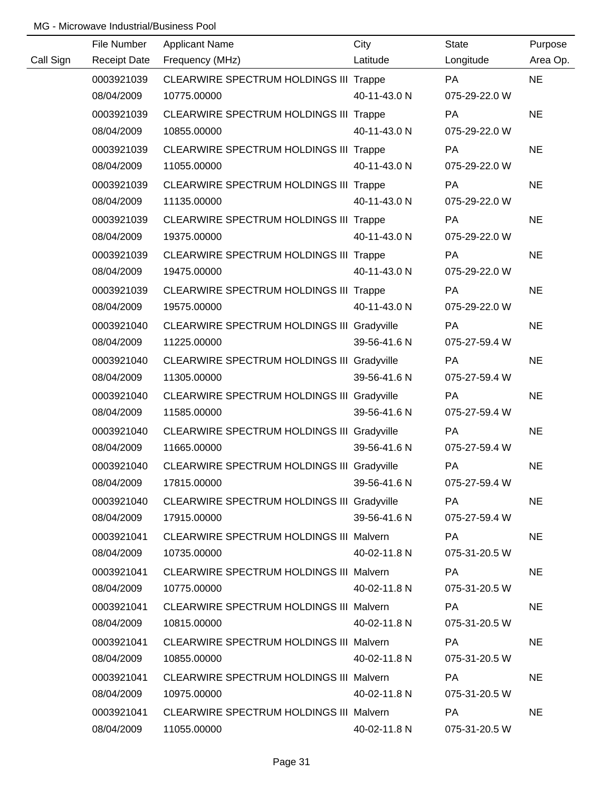|           | File Number         | <b>Applicant Name</b>                             | City         | <b>State</b>  | Purpose   |
|-----------|---------------------|---------------------------------------------------|--------------|---------------|-----------|
| Call Sign | <b>Receipt Date</b> | Frequency (MHz)                                   | Latitude     | Longitude     | Area Op.  |
|           | 0003921039          | CLEARWIRE SPECTRUM HOLDINGS III Trappe            |              | <b>PA</b>     | <b>NE</b> |
|           | 08/04/2009          | 10775.00000                                       | 40-11-43.0 N | 075-29-22.0 W |           |
|           | 0003921039          | CLEARWIRE SPECTRUM HOLDINGS III Trappe            |              | PA            | <b>NE</b> |
|           | 08/04/2009          | 10855.00000                                       | 40-11-43.0 N | 075-29-22.0 W |           |
|           | 0003921039          | CLEARWIRE SPECTRUM HOLDINGS III Trappe            |              | <b>PA</b>     | <b>NE</b> |
|           | 08/04/2009          | 11055.00000                                       | 40-11-43.0 N | 075-29-22.0 W |           |
|           | 0003921039          | CLEARWIRE SPECTRUM HOLDINGS III Trappe            |              | PA            | <b>NE</b> |
|           | 08/04/2009          | 11135.00000                                       | 40-11-43.0 N | 075-29-22.0 W |           |
|           | 0003921039          | <b>CLEARWIRE SPECTRUM HOLDINGS III Trappe</b>     |              | PA            | <b>NE</b> |
|           | 08/04/2009          | 19375.00000                                       | 40-11-43.0 N | 075-29-22.0 W |           |
|           | 0003921039          | <b>CLEARWIRE SPECTRUM HOLDINGS III Trappe</b>     |              | PA            | <b>NE</b> |
|           | 08/04/2009          | 19475.00000                                       | 40-11-43.0 N | 075-29-22.0 W |           |
|           | 0003921039          | <b>CLEARWIRE SPECTRUM HOLDINGS III Trappe</b>     |              | PA            | <b>NE</b> |
|           | 08/04/2009          | 19575.00000                                       | 40-11-43.0 N | 075-29-22.0 W |           |
|           | 0003921040          | <b>CLEARWIRE SPECTRUM HOLDINGS III Gradyville</b> |              | PA            | <b>NE</b> |
|           | 08/04/2009          | 11225.00000                                       | 39-56-41.6 N | 075-27-59.4 W |           |
|           | 0003921040          | <b>CLEARWIRE SPECTRUM HOLDINGS III Gradyville</b> |              | PA            | <b>NE</b> |
|           | 08/04/2009          | 11305.00000                                       | 39-56-41.6 N | 075-27-59.4 W |           |
|           | 0003921040          | <b>CLEARWIRE SPECTRUM HOLDINGS III Gradyville</b> |              | PA            | <b>NE</b> |
|           | 08/04/2009          | 11585.00000                                       | 39-56-41.6 N | 075-27-59.4 W |           |
|           | 0003921040          | CLEARWIRE SPECTRUM HOLDINGS III Gradyville        |              | PA            | <b>NE</b> |
|           | 08/04/2009          | 11665.00000                                       | 39-56-41.6 N | 075-27-59.4 W |           |
|           | 0003921040          | CLEARWIRE SPECTRUM HOLDINGS III Gradyville        |              | PA            | <b>NE</b> |
|           | 08/04/2009          | 17815.00000                                       | 39-56-41.6 N | 075-27-59.4 W |           |
|           | 0003921040          | CLEARWIRE SPECTRUM HOLDINGS III Gradyville        |              | PA            | <b>NE</b> |
|           | 08/04/2009          | 17915.00000                                       | 39-56-41.6 N | 075-27-59.4 W |           |
|           | 0003921041          | <b>CLEARWIRE SPECTRUM HOLDINGS III Malvern</b>    |              | PA            | <b>NE</b> |
|           | 08/04/2009          | 10735.00000                                       | 40-02-11.8 N | 075-31-20.5 W |           |
|           | 0003921041          | <b>CLEARWIRE SPECTRUM HOLDINGS III Malvern</b>    |              | PA            | <b>NE</b> |
|           | 08/04/2009          | 10775.00000                                       | 40-02-11.8 N | 075-31-20.5 W |           |
|           | 0003921041          | <b>CLEARWIRE SPECTRUM HOLDINGS III Malvern</b>    |              | PA            | <b>NE</b> |
|           | 08/04/2009          | 10815.00000                                       | 40-02-11.8 N | 075-31-20.5 W |           |
|           | 0003921041          | <b>CLEARWIRE SPECTRUM HOLDINGS III Malvern</b>    |              | <b>PA</b>     | <b>NE</b> |
|           | 08/04/2009          | 10855.00000                                       | 40-02-11.8 N | 075-31-20.5 W |           |
|           | 0003921041          | <b>CLEARWIRE SPECTRUM HOLDINGS III Malvern</b>    |              | <b>PA</b>     | <b>NE</b> |
|           | 08/04/2009          | 10975.00000                                       | 40-02-11.8 N | 075-31-20.5 W |           |
|           | 0003921041          | <b>CLEARWIRE SPECTRUM HOLDINGS III Malvern</b>    |              | <b>PA</b>     | <b>NE</b> |
|           | 08/04/2009          | 11055.00000                                       | 40-02-11.8 N | 075-31-20.5 W |           |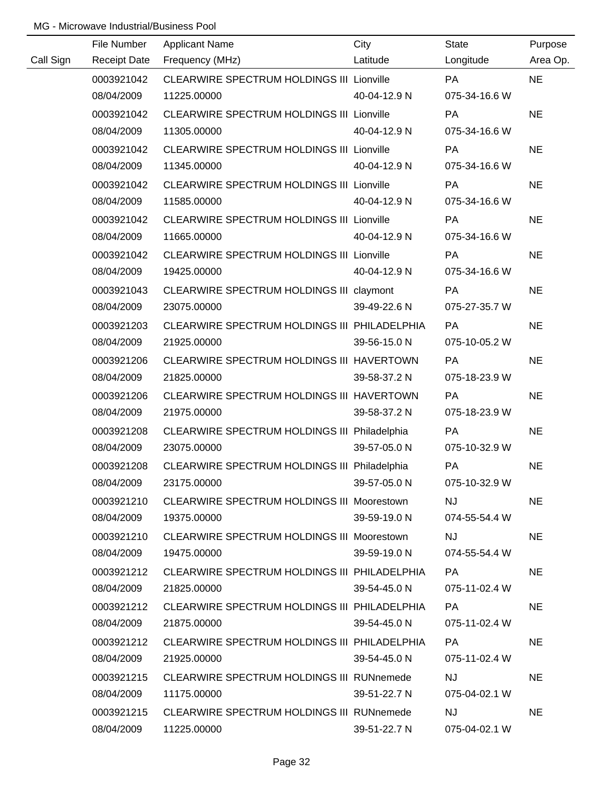|           | File Number         | <b>Applicant Name</b>                            | City         | State         | Purpose   |
|-----------|---------------------|--------------------------------------------------|--------------|---------------|-----------|
| Call Sign | <b>Receipt Date</b> | Frequency (MHz)                                  | Latitude     | Longitude     | Area Op.  |
|           | 0003921042          | CLEARWIRE SPECTRUM HOLDINGS III Lionville        |              | <b>PA</b>     | <b>NE</b> |
|           | 08/04/2009          | 11225.00000                                      | 40-04-12.9 N | 075-34-16.6 W |           |
|           | 0003921042          | <b>CLEARWIRE SPECTRUM HOLDINGS III Lionville</b> |              | PA            | <b>NE</b> |
|           | 08/04/2009          | 11305.00000                                      | 40-04-12.9 N | 075-34-16.6 W |           |
|           | 0003921042          | <b>CLEARWIRE SPECTRUM HOLDINGS III Lionville</b> |              | PA            | <b>NE</b> |
|           | 08/04/2009          | 11345.00000                                      | 40-04-12.9 N | 075-34-16.6 W |           |
|           | 0003921042          | CLEARWIRE SPECTRUM HOLDINGS III Lionville        |              | <b>PA</b>     | <b>NE</b> |
|           | 08/04/2009          | 11585.00000                                      | 40-04-12.9 N | 075-34-16.6 W |           |
|           | 0003921042          | CLEARWIRE SPECTRUM HOLDINGS III Lionville        |              | PA            | <b>NE</b> |
|           | 08/04/2009          | 11665.00000                                      | 40-04-12.9 N | 075-34-16.6 W |           |
|           | 0003921042          | CLEARWIRE SPECTRUM HOLDINGS III Lionville        |              | <b>PA</b>     | <b>NE</b> |
|           | 08/04/2009          | 19425.00000                                      | 40-04-12.9 N | 075-34-16.6 W |           |
|           | 0003921043          | CLEARWIRE SPECTRUM HOLDINGS III claymont         |              | PA            | <b>NE</b> |
|           | 08/04/2009          | 23075.00000                                      | 39-49-22.6 N | 075-27-35.7 W |           |
|           | 0003921203          | CLEARWIRE SPECTRUM HOLDINGS III PHILADELPHIA     |              | <b>PA</b>     | <b>NE</b> |
|           | 08/04/2009          | 21925.00000                                      | 39-56-15.0 N | 075-10-05.2 W |           |
|           | 0003921206          | CLEARWIRE SPECTRUM HOLDINGS III HAVERTOWN        |              | PA            | <b>NE</b> |
|           | 08/04/2009          | 21825.00000                                      | 39-58-37.2 N | 075-18-23.9 W |           |
|           | 0003921206          | CLEARWIRE SPECTRUM HOLDINGS III HAVERTOWN        |              | PA            | <b>NE</b> |
|           | 08/04/2009          | 21975.00000                                      | 39-58-37.2 N | 075-18-23.9 W |           |
|           | 0003921208          | CLEARWIRE SPECTRUM HOLDINGS III Philadelphia     |              | PA            | <b>NE</b> |
|           | 08/04/2009          | 23075.00000                                      | 39-57-05.0 N | 075-10-32.9 W |           |
|           | 0003921208          | CLEARWIRE SPECTRUM HOLDINGS III Philadelphia     |              | PA            | <b>NE</b> |
|           | 08/04/2009          | 23175.00000                                      | 39-57-05.0 N | 075-10-32.9 W |           |
|           | 0003921210          | CLEARWIRE SPECTRUM HOLDINGS III Moorestown       |              | <b>NJ</b>     | <b>NE</b> |
|           | 08/04/2009          | 19375.00000                                      | 39-59-19.0 N | 074-55-54.4 W |           |
|           | 0003921210          | CLEARWIRE SPECTRUM HOLDINGS III Moorestown       |              | <b>NJ</b>     | <b>NE</b> |
|           | 08/04/2009          | 19475.00000                                      | 39-59-19.0 N | 074-55-54.4 W |           |
|           | 0003921212          | CLEARWIRE SPECTRUM HOLDINGS III PHILADELPHIA     |              | PA            | <b>NE</b> |
|           | 08/04/2009          | 21825.00000                                      | 39-54-45.0 N | 075-11-02.4 W |           |
|           | 0003921212          | CLEARWIRE SPECTRUM HOLDINGS III PHILADELPHIA     |              | <b>PA</b>     | <b>NE</b> |
|           | 08/04/2009          | 21875.00000                                      | 39-54-45.0 N | 075-11-02.4 W |           |
|           | 0003921212          | CLEARWIRE SPECTRUM HOLDINGS III PHILADELPHIA     |              | <b>PA</b>     | <b>NE</b> |
|           | 08/04/2009          | 21925.00000                                      | 39-54-45.0 N | 075-11-02.4 W |           |
|           | 0003921215          | <b>CLEARWIRE SPECTRUM HOLDINGS III RUNnemede</b> |              | <b>NJ</b>     | <b>NE</b> |
|           | 08/04/2009          | 11175.00000                                      | 39-51-22.7 N | 075-04-02.1 W |           |
|           | 0003921215          | CLEARWIRE SPECTRUM HOLDINGS III RUNnemede        |              | <b>NJ</b>     | <b>NE</b> |
|           | 08/04/2009          | 11225.00000                                      | 39-51-22.7 N | 075-04-02.1 W |           |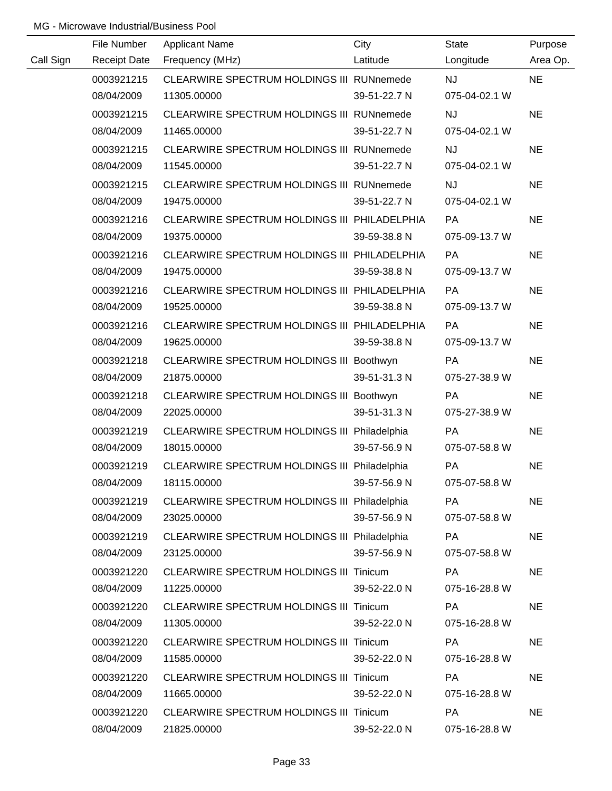|           | File Number         | <b>Applicant Name</b>                        | City         | <b>State</b>  | Purpose   |
|-----------|---------------------|----------------------------------------------|--------------|---------------|-----------|
| Call Sign | <b>Receipt Date</b> | Frequency (MHz)                              | Latitude     | Longitude     | Area Op.  |
|           | 0003921215          | CLEARWIRE SPECTRUM HOLDINGS III RUNnemede    |              | <b>NJ</b>     | <b>NE</b> |
|           | 08/04/2009          | 11305.00000                                  | 39-51-22.7 N | 075-04-02.1 W |           |
|           | 0003921215          | CLEARWIRE SPECTRUM HOLDINGS III RUNnemede    |              | NJ            | <b>NE</b> |
|           | 08/04/2009          | 11465.00000                                  | 39-51-22.7 N | 075-04-02.1 W |           |
|           | 0003921215          | CLEARWIRE SPECTRUM HOLDINGS III RUNnemede    |              | <b>NJ</b>     | <b>NE</b> |
|           | 08/04/2009          | 11545.00000                                  | 39-51-22.7 N | 075-04-02.1 W |           |
|           | 0003921215          | CLEARWIRE SPECTRUM HOLDINGS III RUNnemede    |              | <b>NJ</b>     | <b>NE</b> |
|           | 08/04/2009          | 19475.00000                                  | 39-51-22.7 N | 075-04-02.1 W |           |
|           | 0003921216          | CLEARWIRE SPECTRUM HOLDINGS III PHILADELPHIA |              | <b>PA</b>     | <b>NE</b> |
|           | 08/04/2009          | 19375.00000                                  | 39-59-38.8 N | 075-09-13.7 W |           |
|           | 0003921216          | CLEARWIRE SPECTRUM HOLDINGS III PHILADELPHIA |              | PA            | <b>NE</b> |
|           | 08/04/2009          | 19475.00000                                  | 39-59-38.8 N | 075-09-13.7 W |           |
|           | 0003921216          | CLEARWIRE SPECTRUM HOLDINGS III PHILADELPHIA |              | <b>PA</b>     | <b>NE</b> |
|           | 08/04/2009          | 19525.00000                                  | 39-59-38.8 N | 075-09-13.7 W |           |
|           | 0003921216          | CLEARWIRE SPECTRUM HOLDINGS III PHILADELPHIA |              | PA            | <b>NE</b> |
|           | 08/04/2009          | 19625.00000                                  | 39-59-38.8 N | 075-09-13.7 W |           |
|           | 0003921218          | CLEARWIRE SPECTRUM HOLDINGS III Boothwyn     |              | <b>PA</b>     | <b>NE</b> |
|           | 08/04/2009          | 21875.00000                                  | 39-51-31.3 N | 075-27-38.9 W |           |
|           | 0003921218          | CLEARWIRE SPECTRUM HOLDINGS III Boothwyn     |              | PA            | <b>NE</b> |
|           | 08/04/2009          | 22025.00000                                  | 39-51-31.3 N | 075-27-38.9 W |           |
|           | 0003921219          | CLEARWIRE SPECTRUM HOLDINGS III Philadelphia |              | PA            | <b>NE</b> |
|           | 08/04/2009          | 18015.00000                                  | 39-57-56.9 N | 075-07-58.8 W |           |
|           | 0003921219          | CLEARWIRE SPECTRUM HOLDINGS III Philadelphia |              | PA            | <b>NE</b> |
|           | 08/04/2009          | 18115.00000                                  | 39-57-56.9 N | 075-07-58.8 W |           |
|           | 0003921219          | CLEARWIRE SPECTRUM HOLDINGS III Philadelphia |              | PA            | <b>NE</b> |
|           | 08/04/2009          | 23025.00000                                  | 39-57-56.9 N | 075-07-58.8 W |           |
|           | 0003921219          | CLEARWIRE SPECTRUM HOLDINGS III Philadelphia |              | PA            | <b>NE</b> |
|           | 08/04/2009          | 23125.00000                                  | 39-57-56.9 N | 075-07-58.8 W |           |
|           | 0003921220          | CLEARWIRE SPECTRUM HOLDINGS III Tinicum      |              | PA            | <b>NE</b> |
|           | 08/04/2009          | 11225.00000                                  | 39-52-22.0 N | 075-16-28.8 W |           |
|           | 0003921220          | CLEARWIRE SPECTRUM HOLDINGS III Tinicum      |              | PA            | <b>NE</b> |
|           | 08/04/2009          | 11305.00000                                  | 39-52-22.0 N | 075-16-28.8 W |           |
|           | 0003921220          | CLEARWIRE SPECTRUM HOLDINGS III Tinicum      |              | PA            | <b>NE</b> |
|           | 08/04/2009          | 11585.00000                                  | 39-52-22.0 N | 075-16-28.8 W |           |
|           | 0003921220          | CLEARWIRE SPECTRUM HOLDINGS III Tinicum      |              | PA            | <b>NE</b> |
|           | 08/04/2009          | 11665.00000                                  | 39-52-22.0 N | 075-16-28.8 W |           |
|           | 0003921220          | CLEARWIRE SPECTRUM HOLDINGS III Tinicum      |              | PA            | <b>NE</b> |
|           | 08/04/2009          | 21825.00000                                  | 39-52-22.0 N | 075-16-28.8 W |           |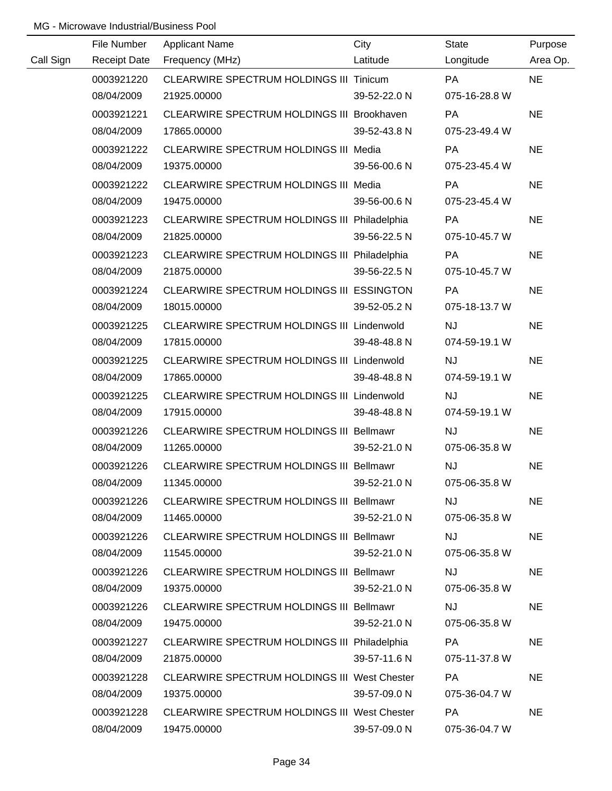|           | File Number         | <b>Applicant Name</b>                               | City         | State         | Purpose   |
|-----------|---------------------|-----------------------------------------------------|--------------|---------------|-----------|
| Call Sign | <b>Receipt Date</b> | Frequency (MHz)                                     | Latitude     | Longitude     | Area Op.  |
|           | 0003921220          | CLEARWIRE SPECTRUM HOLDINGS III Tinicum             |              | <b>PA</b>     | <b>NE</b> |
|           | 08/04/2009          | 21925.00000                                         | 39-52-22.0 N | 075-16-28.8 W |           |
|           | 0003921221          | CLEARWIRE SPECTRUM HOLDINGS III Brookhaven          |              | PA            | <b>NE</b> |
|           | 08/04/2009          | 17865.00000                                         | 39-52-43.8 N | 075-23-49.4 W |           |
|           | 0003921222          | CLEARWIRE SPECTRUM HOLDINGS III Media               |              | PA            | <b>NE</b> |
|           | 08/04/2009          | 19375.00000                                         | 39-56-00.6 N | 075-23-45.4 W |           |
|           | 0003921222          | CLEARWIRE SPECTRUM HOLDINGS III Media               |              | <b>PA</b>     | <b>NE</b> |
|           | 08/04/2009          | 19475.00000                                         | 39-56-00.6 N | 075-23-45.4 W |           |
|           | 0003921223          | CLEARWIRE SPECTRUM HOLDINGS III Philadelphia        |              | PA            | <b>NE</b> |
|           | 08/04/2009          | 21825.00000                                         | 39-56-22.5 N | 075-10-45.7 W |           |
|           | 0003921223          | CLEARWIRE SPECTRUM HOLDINGS III Philadelphia        |              | <b>PA</b>     | <b>NE</b> |
|           | 08/04/2009          | 21875.00000                                         | 39-56-22.5 N | 075-10-45.7 W |           |
|           | 0003921224          | CLEARWIRE SPECTRUM HOLDINGS III ESSINGTON           |              | PA            | <b>NE</b> |
|           | 08/04/2009          | 18015.00000                                         | 39-52-05.2 N | 075-18-13.7 W |           |
|           | 0003921225          | CLEARWIRE SPECTRUM HOLDINGS III Lindenwold          |              | <b>NJ</b>     | <b>NE</b> |
|           | 08/04/2009          | 17815.00000                                         | 39-48-48.8 N | 074-59-19.1 W |           |
|           | 0003921225          | CLEARWIRE SPECTRUM HOLDINGS III Lindenwold          |              | <b>NJ</b>     | <b>NE</b> |
|           | 08/04/2009          | 17865.00000                                         | 39-48-48.8 N | 074-59-19.1 W |           |
|           | 0003921225          | CLEARWIRE SPECTRUM HOLDINGS III Lindenwold          |              | NJ            | <b>NE</b> |
|           | 08/04/2009          | 17915.00000                                         | 39-48-48.8 N | 074-59-19.1 W |           |
|           | 0003921226          | CLEARWIRE SPECTRUM HOLDINGS III Bellmawr            |              | NJ            | <b>NE</b> |
|           | 08/04/2009          | 11265.00000                                         | 39-52-21.0 N | 075-06-35.8 W |           |
|           | 0003921226          | CLEARWIRE SPECTRUM HOLDINGS III Bellmawr            |              | <b>NJ</b>     | <b>NE</b> |
|           | 08/04/2009          | 11345.00000                                         | 39-52-21.0 N | 075-06-35.8 W |           |
|           | 0003921226          | CLEARWIRE SPECTRUM HOLDINGS III Bellmawr            |              | <b>NJ</b>     | <b>NE</b> |
|           | 08/04/2009          | 11465.00000                                         | 39-52-21.0 N | 075-06-35.8 W |           |
|           | 0003921226          | <b>CLEARWIRE SPECTRUM HOLDINGS III Bellmawr</b>     |              | <b>NJ</b>     | <b>NE</b> |
|           | 08/04/2009          | 11545.00000                                         | 39-52-21.0 N | 075-06-35.8 W |           |
|           | 0003921226          | <b>CLEARWIRE SPECTRUM HOLDINGS III Bellmawr</b>     |              | <b>NJ</b>     | <b>NE</b> |
|           | 08/04/2009          | 19375.00000                                         | 39-52-21.0 N | 075-06-35.8 W |           |
|           | 0003921226          | <b>CLEARWIRE SPECTRUM HOLDINGS III Bellmawr</b>     |              | <b>NJ</b>     | <b>NE</b> |
|           | 08/04/2009          | 19475.00000                                         | 39-52-21.0 N | 075-06-35.8 W |           |
|           | 0003921227          | <b>CLEARWIRE SPECTRUM HOLDINGS III Philadelphia</b> |              | <b>PA</b>     | <b>NE</b> |
|           | 08/04/2009          | 21875.00000                                         | 39-57-11.6 N | 075-11-37.8 W |           |
|           | 0003921228          | <b>CLEARWIRE SPECTRUM HOLDINGS III West Chester</b> |              | <b>PA</b>     | <b>NE</b> |
|           | 08/04/2009          | 19375.00000                                         | 39-57-09.0 N | 075-36-04.7 W |           |
|           | 0003921228          | <b>CLEARWIRE SPECTRUM HOLDINGS III West Chester</b> |              | <b>PA</b>     | <b>NE</b> |
|           | 08/04/2009          | 19475.00000                                         | 39-57-09.0 N | 075-36-04.7 W |           |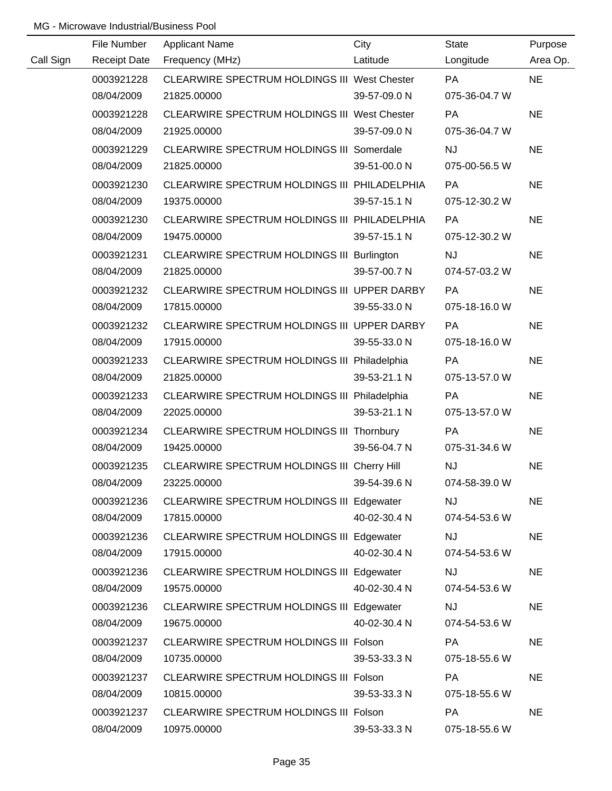|           | File Number         | <b>Applicant Name</b>                            | City         | <b>State</b>  | Purpose   |
|-----------|---------------------|--------------------------------------------------|--------------|---------------|-----------|
| Call Sign | <b>Receipt Date</b> | Frequency (MHz)                                  | Latitude     | Longitude     | Area Op.  |
|           | 0003921228          | CLEARWIRE SPECTRUM HOLDINGS III West Chester     |              | <b>PA</b>     | <b>NE</b> |
|           | 08/04/2009          | 21825.00000                                      | 39-57-09.0 N | 075-36-04.7 W |           |
|           | 0003921228          | CLEARWIRE SPECTRUM HOLDINGS III West Chester     |              | PA            | <b>NE</b> |
|           | 08/04/2009          | 21925.00000                                      | 39-57-09.0 N | 075-36-04.7 W |           |
|           | 0003921229          | <b>CLEARWIRE SPECTRUM HOLDINGS III Somerdale</b> |              | <b>NJ</b>     | <b>NE</b> |
|           | 08/04/2009          | 21825.00000                                      | 39-51-00.0 N | 075-00-56.5 W |           |
|           | 0003921230          | CLEARWIRE SPECTRUM HOLDINGS III PHILADELPHIA     |              | PA            | <b>NE</b> |
|           | 08/04/2009          | 19375.00000                                      | 39-57-15.1 N | 075-12-30.2 W |           |
|           | 0003921230          | CLEARWIRE SPECTRUM HOLDINGS III PHILADELPHIA     |              | <b>PA</b>     | <b>NE</b> |
|           | 08/04/2009          | 19475.00000                                      | 39-57-15.1 N | 075-12-30.2 W |           |
|           | 0003921231          | CLEARWIRE SPECTRUM HOLDINGS III Burlington       |              | <b>NJ</b>     | <b>NE</b> |
|           | 08/04/2009          | 21825.00000                                      | 39-57-00.7 N | 074-57-03.2 W |           |
|           | 0003921232          | CLEARWIRE SPECTRUM HOLDINGS III UPPER DARBY      |              | <b>PA</b>     | <b>NE</b> |
|           | 08/04/2009          | 17815.00000                                      | 39-55-33.0 N | 075-18-16.0 W |           |
|           | 0003921232          | CLEARWIRE SPECTRUM HOLDINGS III UPPER DARBY      |              | PA            | <b>NE</b> |
|           | 08/04/2009          | 17915.00000                                      | 39-55-33.0 N | 075-18-16.0 W |           |
|           | 0003921233          | CLEARWIRE SPECTRUM HOLDINGS III Philadelphia     |              | <b>PA</b>     | <b>NE</b> |
|           | 08/04/2009          | 21825.00000                                      | 39-53-21.1 N | 075-13-57.0 W |           |
|           | 0003921233          | CLEARWIRE SPECTRUM HOLDINGS III Philadelphia     |              | PA            | <b>NE</b> |
|           | 08/04/2009          | 22025.00000                                      | 39-53-21.1 N | 075-13-57.0 W |           |
|           | 0003921234          | CLEARWIRE SPECTRUM HOLDINGS III Thornbury        |              | PA            | <b>NE</b> |
|           | 08/04/2009          | 19425.00000                                      | 39-56-04.7 N | 075-31-34.6 W |           |
|           | 0003921235          | CLEARWIRE SPECTRUM HOLDINGS III Cherry Hill      |              | NJ            | <b>NE</b> |
|           | 08/04/2009          | 23225.00000                                      | 39-54-39.6 N | 074-58-39.0 W |           |
|           | 0003921236          | CLEARWIRE SPECTRUM HOLDINGS III Edgewater        |              | <b>NJ</b>     | <b>NE</b> |
|           | 08/04/2009          | 17815.00000                                      | 40-02-30.4 N | 074-54-53.6 W |           |
|           | 0003921236          | <b>CLEARWIRE SPECTRUM HOLDINGS III Edgewater</b> |              | <b>NJ</b>     | <b>NE</b> |
|           | 08/04/2009          | 17915.00000                                      | 40-02-30.4 N | 074-54-53.6 W |           |
|           | 0003921236          | CLEARWIRE SPECTRUM HOLDINGS III Edgewater        |              | <b>NJ</b>     | <b>NE</b> |
|           | 08/04/2009          | 19575.00000                                      | 40-02-30.4 N | 074-54-53.6 W |           |
|           | 0003921236          | CLEARWIRE SPECTRUM HOLDINGS III Edgewater        |              | <b>NJ</b>     | <b>NE</b> |
|           | 08/04/2009          | 19675.00000                                      | 40-02-30.4 N | 074-54-53.6 W |           |
|           | 0003921237          | CLEARWIRE SPECTRUM HOLDINGS III Folson           |              | PA            | <b>NE</b> |
|           | 08/04/2009          | 10735.00000                                      | 39-53-33.3 N | 075-18-55.6 W |           |
|           | 0003921237          | CLEARWIRE SPECTRUM HOLDINGS III Folson           |              | PA            | <b>NE</b> |
|           | 08/04/2009          | 10815.00000                                      | 39-53-33.3 N | 075-18-55.6 W |           |
|           | 0003921237          | CLEARWIRE SPECTRUM HOLDINGS III Folson           |              | PA            | <b>NE</b> |
|           | 08/04/2009          | 10975.00000                                      | 39-53-33.3 N | 075-18-55.6 W |           |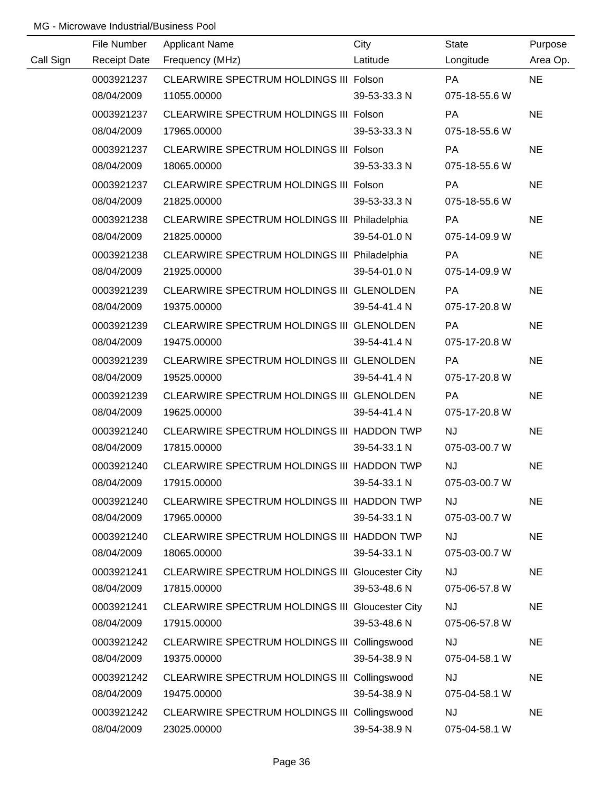|           | File Number         | <b>Applicant Name</b>                           | City         | <b>State</b>  | Purpose   |
|-----------|---------------------|-------------------------------------------------|--------------|---------------|-----------|
| Call Sign | <b>Receipt Date</b> | Frequency (MHz)                                 | Latitude     | Longitude     | Area Op.  |
|           | 0003921237          | CLEARWIRE SPECTRUM HOLDINGS III Folson          |              | <b>PA</b>     | <b>NE</b> |
|           | 08/04/2009          | 11055.00000                                     | 39-53-33.3 N | 075-18-55.6 W |           |
|           | 0003921237          | CLEARWIRE SPECTRUM HOLDINGS III Folson          |              | <b>PA</b>     | <b>NE</b> |
|           | 08/04/2009          | 17965.00000                                     | 39-53-33.3 N | 075-18-55.6 W |           |
|           | 0003921237          | CLEARWIRE SPECTRUM HOLDINGS III Folson          |              | PA            | <b>NE</b> |
|           | 08/04/2009          | 18065.00000                                     | 39-53-33.3 N | 075-18-55.6 W |           |
|           | 0003921237          | CLEARWIRE SPECTRUM HOLDINGS III Folson          |              | <b>PA</b>     | <b>NE</b> |
|           | 08/04/2009          | 21825.00000                                     | 39-53-33.3 N | 075-18-55.6 W |           |
|           | 0003921238          | CLEARWIRE SPECTRUM HOLDINGS III Philadelphia    |              | <b>PA</b>     | <b>NE</b> |
|           | 08/04/2009          | 21825.00000                                     | 39-54-01.0 N | 075-14-09.9 W |           |
|           | 0003921238          | CLEARWIRE SPECTRUM HOLDINGS III Philadelphia    |              | PA            | <b>NE</b> |
|           | 08/04/2009          | 21925.00000                                     | 39-54-01.0 N | 075-14-09.9 W |           |
|           | 0003921239          | CLEARWIRE SPECTRUM HOLDINGS III GLENOLDEN       |              | <b>PA</b>     | <b>NE</b> |
|           | 08/04/2009          | 19375.00000                                     | 39-54-41.4 N | 075-17-20.8 W |           |
|           | 0003921239          | CLEARWIRE SPECTRUM HOLDINGS III GLENOLDEN       |              | <b>PA</b>     | <b>NE</b> |
|           | 08/04/2009          | 19475.00000                                     | 39-54-41.4 N | 075-17-20.8 W |           |
|           | 0003921239          | CLEARWIRE SPECTRUM HOLDINGS III GLENOLDEN       |              | PA            | <b>NE</b> |
|           | 08/04/2009          | 19525.00000                                     | 39-54-41.4 N | 075-17-20.8 W |           |
|           | 0003921239          | CLEARWIRE SPECTRUM HOLDINGS III GLENOLDEN       |              | PA            | <b>NE</b> |
|           | 08/04/2009          | 19625.00000                                     | 39-54-41.4 N | 075-17-20.8 W |           |
|           | 0003921240          | CLEARWIRE SPECTRUM HOLDINGS III HADDON TWP      |              | NJ            | <b>NE</b> |
|           | 08/04/2009          | 17815.00000                                     | 39-54-33.1 N | 075-03-00.7 W |           |
|           | 0003921240          | CLEARWIRE SPECTRUM HOLDINGS III HADDON TWP      |              | <b>NJ</b>     | <b>NE</b> |
|           | 08/04/2009          | 17915.00000                                     | 39-54-33.1 N | 075-03-00.7 W |           |
|           | 0003921240          | CLEARWIRE SPECTRUM HOLDINGS III HADDON TWP      |              | <b>NJ</b>     | <b>NE</b> |
|           | 08/04/2009          | 17965.00000                                     | 39-54-33.1 N | 075-03-00.7 W |           |
|           | 0003921240          | CLEARWIRE SPECTRUM HOLDINGS III HADDON TWP      |              | <b>NJ</b>     | <b>NE</b> |
|           | 08/04/2009          | 18065.00000                                     | 39-54-33.1 N | 075-03-00.7 W |           |
|           | 0003921241          | CLEARWIRE SPECTRUM HOLDINGS III Gloucester City |              | <b>NJ</b>     | <b>NE</b> |
|           | 08/04/2009          | 17815.00000                                     | 39-53-48.6 N | 075-06-57.8 W |           |
|           | 0003921241          | CLEARWIRE SPECTRUM HOLDINGS III Gloucester City |              | <b>NJ</b>     | <b>NE</b> |
|           | 08/04/2009          | 17915.00000                                     | 39-53-48.6 N | 075-06-57.8 W |           |
|           | 0003921242          | CLEARWIRE SPECTRUM HOLDINGS III Collingswood    |              | <b>NJ</b>     | <b>NE</b> |
|           | 08/04/2009          | 19375.00000                                     | 39-54-38.9 N | 075-04-58.1 W |           |
|           | 0003921242          | CLEARWIRE SPECTRUM HOLDINGS III Collingswood    |              | NJ            | <b>NE</b> |
|           | 08/04/2009          | 19475.00000                                     | 39-54-38.9 N | 075-04-58.1 W |           |
|           | 0003921242          | CLEARWIRE SPECTRUM HOLDINGS III Collingswood    |              | <b>NJ</b>     | <b>NE</b> |
|           | 08/04/2009          | 23025.00000                                     | 39-54-38.9 N | 075-04-58.1 W |           |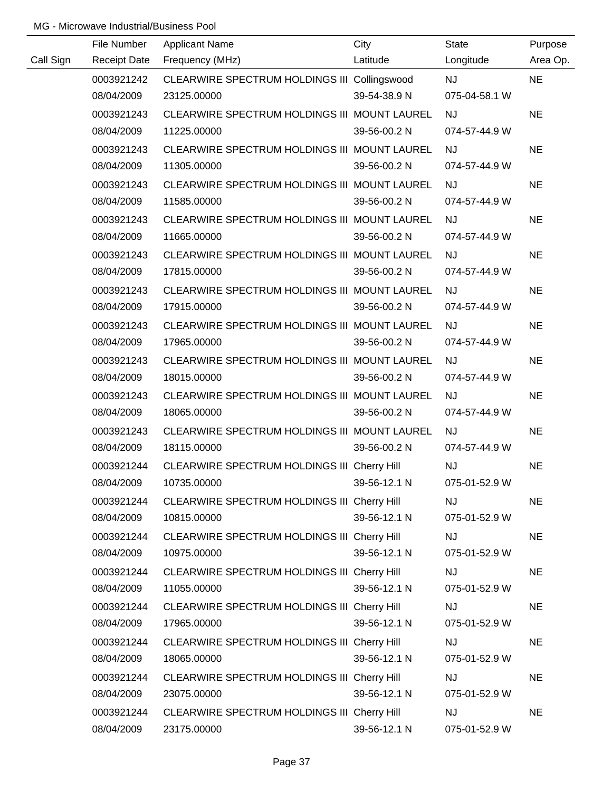|           | File Number         | <b>Applicant Name</b>                        | City         | <b>State</b>  | Purpose   |
|-----------|---------------------|----------------------------------------------|--------------|---------------|-----------|
| Call Sign | <b>Receipt Date</b> | Frequency (MHz)                              | Latitude     | Longitude     | Area Op.  |
|           | 0003921242          | CLEARWIRE SPECTRUM HOLDINGS III Collingswood |              | <b>NJ</b>     | <b>NE</b> |
|           | 08/04/2009          | 23125.00000                                  | 39-54-38.9 N | 075-04-58.1 W |           |
|           | 0003921243          | CLEARWIRE SPECTRUM HOLDINGS III MOUNT LAUREL |              | <b>NJ</b>     | <b>NE</b> |
|           | 08/04/2009          | 11225.00000                                  | 39-56-00.2 N | 074-57-44.9 W |           |
|           | 0003921243          | CLEARWIRE SPECTRUM HOLDINGS III MOUNT LAUREL |              | <b>NJ</b>     | <b>NE</b> |
|           | 08/04/2009          | 11305.00000                                  | 39-56-00.2 N | 074-57-44.9 W |           |
|           | 0003921243          | CLEARWIRE SPECTRUM HOLDINGS III MOUNT LAUREL |              | <b>NJ</b>     | <b>NE</b> |
|           | 08/04/2009          | 11585.00000                                  | 39-56-00.2 N | 074-57-44.9 W |           |
|           | 0003921243          | CLEARWIRE SPECTRUM HOLDINGS III MOUNT LAUREL |              | <b>NJ</b>     | <b>NE</b> |
|           | 08/04/2009          | 11665.00000                                  | 39-56-00.2 N | 074-57-44.9 W |           |
|           | 0003921243          | CLEARWIRE SPECTRUM HOLDINGS III MOUNT LAUREL |              | <b>NJ</b>     | <b>NE</b> |
|           | 08/04/2009          | 17815.00000                                  | 39-56-00.2 N | 074-57-44.9 W |           |
|           | 0003921243          | CLEARWIRE SPECTRUM HOLDINGS III MOUNT LAUREL |              | <b>NJ</b>     | <b>NE</b> |
|           | 08/04/2009          | 17915.00000                                  | 39-56-00.2 N | 074-57-44.9 W |           |
|           | 0003921243          | CLEARWIRE SPECTRUM HOLDINGS III MOUNT LAUREL |              | <b>NJ</b>     | <b>NE</b> |
|           | 08/04/2009          | 17965.00000                                  | 39-56-00.2 N | 074-57-44.9 W |           |
|           | 0003921243          | CLEARWIRE SPECTRUM HOLDINGS III MOUNT LAUREL |              | <b>NJ</b>     | <b>NE</b> |
|           | 08/04/2009          | 18015.00000                                  | 39-56-00.2 N | 074-57-44.9 W |           |
|           | 0003921243          | CLEARWIRE SPECTRUM HOLDINGS III MOUNT LAUREL |              | <b>NJ</b>     | <b>NE</b> |
|           | 08/04/2009          | 18065.00000                                  | 39-56-00.2 N | 074-57-44.9 W |           |
|           | 0003921243          | CLEARWIRE SPECTRUM HOLDINGS III MOUNT LAUREL |              | <b>NJ</b>     | <b>NE</b> |
|           | 08/04/2009          | 18115.00000                                  | 39-56-00.2 N | 074-57-44.9 W |           |
|           | 0003921244          | CLEARWIRE SPECTRUM HOLDINGS III Cherry Hill  |              | <b>NJ</b>     | <b>NE</b> |
|           | 08/04/2009          | 10735.00000                                  | 39-56-12.1 N | 075-01-52.9 W |           |
|           | 0003921244          | CLEARWIRE SPECTRUM HOLDINGS III Cherry Hill  |              | <b>NJ</b>     | <b>NE</b> |
|           | 08/04/2009          | 10815.00000                                  | 39-56-12.1 N | 075-01-52.9 W |           |
|           | 0003921244          | CLEARWIRE SPECTRUM HOLDINGS III Cherry Hill  |              | <b>NJ</b>     | <b>NE</b> |
|           | 08/04/2009          | 10975.00000                                  | 39-56-12.1 N | 075-01-52.9 W |           |
|           | 0003921244          | CLEARWIRE SPECTRUM HOLDINGS III Cherry Hill  |              | <b>NJ</b>     | <b>NE</b> |
|           | 08/04/2009          | 11055.00000                                  | 39-56-12.1 N | 075-01-52.9 W |           |
|           | 0003921244          | CLEARWIRE SPECTRUM HOLDINGS III Cherry Hill  |              | <b>NJ</b>     | <b>NE</b> |
|           | 08/04/2009          | 17965.00000                                  | 39-56-12.1 N | 075-01-52.9 W |           |
|           | 0003921244          | CLEARWIRE SPECTRUM HOLDINGS III Cherry Hill  |              | <b>NJ</b>     | <b>NE</b> |
|           | 08/04/2009          | 18065.00000                                  | 39-56-12.1 N | 075-01-52.9 W |           |
|           | 0003921244          | CLEARWIRE SPECTRUM HOLDINGS III Cherry Hill  |              | <b>NJ</b>     | <b>NE</b> |
|           | 08/04/2009          | 23075.00000                                  | 39-56-12.1 N | 075-01-52.9 W |           |
|           | 0003921244          | CLEARWIRE SPECTRUM HOLDINGS III Cherry Hill  |              | <b>NJ</b>     | <b>NE</b> |
|           | 08/04/2009          | 23175.00000                                  | 39-56-12.1 N | 075-01-52.9 W |           |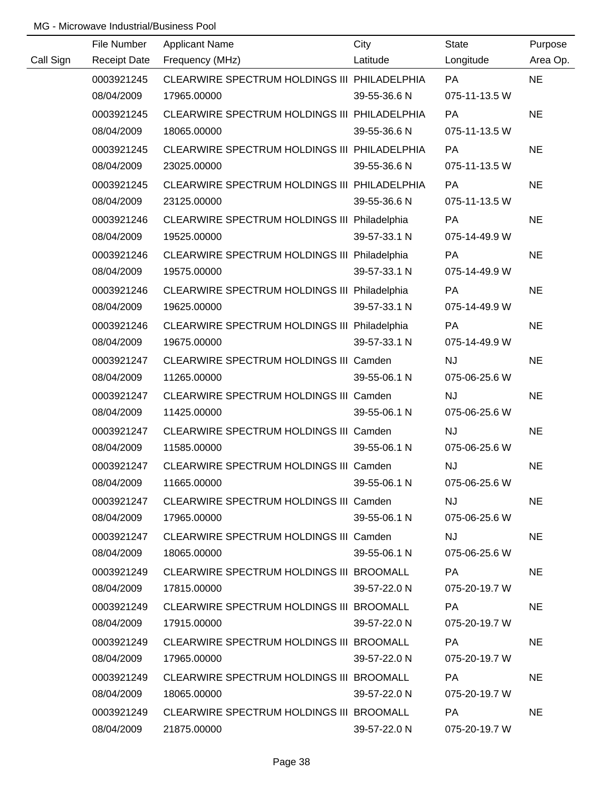|           | File Number | <b>Applicant Name</b>                         | City         | <b>State</b>  | Purpose   |
|-----------|-------------|-----------------------------------------------|--------------|---------------|-----------|
| Call Sign |             | Receipt Date Frequency (MHz)                  | Latitude     | Longitude     | Area Op.  |
|           | 0003921245  | CLEARWIRE SPECTRUM HOLDINGS III PHILADELPHIA  |              | <b>PA</b>     | <b>NE</b> |
|           | 08/04/2009  | 17965.00000                                   | 39-55-36.6 N | 075-11-13.5 W |           |
|           | 0003921245  | CLEARWIRE SPECTRUM HOLDINGS III PHILADELPHIA  |              | PA            | <b>NE</b> |
|           | 08/04/2009  | 18065.00000                                   | 39-55-36.6 N | 075-11-13.5 W |           |
|           | 0003921245  | CLEARWIRE SPECTRUM HOLDINGS III PHILADELPHIA  |              | PA            | <b>NE</b> |
|           | 08/04/2009  | 23025.00000                                   | 39-55-36.6 N | 075-11-13.5 W |           |
|           | 0003921245  | CLEARWIRE SPECTRUM HOLDINGS III PHILADELPHIA  |              | PA            | <b>NE</b> |
|           | 08/04/2009  | 23125.00000                                   | 39-55-36.6 N | 075-11-13.5 W |           |
|           | 0003921246  | CLEARWIRE SPECTRUM HOLDINGS III Philadelphia  |              | <b>PA</b>     | <b>NE</b> |
|           | 08/04/2009  | 19525.00000                                   | 39-57-33.1 N | 075-14-49.9 W |           |
|           | 0003921246  | CLEARWIRE SPECTRUM HOLDINGS III Philadelphia  |              | <b>PA</b>     | <b>NE</b> |
|           | 08/04/2009  | 19575.00000                                   | 39-57-33.1 N | 075-14-49.9 W |           |
|           | 0003921246  | CLEARWIRE SPECTRUM HOLDINGS III Philadelphia  |              | PA            | <b>NE</b> |
|           | 08/04/2009  | 19625.00000                                   | 39-57-33.1 N | 075-14-49.9 W |           |
|           | 0003921246  | CLEARWIRE SPECTRUM HOLDINGS III Philadelphia  |              | PA            | <b>NE</b> |
|           | 08/04/2009  | 19675.00000                                   | 39-57-33.1 N | 075-14-49.9 W |           |
|           | 0003921247  | CLEARWIRE SPECTRUM HOLDINGS III Camden        |              | <b>NJ</b>     | <b>NE</b> |
|           | 08/04/2009  | 11265.00000                                   | 39-55-06.1 N | 075-06-25.6 W |           |
|           | 0003921247  | CLEARWIRE SPECTRUM HOLDINGS III Camden        |              | <b>NJ</b>     | <b>NE</b> |
|           | 08/04/2009  | 11425.00000                                   | 39-55-06.1 N | 075-06-25.6 W |           |
|           | 0003921247  | <b>CLEARWIRE SPECTRUM HOLDINGS III Camden</b> |              | <b>NJ</b>     | <b>NE</b> |
|           | 08/04/2009  | 11585.00000                                   | 39-55-06.1 N | 075-06-25.6 W |           |
|           | 0003921247  | CLEARWIRE SPECTRUM HOLDINGS III Camden        |              | <b>NJ</b>     | <b>NE</b> |
|           | 08/04/2009  | 11665.00000                                   | 39-55-06.1 N | 075-06-25.6 W |           |
|           | 0003921247  | CLEARWIRE SPECTRUM HOLDINGS III Camden        |              | NJ.           | <b>NE</b> |
|           | 08/04/2009  | 17965.00000                                   | 39-55-06.1 N | 075-06-25.6 W |           |
|           | 0003921247  | CLEARWIRE SPECTRUM HOLDINGS III Camden        |              | <b>NJ</b>     | <b>NE</b> |
|           | 08/04/2009  | 18065.00000                                   | 39-55-06.1 N | 075-06-25.6 W |           |
|           | 0003921249  | CLEARWIRE SPECTRUM HOLDINGS III BROOMALL      |              | PA            | <b>NE</b> |
|           | 08/04/2009  | 17815.00000                                   | 39-57-22.0 N | 075-20-19.7 W |           |
|           | 0003921249  | CLEARWIRE SPECTRUM HOLDINGS III BROOMALL      |              | PA            | <b>NE</b> |
|           | 08/04/2009  | 17915.00000                                   | 39-57-22.0 N | 075-20-19.7 W |           |
|           | 0003921249  | CLEARWIRE SPECTRUM HOLDINGS III BROOMALL      |              | PA            | <b>NE</b> |
|           | 08/04/2009  | 17965.00000                                   | 39-57-22.0 N | 075-20-19.7 W |           |
|           | 0003921249  | CLEARWIRE SPECTRUM HOLDINGS III BROOMALL      |              | PA            | <b>NE</b> |
|           | 08/04/2009  | 18065.00000                                   | 39-57-22.0 N | 075-20-19.7 W |           |
|           | 0003921249  | CLEARWIRE SPECTRUM HOLDINGS III BROOMALL      |              | PA            | <b>NE</b> |
|           | 08/04/2009  | 21875.00000                                   | 39-57-22.0 N | 075-20-19.7 W |           |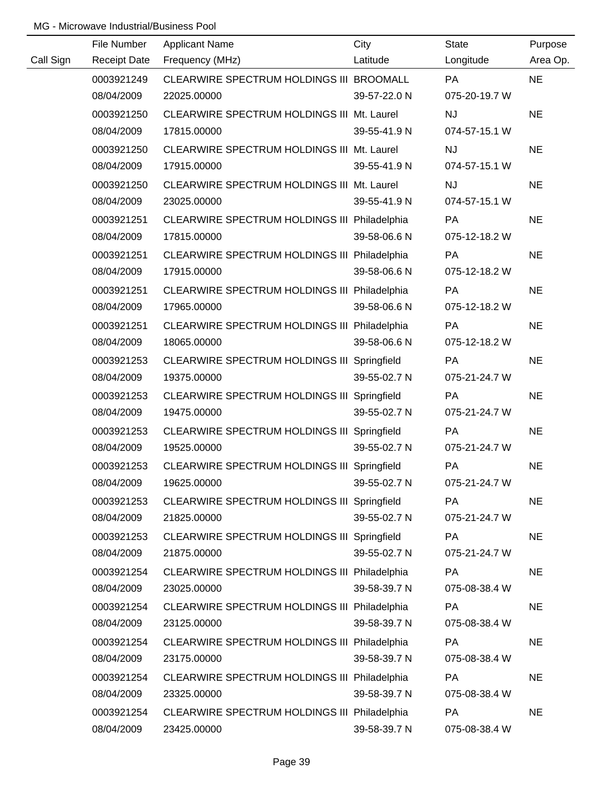|           | File Number         | <b>Applicant Name</b>                        | City         | <b>State</b>  | Purpose   |
|-----------|---------------------|----------------------------------------------|--------------|---------------|-----------|
| Call Sign | <b>Receipt Date</b> | Frequency (MHz)                              | Latitude     | Longitude     | Area Op.  |
|           | 0003921249          | CLEARWIRE SPECTRUM HOLDINGS III BROOMALL     |              | <b>PA</b>     | <b>NE</b> |
|           | 08/04/2009          | 22025.00000                                  | 39-57-22.0 N | 075-20-19.7 W |           |
|           | 0003921250          | CLEARWIRE SPECTRUM HOLDINGS III Mt. Laurel   |              | NJ            | <b>NE</b> |
|           | 08/04/2009          | 17815.00000                                  | 39-55-41.9 N | 074-57-15.1 W |           |
|           | 0003921250          | CLEARWIRE SPECTRUM HOLDINGS III Mt. Laurel   |              | <b>NJ</b>     | <b>NE</b> |
|           | 08/04/2009          | 17915.00000                                  | 39-55-41.9 N | 074-57-15.1 W |           |
|           | 0003921250          | CLEARWIRE SPECTRUM HOLDINGS III Mt. Laurel   |              | <b>NJ</b>     | <b>NE</b> |
|           | 08/04/2009          | 23025.00000                                  | 39-55-41.9 N | 074-57-15.1 W |           |
|           | 0003921251          | CLEARWIRE SPECTRUM HOLDINGS III Philadelphia |              | PA            | <b>NE</b> |
|           | 08/04/2009          | 17815.00000                                  | 39-58-06.6 N | 075-12-18.2 W |           |
|           | 0003921251          | CLEARWIRE SPECTRUM HOLDINGS III Philadelphia |              | PA            | <b>NE</b> |
|           | 08/04/2009          | 17915.00000                                  | 39-58-06.6 N | 075-12-18.2 W |           |
|           | 0003921251          | CLEARWIRE SPECTRUM HOLDINGS III Philadelphia |              | <b>PA</b>     | <b>NE</b> |
|           | 08/04/2009          | 17965.00000                                  | 39-58-06.6 N | 075-12-18.2 W |           |
|           | 0003921251          | CLEARWIRE SPECTRUM HOLDINGS III Philadelphia |              | <b>PA</b>     | <b>NE</b> |
|           | 08/04/2009          | 18065.00000                                  | 39-58-06.6 N | 075-12-18.2 W |           |
|           | 0003921253          | CLEARWIRE SPECTRUM HOLDINGS III Springfield  |              | PA            | <b>NE</b> |
|           | 08/04/2009          | 19375.00000                                  | 39-55-02.7 N | 075-21-24.7 W |           |
|           | 0003921253          | CLEARWIRE SPECTRUM HOLDINGS III Springfield  |              | PA            | <b>NE</b> |
|           | 08/04/2009          | 19475.00000                                  | 39-55-02.7 N | 075-21-24.7 W |           |
|           | 0003921253          | CLEARWIRE SPECTRUM HOLDINGS III Springfield  |              | PA            | <b>NE</b> |
|           | 08/04/2009          | 19525.00000                                  | 39-55-02.7 N | 075-21-24.7 W |           |
|           | 0003921253          | CLEARWIRE SPECTRUM HOLDINGS III Springfield  |              | PA            | <b>NE</b> |
|           | 08/04/2009          | 19625.00000                                  | 39-55-02.7 N | 075-21-24.7 W |           |
|           | 0003921253          | CLEARWIRE SPECTRUM HOLDINGS III Springfield  |              | <b>PA</b>     | <b>NE</b> |
|           | 08/04/2009          | 21825.00000                                  | 39-55-02.7 N | 075-21-24.7 W |           |
|           | 0003921253          | CLEARWIRE SPECTRUM HOLDINGS III Springfield  |              | <b>PA</b>     | <b>NE</b> |
|           | 08/04/2009          | 21875.00000                                  | 39-55-02.7 N | 075-21-24.7 W |           |
|           | 0003921254          | CLEARWIRE SPECTRUM HOLDINGS III Philadelphia |              | PA            | <b>NE</b> |
|           | 08/04/2009          | 23025.00000                                  | 39-58-39.7 N | 075-08-38.4 W |           |
|           | 0003921254          | CLEARWIRE SPECTRUM HOLDINGS III Philadelphia |              | <b>PA</b>     | <b>NE</b> |
|           | 08/04/2009          | 23125.00000                                  | 39-58-39.7 N | 075-08-38.4 W |           |
|           | 0003921254          | CLEARWIRE SPECTRUM HOLDINGS III Philadelphia |              | PA            | <b>NE</b> |
|           | 08/04/2009          | 23175.00000                                  | 39-58-39.7 N | 075-08-38.4 W |           |
|           | 0003921254          | CLEARWIRE SPECTRUM HOLDINGS III Philadelphia |              | <b>PA</b>     | <b>NE</b> |
|           | 08/04/2009          | 23325.00000                                  | 39-58-39.7 N | 075-08-38.4 W |           |
|           | 0003921254          | CLEARWIRE SPECTRUM HOLDINGS III Philadelphia |              | <b>PA</b>     | <b>NE</b> |
|           | 08/04/2009          | 23425.00000                                  | 39-58-39.7 N | 075-08-38.4 W |           |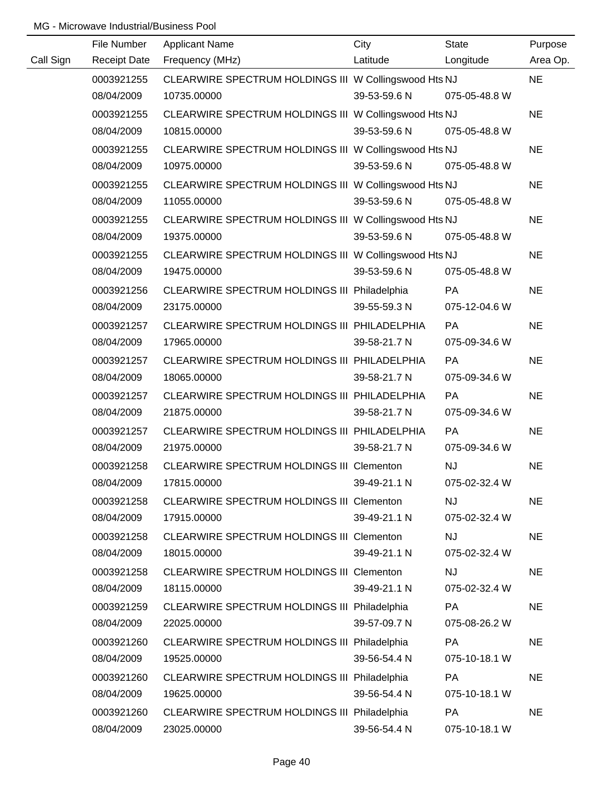|           | File Number | <b>Applicant Name</b>                                 | City                       | State         | Purpose   |
|-----------|-------------|-------------------------------------------------------|----------------------------|---------------|-----------|
| Call Sign |             | Receipt Date Frequency (MHz)                          | Latitude                   | Longitude     | Area Op.  |
|           | 0003921255  | CLEARWIRE SPECTRUM HOLDINGS III W Collingswood Hts NJ |                            |               | <b>NE</b> |
|           | 08/04/2009  | 10735.00000                                           | 39-53-59.6 N               | 075-05-48.8 W |           |
|           | 0003921255  | CLEARWIRE SPECTRUM HOLDINGS III W Collingswood Hts NJ |                            |               | <b>NE</b> |
|           | 08/04/2009  | 10815.00000                                           | 39-53-59.6 N 075-05-48.8 W |               |           |
|           | 0003921255  | CLEARWIRE SPECTRUM HOLDINGS III W Collingswood Hts NJ |                            |               | <b>NE</b> |
|           | 08/04/2009  | 10975.00000                                           | 39-53-59.6 N               | 075-05-48.8 W |           |
|           | 0003921255  | CLEARWIRE SPECTRUM HOLDINGS III W Collingswood Hts NJ |                            |               | <b>NE</b> |
|           | 08/04/2009  | 11055.00000                                           | 39-53-59.6 N               | 075-05-48.8 W |           |
|           | 0003921255  | CLEARWIRE SPECTRUM HOLDINGS III W Collingswood Hts NJ |                            |               | <b>NE</b> |
|           | 08/04/2009  | 19375.00000                                           | 39-53-59.6 N               | 075-05-48.8 W |           |
|           | 0003921255  | CLEARWIRE SPECTRUM HOLDINGS III W Collingswood Hts NJ |                            |               | <b>NE</b> |
|           | 08/04/2009  | 19475.00000                                           | 39-53-59.6 N               | 075-05-48.8 W |           |
|           | 0003921256  | CLEARWIRE SPECTRUM HOLDINGS III Philadelphia          |                            | PA            | <b>NE</b> |
|           | 08/04/2009  | 23175.00000                                           | 39-55-59.3 N               | 075-12-04.6 W |           |
|           | 0003921257  | CLEARWIRE SPECTRUM HOLDINGS III PHILADELPHIA          |                            | <b>PA</b>     | <b>NE</b> |
|           | 08/04/2009  | 17965.00000                                           | 39-58-21.7 N               | 075-09-34.6 W |           |
|           | 0003921257  | CLEARWIRE SPECTRUM HOLDINGS III PHILADELPHIA          |                            | <b>PA</b>     | <b>NE</b> |
|           | 08/04/2009  | 18065.00000                                           | 39-58-21.7 N               | 075-09-34.6 W |           |
|           | 0003921257  | CLEARWIRE SPECTRUM HOLDINGS III PHILADELPHIA          |                            | <b>PA</b>     | <b>NE</b> |
|           | 08/04/2009  | 21875.00000                                           | 39-58-21.7 N               | 075-09-34.6 W |           |
|           | 0003921257  | CLEARWIRE SPECTRUM HOLDINGS III PHILADELPHIA          |                            | <b>PA</b>     | <b>NE</b> |
|           | 08/04/2009  | 21975.00000                                           | 39-58-21.7 N               | 075-09-34.6 W |           |
|           | 0003921258  | CLEARWIRE SPECTRUM HOLDINGS III Clementon             |                            | NJ            | <b>NE</b> |
|           | 08/04/2009  | 17815.00000                                           | 39-49-21.1 N               | 075-02-32.4 W |           |
|           | 0003921258  | CLEARWIRE SPECTRUM HOLDINGS III Clementon             |                            | <b>NJ</b>     | <b>NE</b> |
|           | 08/04/2009  | 17915.00000                                           | 39-49-21.1 N               | 075-02-32.4 W |           |
|           | 0003921258  | CLEARWIRE SPECTRUM HOLDINGS III Clementon             |                            | <b>NJ</b>     | <b>NE</b> |
|           | 08/04/2009  | 18015.00000                                           | 39-49-21.1 N               | 075-02-32.4 W |           |
|           | 0003921258  | <b>CLEARWIRE SPECTRUM HOLDINGS III Clementon</b>      |                            | <b>NJ</b>     | <b>NE</b> |
|           | 08/04/2009  | 18115.00000                                           | 39-49-21.1 N               | 075-02-32.4 W |           |
|           | 0003921259  | CLEARWIRE SPECTRUM HOLDINGS III Philadelphia          |                            | PA            | <b>NE</b> |
|           | 08/04/2009  | 22025.00000                                           | 39-57-09.7 N               | 075-08-26.2 W |           |
|           | 0003921260  | CLEARWIRE SPECTRUM HOLDINGS III Philadelphia          |                            | <b>PA</b>     | <b>NE</b> |
|           | 08/04/2009  | 19525.00000                                           | 39-56-54.4 N               | 075-10-18.1 W |           |
|           | 0003921260  | CLEARWIRE SPECTRUM HOLDINGS III Philadelphia          |                            | PA            | <b>NE</b> |
|           | 08/04/2009  | 19625.00000                                           | 39-56-54.4 N               | 075-10-18.1 W |           |
|           | 0003921260  | CLEARWIRE SPECTRUM HOLDINGS III Philadelphia          |                            | <b>PA</b>     | <b>NE</b> |
|           | 08/04/2009  | 23025.00000                                           | 39-56-54.4 N               | 075-10-18.1 W |           |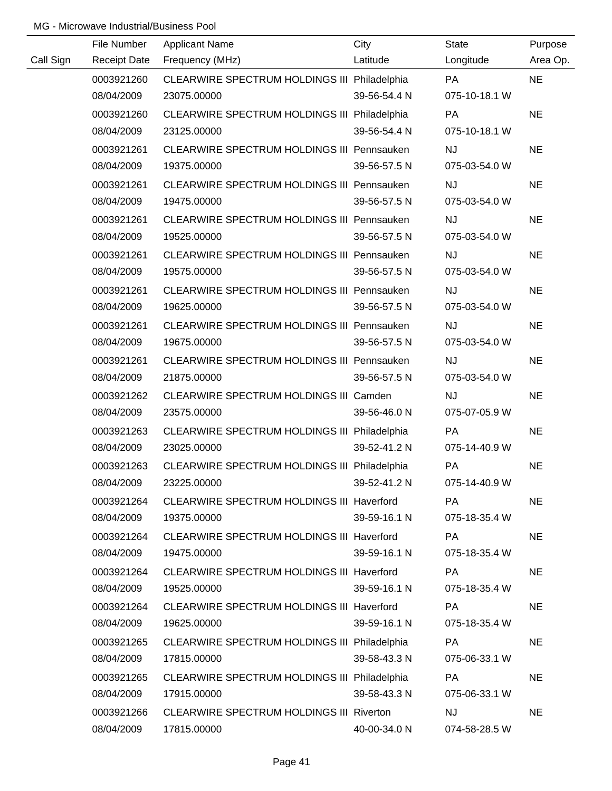|           | File Number         | <b>Applicant Name</b>                             | City         | State         | Purpose   |
|-----------|---------------------|---------------------------------------------------|--------------|---------------|-----------|
| Call Sign | <b>Receipt Date</b> | Frequency (MHz)                                   | Latitude     | Longitude     | Area Op.  |
|           | 0003921260          | CLEARWIRE SPECTRUM HOLDINGS III Philadelphia      |              | PA            | <b>NE</b> |
|           | 08/04/2009          | 23075.00000                                       | 39-56-54.4 N | 075-10-18.1 W |           |
|           | 0003921260          | CLEARWIRE SPECTRUM HOLDINGS III Philadelphia      |              | PA            | <b>NE</b> |
|           | 08/04/2009          | 23125.00000                                       | 39-56-54.4 N | 075-10-18.1 W |           |
|           | 0003921261          | <b>CLEARWIRE SPECTRUM HOLDINGS III Pennsauken</b> |              | <b>NJ</b>     | <b>NE</b> |
|           | 08/04/2009          | 19375.00000                                       | 39-56-57.5 N | 075-03-54.0 W |           |
|           | 0003921261          | CLEARWIRE SPECTRUM HOLDINGS III Pennsauken        |              | <b>NJ</b>     | <b>NE</b> |
|           | 08/04/2009          | 19475.00000                                       | 39-56-57.5 N | 075-03-54.0 W |           |
|           | 0003921261          | CLEARWIRE SPECTRUM HOLDINGS III Pennsauken        |              | <b>NJ</b>     | <b>NE</b> |
|           | 08/04/2009          | 19525.00000                                       | 39-56-57.5 N | 075-03-54.0 W |           |
|           | 0003921261          | <b>CLEARWIRE SPECTRUM HOLDINGS III Pennsauken</b> |              | <b>NJ</b>     | <b>NE</b> |
|           | 08/04/2009          | 19575.00000                                       | 39-56-57.5 N | 075-03-54.0 W |           |
|           | 0003921261          | CLEARWIRE SPECTRUM HOLDINGS III Pennsauken        |              | <b>NJ</b>     | <b>NE</b> |
|           | 08/04/2009          | 19625.00000                                       | 39-56-57.5 N | 075-03-54.0 W |           |
|           | 0003921261          | CLEARWIRE SPECTRUM HOLDINGS III Pennsauken        |              | <b>NJ</b>     | <b>NE</b> |
|           | 08/04/2009          | 19675.00000                                       | 39-56-57.5 N | 075-03-54.0 W |           |
|           | 0003921261          | CLEARWIRE SPECTRUM HOLDINGS III Pennsauken        |              | <b>NJ</b>     | <b>NE</b> |
|           | 08/04/2009          | 21875.00000                                       | 39-56-57.5 N | 075-03-54.0 W |           |
|           | 0003921262          | CLEARWIRE SPECTRUM HOLDINGS III Camden            |              | <b>NJ</b>     | <b>NE</b> |
|           | 08/04/2009          | 23575.00000                                       | 39-56-46.0 N | 075-07-05.9 W |           |
|           | 0003921263          | CLEARWIRE SPECTRUM HOLDINGS III Philadelphia      |              | PA            | <b>NE</b> |
|           | 08/04/2009          | 23025.00000                                       | 39-52-41.2 N | 075-14-40.9 W |           |
|           | 0003921263          | CLEARWIRE SPECTRUM HOLDINGS III Philadelphia      |              | PA            | <b>NE</b> |
|           | 08/04/2009          | 23225.00000                                       | 39-52-41.2 N | 075-14-40.9 W |           |
|           | 0003921264          | CLEARWIRE SPECTRUM HOLDINGS III Haverford         |              | <b>PA</b>     | <b>NE</b> |
|           | 08/04/2009          | 19375.00000                                       | 39-59-16.1 N | 075-18-35.4 W |           |
|           | 0003921264          | CLEARWIRE SPECTRUM HOLDINGS III Haverford         |              | PA            | <b>NE</b> |
|           | 08/04/2009          | 19475.00000                                       | 39-59-16.1 N | 075-18-35.4 W |           |
|           | 0003921264          | CLEARWIRE SPECTRUM HOLDINGS III Haverford         |              | PA            | <b>NE</b> |
|           | 08/04/2009          | 19525.00000                                       | 39-59-16.1 N | 075-18-35.4 W |           |
|           | 0003921264          | CLEARWIRE SPECTRUM HOLDINGS III Haverford         |              | PA            | <b>NE</b> |
|           | 08/04/2009          | 19625.00000                                       | 39-59-16.1 N | 075-18-35.4 W |           |
|           | 0003921265          | CLEARWIRE SPECTRUM HOLDINGS III Philadelphia      |              | PA            | <b>NE</b> |
|           | 08/04/2009          | 17815.00000                                       | 39-58-43.3 N | 075-06-33.1 W |           |
|           | 0003921265          | CLEARWIRE SPECTRUM HOLDINGS III Philadelphia      |              | PA            | <b>NE</b> |
|           | 08/04/2009          | 17915.00000                                       | 39-58-43.3 N | 075-06-33.1 W |           |
|           | 0003921266          | <b>CLEARWIRE SPECTRUM HOLDINGS III Riverton</b>   |              | <b>NJ</b>     | <b>NE</b> |
|           | 08/04/2009          | 17815.00000                                       | 40-00-34.0 N | 074-58-28.5 W |           |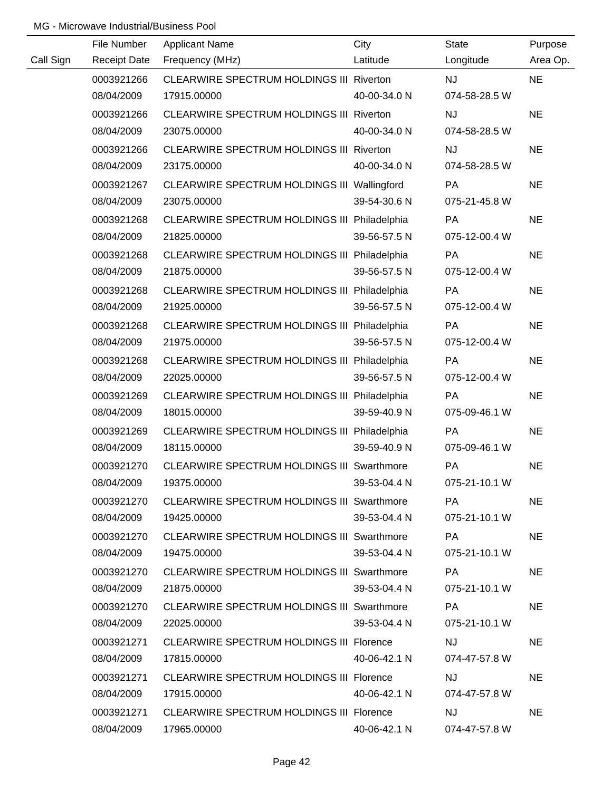|           | File Number         | <b>Applicant Name</b>                             | City         | <b>State</b>  | Purpose   |
|-----------|---------------------|---------------------------------------------------|--------------|---------------|-----------|
| Call Sign | <b>Receipt Date</b> | Frequency (MHz)                                   | Latitude     | Longitude     | Area Op.  |
|           | 0003921266          | CLEARWIRE SPECTRUM HOLDINGS III Riverton          |              | NJ            | <b>NE</b> |
|           | 08/04/2009          | 17915.00000                                       | 40-00-34.0 N | 074-58-28.5 W |           |
|           | 0003921266          | CLEARWIRE SPECTRUM HOLDINGS III Riverton          |              | <b>NJ</b>     | <b>NE</b> |
|           | 08/04/2009          | 23075.00000                                       | 40-00-34.0 N | 074-58-28.5 W |           |
|           | 0003921266          | CLEARWIRE SPECTRUM HOLDINGS III Riverton          |              | <b>NJ</b>     | <b>NE</b> |
|           | 08/04/2009          | 23175.00000                                       | 40-00-34.0 N | 074-58-28.5 W |           |
|           | 0003921267          | CLEARWIRE SPECTRUM HOLDINGS III Wallingford       |              | <b>PA</b>     | <b>NE</b> |
|           | 08/04/2009          | 23075.00000                                       | 39-54-30.6 N | 075-21-45.8 W |           |
|           | 0003921268          | CLEARWIRE SPECTRUM HOLDINGS III Philadelphia      |              | PA            | <b>NE</b> |
|           | 08/04/2009          | 21825.00000                                       | 39-56-57.5 N | 075-12-00.4 W |           |
|           | 0003921268          | CLEARWIRE SPECTRUM HOLDINGS III Philadelphia      |              | PA            | <b>NE</b> |
|           | 08/04/2009          | 21875.00000                                       | 39-56-57.5 N | 075-12-00.4 W |           |
|           | 0003921268          | CLEARWIRE SPECTRUM HOLDINGS III Philadelphia      |              | PA            | <b>NE</b> |
|           | 08/04/2009          | 21925.00000                                       | 39-56-57.5 N | 075-12-00.4 W |           |
|           | 0003921268          | CLEARWIRE SPECTRUM HOLDINGS III Philadelphia      |              | PA            | <b>NE</b> |
|           | 08/04/2009          | 21975.00000                                       | 39-56-57.5 N | 075-12-00.4 W |           |
|           | 0003921268          | CLEARWIRE SPECTRUM HOLDINGS III Philadelphia      |              | PA            | <b>NE</b> |
|           | 08/04/2009          | 22025.00000                                       | 39-56-57.5 N | 075-12-00.4 W |           |
|           | 0003921269          | CLEARWIRE SPECTRUM HOLDINGS III Philadelphia      |              | PA            | <b>NE</b> |
|           | 08/04/2009          | 18015.00000                                       | 39-59-40.9 N | 075-09-46.1 W |           |
|           | 0003921269          | CLEARWIRE SPECTRUM HOLDINGS III Philadelphia      |              | PA            | <b>NE</b> |
|           | 08/04/2009          | 18115.00000                                       | 39-59-40.9 N | 075-09-46.1 W |           |
|           | 0003921270          | CLEARWIRE SPECTRUM HOLDINGS III Swarthmore        |              | PA            | <b>NE</b> |
|           | 08/04/2009          | 19375.00000                                       | 39-53-04.4 N | 075-21-10.1 W |           |
|           | 0003921270          | CLEARWIRE SPECTRUM HOLDINGS III Swarthmore        |              | <b>PA</b>     | <b>NE</b> |
|           | 08/04/2009          | 19425.00000                                       | 39-53-04.4 N | 075-21-10.1 W |           |
|           | 0003921270          | <b>CLEARWIRE SPECTRUM HOLDINGS III Swarthmore</b> |              | PA            | <b>NE</b> |
|           | 08/04/2009          | 19475.00000                                       | 39-53-04.4 N | 075-21-10.1 W |           |
|           | 0003921270          | <b>CLEARWIRE SPECTRUM HOLDINGS III Swarthmore</b> |              | PA            | <b>NE</b> |
|           | 08/04/2009          | 21875.00000                                       | 39-53-04.4 N | 075-21-10.1 W |           |
|           | 0003921270          | <b>CLEARWIRE SPECTRUM HOLDINGS III Swarthmore</b> |              | <b>PA</b>     | <b>NE</b> |
|           | 08/04/2009          | 22025.00000                                       | 39-53-04.4 N | 075-21-10.1 W |           |
|           | 0003921271          | <b>CLEARWIRE SPECTRUM HOLDINGS III Florence</b>   |              | <b>NJ</b>     | <b>NE</b> |
|           | 08/04/2009          | 17815.00000                                       | 40-06-42.1 N | 074-47-57.8 W |           |
|           | 0003921271          | <b>CLEARWIRE SPECTRUM HOLDINGS III Florence</b>   |              | <b>NJ</b>     | <b>NE</b> |
|           | 08/04/2009          | 17915.00000                                       | 40-06-42.1 N | 074-47-57.8 W |           |
|           | 0003921271          | <b>CLEARWIRE SPECTRUM HOLDINGS III Florence</b>   |              | <b>NJ</b>     | <b>NE</b> |
|           | 08/04/2009          | 17965.00000                                       | 40-06-42.1 N | 074-47-57.8 W |           |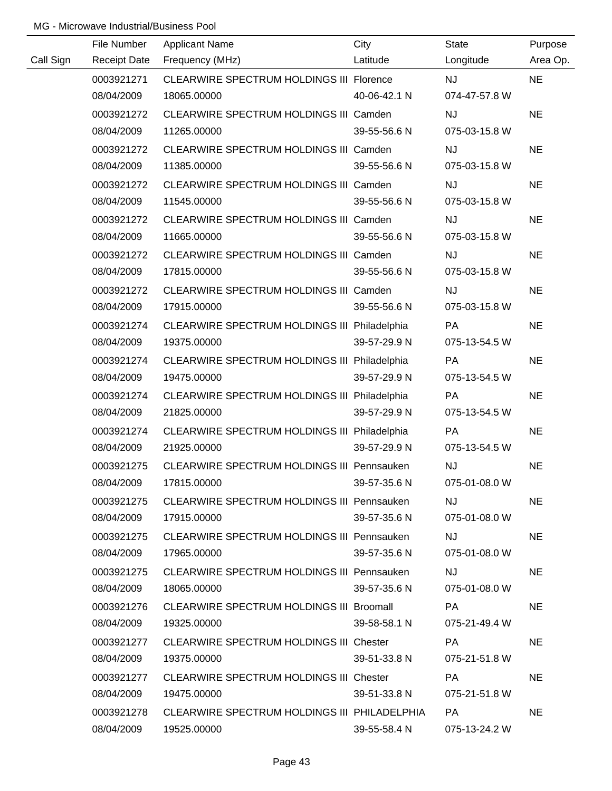|           | File Number         | <b>Applicant Name</b>                             | City         | State         | Purpose   |
|-----------|---------------------|---------------------------------------------------|--------------|---------------|-----------|
| Call Sign | <b>Receipt Date</b> | Frequency (MHz)                                   | Latitude     | Longitude     | Area Op.  |
|           | 0003921271          | CLEARWIRE SPECTRUM HOLDINGS III Florence          |              | <b>NJ</b>     | <b>NE</b> |
|           | 08/04/2009          | 18065.00000                                       | 40-06-42.1 N | 074-47-57.8 W |           |
|           | 0003921272          | CLEARWIRE SPECTRUM HOLDINGS III Camden            |              | <b>NJ</b>     | <b>NE</b> |
|           | 08/04/2009          | 11265.00000                                       | 39-55-56.6 N | 075-03-15.8 W |           |
|           | 0003921272          | CLEARWIRE SPECTRUM HOLDINGS III Camden            |              | <b>NJ</b>     | <b>NE</b> |
|           | 08/04/2009          | 11385.00000                                       | 39-55-56.6 N | 075-03-15.8 W |           |
|           | 0003921272          | CLEARWIRE SPECTRUM HOLDINGS III Camden            |              | <b>NJ</b>     | <b>NE</b> |
|           | 08/04/2009          | 11545.00000                                       | 39-55-56.6 N | 075-03-15.8 W |           |
|           | 0003921272          | CLEARWIRE SPECTRUM HOLDINGS III Camden            |              | <b>NJ</b>     | <b>NE</b> |
|           | 08/04/2009          | 11665.00000                                       | 39-55-56.6 N | 075-03-15.8 W |           |
|           | 0003921272          | CLEARWIRE SPECTRUM HOLDINGS III Camden            |              | <b>NJ</b>     | <b>NE</b> |
|           | 08/04/2009          | 17815.00000                                       | 39-55-56.6 N | 075-03-15.8 W |           |
|           | 0003921272          | CLEARWIRE SPECTRUM HOLDINGS III Camden            |              | <b>NJ</b>     | <b>NE</b> |
|           | 08/04/2009          | 17915.00000                                       | 39-55-56.6 N | 075-03-15.8 W |           |
|           | 0003921274          | CLEARWIRE SPECTRUM HOLDINGS III Philadelphia      |              | PA            | <b>NE</b> |
|           | 08/04/2009          | 19375.00000                                       | 39-57-29.9 N | 075-13-54.5 W |           |
|           | 0003921274          | CLEARWIRE SPECTRUM HOLDINGS III Philadelphia      |              | <b>PA</b>     | <b>NE</b> |
|           | 08/04/2009          | 19475.00000                                       | 39-57-29.9 N | 075-13-54.5 W |           |
|           | 0003921274          | CLEARWIRE SPECTRUM HOLDINGS III Philadelphia      |              | PA            | <b>NE</b> |
|           | 08/04/2009          | 21825.00000                                       | 39-57-29.9 N | 075-13-54.5 W |           |
|           | 0003921274          | CLEARWIRE SPECTRUM HOLDINGS III Philadelphia      |              | PA            | <b>NE</b> |
|           | 08/04/2009          | 21925.00000                                       | 39-57-29.9 N | 075-13-54.5 W |           |
|           | 0003921275          | CLEARWIRE SPECTRUM HOLDINGS III Pennsauken        |              | NJ            | <b>NE</b> |
|           | 08/04/2009          | 17815.00000                                       | 39-57-35.6 N | 075-01-08.0 W |           |
|           | 0003921275          | <b>CLEARWIRE SPECTRUM HOLDINGS III Pennsauken</b> |              | <b>NJ</b>     | <b>NE</b> |
|           | 08/04/2009          | 17915.00000                                       | 39-57-35.6 N | 075-01-08.0 W |           |
|           | 0003921275          | <b>CLEARWIRE SPECTRUM HOLDINGS III Pennsauken</b> |              | <b>NJ</b>     | <b>NE</b> |
|           | 08/04/2009          | 17965.00000                                       | 39-57-35.6 N | 075-01-08.0 W |           |
|           | 0003921275          | <b>CLEARWIRE SPECTRUM HOLDINGS III Pennsauken</b> |              | <b>NJ</b>     | <b>NE</b> |
|           | 08/04/2009          | 18065.00000                                       | 39-57-35.6 N | 075-01-08.0 W |           |
|           | 0003921276          | CLEARWIRE SPECTRUM HOLDINGS III Broomall          |              | PA            | <b>NE</b> |
|           | 08/04/2009          | 19325.00000                                       | 39-58-58.1 N | 075-21-49.4 W |           |
|           | 0003921277          | CLEARWIRE SPECTRUM HOLDINGS III Chester           |              | PA            | <b>NE</b> |
|           | 08/04/2009          | 19375.00000                                       | 39-51-33.8 N | 075-21-51.8 W |           |
|           | 0003921277          | CLEARWIRE SPECTRUM HOLDINGS III Chester           |              | PA            | <b>NE</b> |
|           | 08/04/2009          | 19475.00000                                       | 39-51-33.8 N | 075-21-51.8 W |           |
|           | 0003921278          | CLEARWIRE SPECTRUM HOLDINGS III PHILADELPHIA      |              | <b>PA</b>     | <b>NE</b> |
|           | 08/04/2009          | 19525.00000                                       | 39-55-58.4 N | 075-13-24.2 W |           |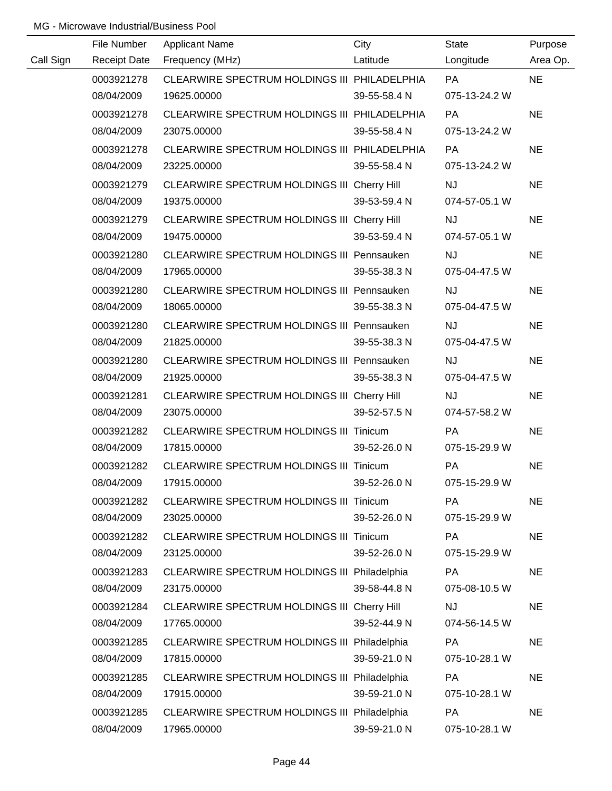|           | File Number         | <b>Applicant Name</b>                             | City         | <b>State</b>  | Purpose   |
|-----------|---------------------|---------------------------------------------------|--------------|---------------|-----------|
| Call Sign | <b>Receipt Date</b> | Frequency (MHz)                                   | Latitude     | Longitude     | Area Op.  |
|           | 0003921278          | CLEARWIRE SPECTRUM HOLDINGS III PHILADELPHIA      |              | <b>PA</b>     | <b>NE</b> |
|           | 08/04/2009          | 19625.00000                                       | 39-55-58.4 N | 075-13-24.2 W |           |
|           | 0003921278          | CLEARWIRE SPECTRUM HOLDINGS III PHILADELPHIA      |              | PA            | <b>NE</b> |
|           | 08/04/2009          | 23075.00000                                       | 39-55-58.4 N | 075-13-24.2 W |           |
|           | 0003921278          | CLEARWIRE SPECTRUM HOLDINGS III PHILADELPHIA      |              | <b>PA</b>     | <b>NE</b> |
|           | 08/04/2009          | 23225.00000                                       | 39-55-58.4 N | 075-13-24.2 W |           |
|           | 0003921279          | CLEARWIRE SPECTRUM HOLDINGS III Cherry Hill       |              | <b>NJ</b>     | <b>NE</b> |
|           | 08/04/2009          | 19375.00000                                       | 39-53-59.4 N | 074-57-05.1 W |           |
|           | 0003921279          | CLEARWIRE SPECTRUM HOLDINGS III Cherry Hill       |              | <b>NJ</b>     | <b>NE</b> |
|           | 08/04/2009          | 19475.00000                                       | 39-53-59.4 N | 074-57-05.1 W |           |
|           | 0003921280          | CLEARWIRE SPECTRUM HOLDINGS III Pennsauken        |              | <b>NJ</b>     | <b>NE</b> |
|           | 08/04/2009          | 17965.00000                                       | 39-55-38.3 N | 075-04-47.5 W |           |
|           | 0003921280          | CLEARWIRE SPECTRUM HOLDINGS III Pennsauken        |              | <b>NJ</b>     | <b>NE</b> |
|           | 08/04/2009          | 18065.00000                                       | 39-55-38.3 N | 075-04-47.5 W |           |
|           | 0003921280          | <b>CLEARWIRE SPECTRUM HOLDINGS III Pennsauken</b> |              | <b>NJ</b>     | <b>NE</b> |
|           | 08/04/2009          | 21825.00000                                       | 39-55-38.3 N | 075-04-47.5 W |           |
|           | 0003921280          | <b>CLEARWIRE SPECTRUM HOLDINGS III Pennsauken</b> |              | <b>NJ</b>     | <b>NE</b> |
|           | 08/04/2009          | 21925.00000                                       | 39-55-38.3 N | 075-04-47.5 W |           |
|           | 0003921281          | CLEARWIRE SPECTRUM HOLDINGS III Cherry Hill       |              | <b>NJ</b>     | <b>NE</b> |
|           | 08/04/2009          | 23075.00000                                       | 39-52-57.5 N | 074-57-58.2 W |           |
|           | 0003921282          | CLEARWIRE SPECTRUM HOLDINGS III Tinicum           |              | PA            | <b>NE</b> |
|           | 08/04/2009          | 17815.00000                                       | 39-52-26.0 N | 075-15-29.9 W |           |
|           | 0003921282          | CLEARWIRE SPECTRUM HOLDINGS III Tinicum           |              | PA            | <b>NE</b> |
|           | 08/04/2009          | 17915.00000                                       | 39-52-26.0 N | 075-15-29.9 W |           |
|           | 0003921282          | CLEARWIRE SPECTRUM HOLDINGS III Tinicum           |              | PA            | <b>NE</b> |
|           | 08/04/2009          | 23025.00000                                       | 39-52-26.0 N | 075-15-29.9 W |           |
|           | 0003921282          | CLEARWIRE SPECTRUM HOLDINGS III Tinicum           |              | <b>PA</b>     | <b>NE</b> |
|           | 08/04/2009          | 23125.00000                                       | 39-52-26.0 N | 075-15-29.9 W |           |
|           | 0003921283          | CLEARWIRE SPECTRUM HOLDINGS III Philadelphia      |              | PA            | <b>NE</b> |
|           | 08/04/2009          | 23175.00000                                       | 39-58-44.8 N | 075-08-10.5 W |           |
|           | 0003921284          | CLEARWIRE SPECTRUM HOLDINGS III Cherry Hill       |              | <b>NJ</b>     | <b>NE</b> |
|           | 08/04/2009          | 17765.00000                                       | 39-52-44.9 N | 074-56-14.5 W |           |
|           | 0003921285          | CLEARWIRE SPECTRUM HOLDINGS III Philadelphia      |              | PA            | <b>NE</b> |
|           | 08/04/2009          | 17815.00000                                       | 39-59-21.0 N | 075-10-28.1 W |           |
|           | 0003921285          | CLEARWIRE SPECTRUM HOLDINGS III Philadelphia      |              | <b>PA</b>     | <b>NE</b> |
|           | 08/04/2009          | 17915.00000                                       | 39-59-21.0 N | 075-10-28.1 W |           |
|           | 0003921285          | CLEARWIRE SPECTRUM HOLDINGS III Philadelphia      |              | PA            | <b>NE</b> |
|           | 08/04/2009          | 17965.00000                                       | 39-59-21.0 N | 075-10-28.1 W |           |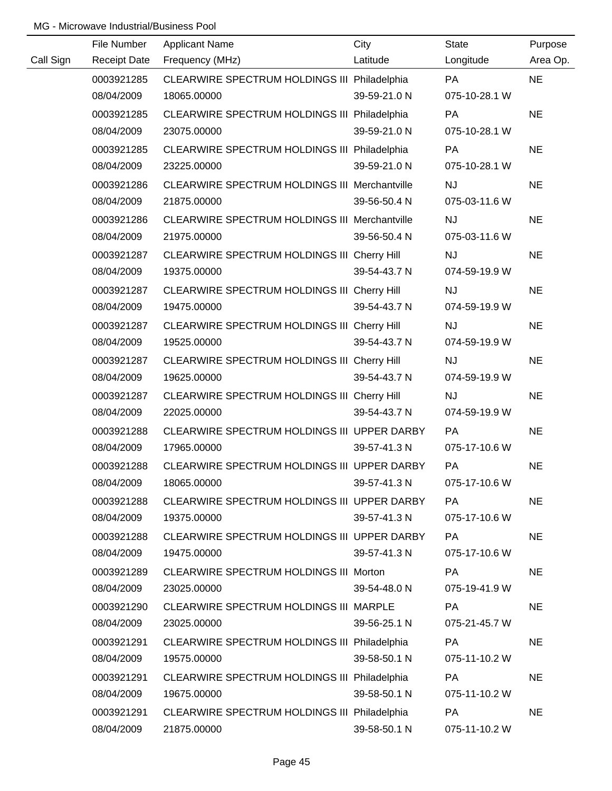|           | File Number | <b>Applicant Name</b>                                | City         | State         | Purpose   |
|-----------|-------------|------------------------------------------------------|--------------|---------------|-----------|
| Call Sign |             | Receipt Date Frequency (MHz)                         | Latitude     | Longitude     | Area Op.  |
|           | 0003921285  | CLEARWIRE SPECTRUM HOLDINGS III Philadelphia         |              | <b>PA</b>     | <b>NE</b> |
|           | 08/04/2009  | 18065.00000                                          | 39-59-21.0 N | 075-10-28.1 W |           |
|           | 0003921285  | CLEARWIRE SPECTRUM HOLDINGS III Philadelphia         |              | PA            | <b>NE</b> |
|           | 08/04/2009  | 23075.00000                                          | 39-59-21.0 N | 075-10-28.1 W |           |
|           | 0003921285  | CLEARWIRE SPECTRUM HOLDINGS III Philadelphia         |              | <b>PA</b>     | <b>NE</b> |
|           | 08/04/2009  | 23225.00000                                          | 39-59-21.0 N | 075-10-28.1 W |           |
|           | 0003921286  | <b>CLEARWIRE SPECTRUM HOLDINGS III Merchantville</b> |              | <b>NJ</b>     | <b>NE</b> |
|           | 08/04/2009  | 21875.00000                                          | 39-56-50.4 N | 075-03-11.6 W |           |
|           | 0003921286  | CLEARWIRE SPECTRUM HOLDINGS III Merchantville        |              | <b>NJ</b>     | <b>NE</b> |
|           | 08/04/2009  | 21975.00000                                          | 39-56-50.4 N | 075-03-11.6 W |           |
|           | 0003921287  | CLEARWIRE SPECTRUM HOLDINGS III Cherry Hill          |              | <b>NJ</b>     | <b>NE</b> |
|           | 08/04/2009  | 19375.00000                                          | 39-54-43.7 N | 074-59-19.9 W |           |
|           | 0003921287  | CLEARWIRE SPECTRUM HOLDINGS III Cherry Hill          |              | <b>NJ</b>     | <b>NE</b> |
|           | 08/04/2009  | 19475.00000                                          | 39-54-43.7 N | 074-59-19.9 W |           |
|           | 0003921287  | CLEARWIRE SPECTRUM HOLDINGS III Cherry Hill          |              | <b>NJ</b>     | <b>NE</b> |
|           | 08/04/2009  | 19525.00000                                          | 39-54-43.7 N | 074-59-19.9 W |           |
|           | 0003921287  | CLEARWIRE SPECTRUM HOLDINGS III Cherry Hill          |              | <b>NJ</b>     | <b>NE</b> |
|           | 08/04/2009  | 19625.00000                                          | 39-54-43.7 N | 074-59-19.9 W |           |
|           | 0003921287  | CLEARWIRE SPECTRUM HOLDINGS III Cherry Hill          |              | <b>NJ</b>     | <b>NE</b> |
|           | 08/04/2009  | 22025.00000                                          | 39-54-43.7 N | 074-59-19.9 W |           |
|           | 0003921288  | CLEARWIRE SPECTRUM HOLDINGS III UPPER DARBY          |              | PA            | <b>NE</b> |
|           | 08/04/2009  | 17965.00000                                          | 39-57-41.3 N | 075-17-10.6 W |           |
|           | 0003921288  | CLEARWIRE SPECTRUM HOLDINGS III UPPER DARBY          |              | PA            | <b>NE</b> |
|           | 08/04/2009  | 18065.00000                                          | 39-57-41.3 N | 075-17-10.6 W |           |
|           | 0003921288  | CLEARWIRE SPECTRUM HOLDINGS III UPPER DARBY          |              | PA            | <b>NE</b> |
|           | 08/04/2009  | 19375.00000                                          | 39-57-41.3 N | 075-17-10.6 W |           |
|           | 0003921288  | CLEARWIRE SPECTRUM HOLDINGS III UPPER DARBY          |              | PA            | <b>NE</b> |
|           | 08/04/2009  | 19475.00000                                          | 39-57-41.3 N | 075-17-10.6 W |           |
|           | 0003921289  | CLEARWIRE SPECTRUM HOLDINGS III Morton               |              | <b>PA</b>     | <b>NE</b> |
|           | 08/04/2009  | 23025.00000                                          | 39-54-48.0 N | 075-19-41.9 W |           |
|           | 0003921290  | CLEARWIRE SPECTRUM HOLDINGS III MARPLE               |              | PA            | <b>NE</b> |
|           | 08/04/2009  | 23025.00000                                          | 39-56-25.1 N | 075-21-45.7 W |           |
|           | 0003921291  | CLEARWIRE SPECTRUM HOLDINGS III Philadelphia         |              | PA            | <b>NE</b> |
|           | 08/04/2009  | 19575.00000                                          | 39-58-50.1 N | 075-11-10.2 W |           |
|           | 0003921291  | CLEARWIRE SPECTRUM HOLDINGS III Philadelphia         |              | PA            | <b>NE</b> |
|           | 08/04/2009  | 19675.00000                                          | 39-58-50.1 N | 075-11-10.2 W |           |
|           | 0003921291  | CLEARWIRE SPECTRUM HOLDINGS III Philadelphia         |              | PA            | <b>NE</b> |
|           | 08/04/2009  | 21875.00000                                          | 39-58-50.1 N | 075-11-10.2 W |           |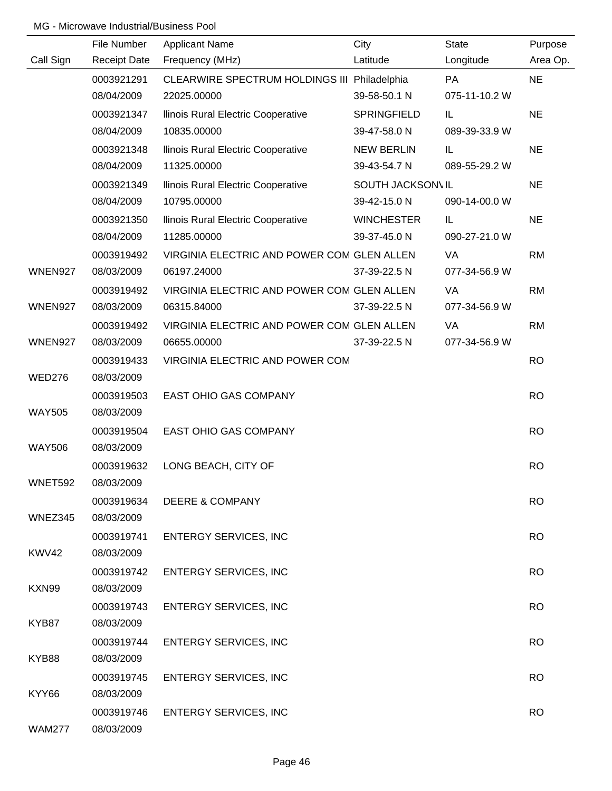|                | File Number              | <b>Applicant Name</b>                        | City              | <b>State</b>  | Purpose   |
|----------------|--------------------------|----------------------------------------------|-------------------|---------------|-----------|
| Call Sign      | <b>Receipt Date</b>      | Frequency (MHz)                              | Latitude          | Longitude     | Area Op.  |
|                | 0003921291               | CLEARWIRE SPECTRUM HOLDINGS III Philadelphia |                   | PA            | <b>NE</b> |
|                | 08/04/2009               | 22025.00000                                  | 39-58-50.1 N      | 075-11-10.2 W |           |
|                | 0003921347               | Ilinois Rural Electric Cooperative           | SPRINGFIELD       | IL            | <b>NE</b> |
|                | 08/04/2009               | 10835.00000                                  | 39-47-58.0 N      | 089-39-33.9 W |           |
|                | 0003921348               | Ilinois Rural Electric Cooperative           | <b>NEW BERLIN</b> | IL            | <b>NE</b> |
|                | 08/04/2009               | 11325.00000                                  | 39-43-54.7 N      | 089-55-29.2 W |           |
|                | 0003921349               | Ilinois Rural Electric Cooperative           | SOUTH JACKSON\IL  |               | <b>NE</b> |
|                | 08/04/2009               | 10795.00000                                  | 39-42-15.0 N      | 090-14-00.0 W |           |
|                | 0003921350               | Ilinois Rural Electric Cooperative           | <b>WINCHESTER</b> | IL            | <b>NE</b> |
|                | 08/04/2009               | 11285.00000                                  | 39-37-45.0 N      | 090-27-21.0 W |           |
|                | 0003919492               | VIRGINIA ELECTRIC AND POWER CON GLEN ALLEN   |                   | VA            | <b>RM</b> |
| <b>WNEN927</b> | 08/03/2009               | 06197.24000                                  | 37-39-22.5 N      | 077-34-56.9 W |           |
|                | 0003919492               | VIRGINIA ELECTRIC AND POWER CON GLEN ALLEN   |                   | VA            | <b>RM</b> |
| WNEN927        | 08/03/2009               | 06315.84000                                  | 37-39-22.5 N      | 077-34-56.9 W |           |
|                | 0003919492               | VIRGINIA ELECTRIC AND POWER CON GLEN ALLEN   |                   | VA            | <b>RM</b> |
| WNEN927        | 08/03/2009               | 06655.00000                                  | 37-39-22.5 N      | 077-34-56.9 W |           |
|                | 0003919433               | VIRGINIA ELECTRIC AND POWER COM              |                   |               | <b>RO</b> |
| <b>WED276</b>  | 08/03/2009               |                                              |                   |               |           |
|                | 0003919503               | EAST OHIO GAS COMPANY                        |                   |               | <b>RO</b> |
| <b>WAY505</b>  | 08/03/2009               |                                              |                   |               |           |
|                | 0003919504               | EAST OHIO GAS COMPANY                        |                   |               | <b>RO</b> |
| <b>WAY506</b>  | 08/03/2009               |                                              |                   |               |           |
|                | 0003919632               | LONG BEACH, CITY OF                          |                   |               | <b>RO</b> |
| <b>WNET592</b> | 08/03/2009               |                                              |                   |               |           |
|                | 0003919634               | <b>DEERE &amp; COMPANY</b>                   |                   |               | <b>RO</b> |
| WNEZ345        | 08/03/2009               |                                              |                   |               |           |
|                | 0003919741               | <b>ENTERGY SERVICES, INC</b>                 |                   |               | <b>RO</b> |
| KWV42          | 08/03/2009               |                                              |                   |               |           |
|                | 0003919742               | <b>ENTERGY SERVICES, INC</b>                 |                   |               | <b>RO</b> |
| KXN99          | 08/03/2009               |                                              |                   |               |           |
|                | 0003919743               | <b>ENTERGY SERVICES, INC</b>                 |                   |               | <b>RO</b> |
| KYB87          | 08/03/2009               |                                              |                   |               |           |
|                | 0003919744               | <b>ENTERGY SERVICES, INC</b>                 |                   |               | <b>RO</b> |
| KYB88          | 08/03/2009               |                                              |                   |               |           |
| KYY66          | 0003919745<br>08/03/2009 | <b>ENTERGY SERVICES, INC</b>                 |                   |               | <b>RO</b> |
|                | 0003919746               | <b>ENTERGY SERVICES, INC</b>                 |                   |               | <b>RO</b> |
| <b>WAM277</b>  | 08/03/2009               |                                              |                   |               |           |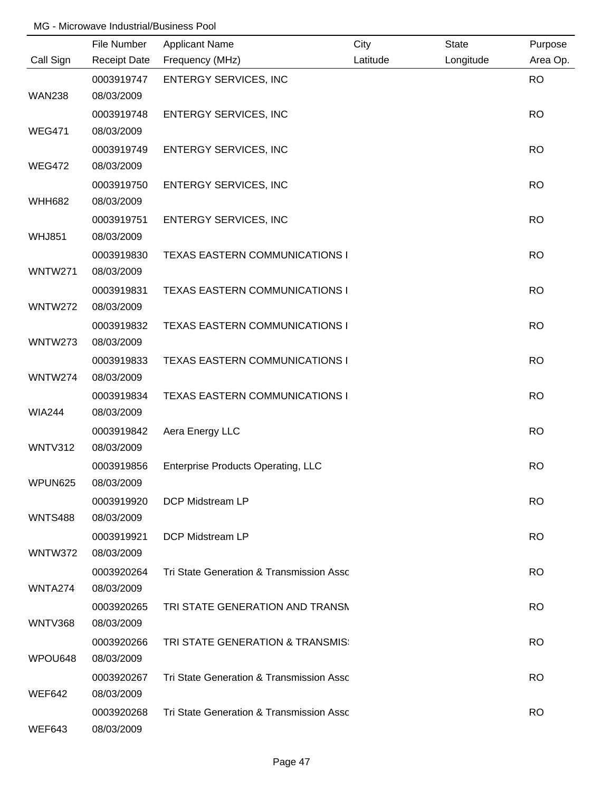|                | File Number         | <b>Applicant Name</b>                     | City     | State     | Purpose   |
|----------------|---------------------|-------------------------------------------|----------|-----------|-----------|
| Call Sign      | <b>Receipt Date</b> | Frequency (MHz)                           | Latitude | Longitude | Area Op.  |
|                | 0003919747          | <b>ENTERGY SERVICES, INC</b>              |          |           | <b>RO</b> |
| <b>WAN238</b>  | 08/03/2009          |                                           |          |           |           |
|                | 0003919748          | <b>ENTERGY SERVICES, INC</b>              |          |           | <b>RO</b> |
| <b>WEG471</b>  | 08/03/2009          |                                           |          |           |           |
|                | 0003919749          | <b>ENTERGY SERVICES, INC</b>              |          |           | <b>RO</b> |
| <b>WEG472</b>  | 08/03/2009          |                                           |          |           |           |
|                | 0003919750          | <b>ENTERGY SERVICES, INC</b>              |          |           | <b>RO</b> |
| <b>WHH682</b>  | 08/03/2009          |                                           |          |           |           |
|                | 0003919751          | <b>ENTERGY SERVICES, INC</b>              |          |           | <b>RO</b> |
| <b>WHJ851</b>  | 08/03/2009          |                                           |          |           |           |
|                | 0003919830          | <b>TEXAS EASTERN COMMUNICATIONS I</b>     |          |           | <b>RO</b> |
| <b>WNTW271</b> | 08/03/2009          |                                           |          |           |           |
|                | 0003919831          | <b>TEXAS EASTERN COMMUNICATIONS I</b>     |          |           | <b>RO</b> |
| WNTW272        | 08/03/2009          |                                           |          |           |           |
|                | 0003919832          | <b>TEXAS EASTERN COMMUNICATIONS I</b>     |          |           | <b>RO</b> |
| <b>WNTW273</b> | 08/03/2009          |                                           |          |           |           |
|                | 0003919833          | <b>TEXAS EASTERN COMMUNICATIONS I</b>     |          |           | <b>RO</b> |
| WNTW274        | 08/03/2009          |                                           |          |           |           |
|                | 0003919834          | TEXAS EASTERN COMMUNICATIONS I            |          |           | <b>RO</b> |
| <b>WIA244</b>  | 08/03/2009          |                                           |          |           |           |
|                | 0003919842          | Aera Energy LLC                           |          |           | <b>RO</b> |
| WNTV312        | 08/03/2009          |                                           |          |           |           |
|                | 0003919856          | <b>Enterprise Products Operating, LLC</b> |          |           | <b>RO</b> |
| WPUN625        | 08/03/2009          |                                           |          |           |           |
|                | 0003919920          | DCP Midstream LP                          |          |           | <b>RO</b> |
| <b>WNTS488</b> | 08/03/2009          |                                           |          |           |           |
|                | 0003919921          | DCP Midstream LP                          |          |           | <b>RO</b> |
| WNTW372        | 08/03/2009          |                                           |          |           |           |
|                | 0003920264          | Tri State Generation & Transmission Assc  |          |           | <b>RO</b> |
| WNTA274        | 08/03/2009          |                                           |          |           |           |
|                | 0003920265          | TRI STATE GENERATION AND TRANSN           |          |           | <b>RO</b> |
| WNTV368        | 08/03/2009          |                                           |          |           |           |
|                | 0003920266          | TRI STATE GENERATION & TRANSMIS:          |          |           | <b>RO</b> |
| WPOU648        | 08/03/2009          |                                           |          |           |           |
|                | 0003920267          | Tri State Generation & Transmission Assc  |          |           | <b>RO</b> |
| <b>WEF642</b>  | 08/03/2009          |                                           |          |           |           |
|                | 0003920268          | Tri State Generation & Transmission Assc  |          |           | <b>RO</b> |
| WEF643         | 08/03/2009          |                                           |          |           |           |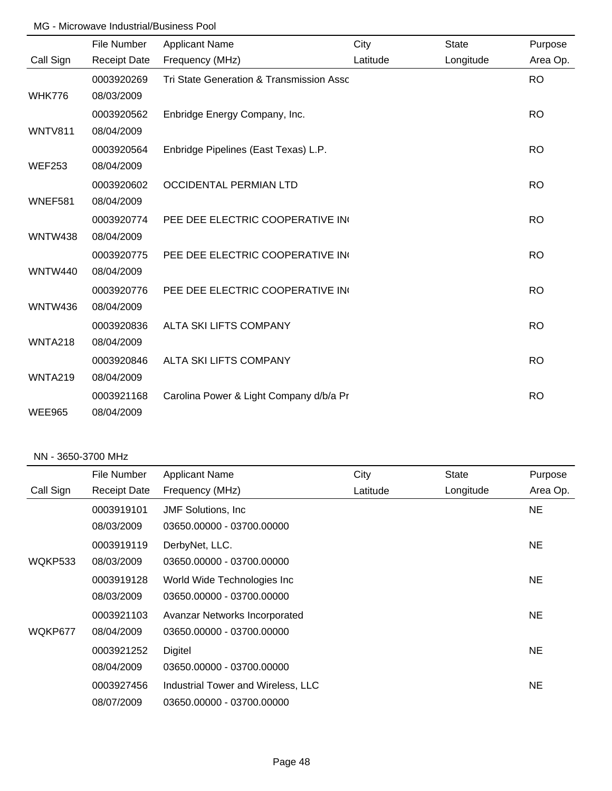|                | File Number         | <b>Applicant Name</b>                    | City     | <b>State</b> | Purpose   |
|----------------|---------------------|------------------------------------------|----------|--------------|-----------|
| Call Sign      | <b>Receipt Date</b> | Frequency (MHz)                          | Latitude | Longitude    | Area Op.  |
|                | 0003920269          | Tri State Generation & Transmission Assc |          |              | <b>RO</b> |
| <b>WHK776</b>  | 08/03/2009          |                                          |          |              |           |
|                | 0003920562          | Enbridge Energy Company, Inc.            |          |              | <b>RO</b> |
| <b>WNTV811</b> | 08/04/2009          |                                          |          |              |           |
|                | 0003920564          | Enbridge Pipelines (East Texas) L.P.     |          |              | <b>RO</b> |
| <b>WEF253</b>  | 08/04/2009          |                                          |          |              |           |
|                | 0003920602          | <b>OCCIDENTAL PERMIAN LTD</b>            |          |              | <b>RO</b> |
| WNEF581        | 08/04/2009          |                                          |          |              |           |
|                | 0003920774          | PEE DEE ELECTRIC COOPERATIVE IN          |          |              | <b>RO</b> |
| <b>WNTW438</b> | 08/04/2009          |                                          |          |              |           |
|                | 0003920775          | PEE DEE ELECTRIC COOPERATIVE IN          |          |              | <b>RO</b> |
| <b>WNTW440</b> | 08/04/2009          |                                          |          |              |           |
|                | 0003920776          | PEE DEE ELECTRIC COOPERATIVE IN          |          |              | <b>RO</b> |
| <b>WNTW436</b> | 08/04/2009          |                                          |          |              |           |
|                | 0003920836          | ALTA SKI LIFTS COMPANY                   |          |              | <b>RO</b> |
| <b>WNTA218</b> | 08/04/2009          |                                          |          |              |           |
|                | 0003920846          | ALTA SKI LIFTS COMPANY                   |          |              | <b>RO</b> |
| <b>WNTA219</b> | 08/04/2009          |                                          |          |              |           |
|                | 0003921168          | Carolina Power & Light Company d/b/a Pr  |          |              | <b>RO</b> |
| <b>WEE965</b>  | 08/04/2009          |                                          |          |              |           |

#### NN - 3650-3700 MHz

|           | File Number         | <b>Applicant Name</b>              | City     | <b>State</b> | Purpose  |
|-----------|---------------------|------------------------------------|----------|--------------|----------|
| Call Sign | <b>Receipt Date</b> | Frequency (MHz)                    | Latitude | Longitude    | Area Op. |
|           | 0003919101          | <b>JMF</b> Solutions, Inc.         |          |              | NE.      |
|           | 08/03/2009          | 03650.00000 - 03700.00000          |          |              |          |
|           | 0003919119          | DerbyNet, LLC.                     |          |              | NE.      |
| WQKP533   | 08/03/2009          | 03650.00000 - 03700.00000          |          |              |          |
|           | 0003919128          | World Wide Technologies Inc        |          |              | NE.      |
|           | 08/03/2009          | 03650.00000 - 03700.00000          |          |              |          |
|           | 0003921103          | Avanzar Networks Incorporated      |          |              | NE.      |
| WQKP677   | 08/04/2009          | 03650.00000 - 03700.00000          |          |              |          |
|           | 0003921252          | Digitel                            |          |              | NE.      |
|           | 08/04/2009          | 03650.00000 - 03700.00000          |          |              |          |
|           | 0003927456          | Industrial Tower and Wireless, LLC |          |              | NE.      |
|           | 08/07/2009          | 03650.00000 - 03700.00000          |          |              |          |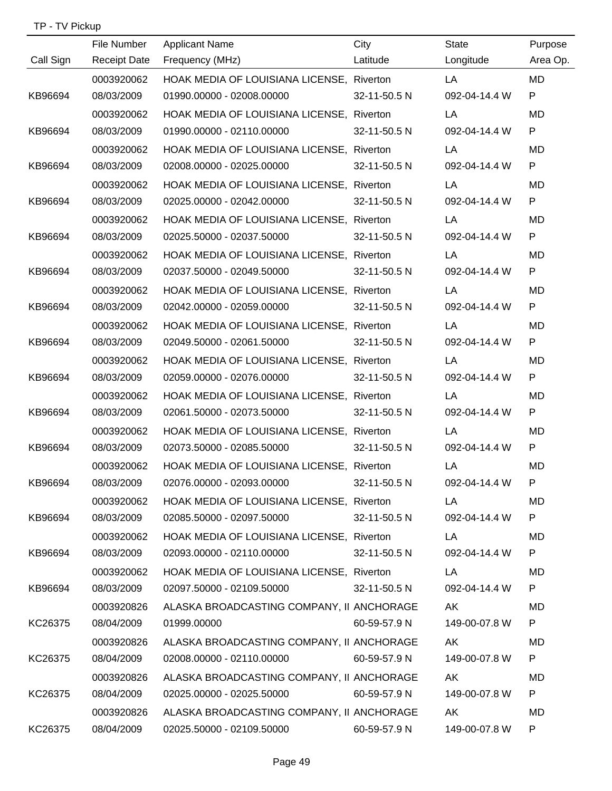|           | File Number         | <b>Applicant Name</b>                     | City         | <b>State</b>  | Purpose   |
|-----------|---------------------|-------------------------------------------|--------------|---------------|-----------|
| Call Sign | <b>Receipt Date</b> | Frequency (MHz)                           | Latitude     | Longitude     | Area Op.  |
|           | 0003920062          | HOAK MEDIA OF LOUISIANA LICENSE, Riverton |              | LA            | <b>MD</b> |
| KB96694   | 08/03/2009          | 01990.00000 - 02008.00000                 | 32-11-50.5 N | 092-04-14.4 W | P         |
|           | 0003920062          | HOAK MEDIA OF LOUISIANA LICENSE, Riverton |              | LA            | <b>MD</b> |
| KB96694   | 08/03/2009          | 01990.00000 - 02110.00000                 | 32-11-50.5 N | 092-04-14.4 W | P         |
|           | 0003920062          | HOAK MEDIA OF LOUISIANA LICENSE, Riverton |              | LA            | <b>MD</b> |
| KB96694   | 08/03/2009          | 02008.00000 - 02025.00000                 | 32-11-50.5 N | 092-04-14.4 W | P         |
|           | 0003920062          | HOAK MEDIA OF LOUISIANA LICENSE, Riverton |              | LA            | <b>MD</b> |
| KB96694   | 08/03/2009          | 02025.00000 - 02042.00000                 | 32-11-50.5 N | 092-04-14.4 W | P         |
|           | 0003920062          | HOAK MEDIA OF LOUISIANA LICENSE, Riverton |              | LA            | <b>MD</b> |
| KB96694   | 08/03/2009          | 02025.50000 - 02037.50000                 | 32-11-50.5 N | 092-04-14.4 W | P         |
|           | 0003920062          | HOAK MEDIA OF LOUISIANA LICENSE, Riverton |              | LA            | <b>MD</b> |
| KB96694   | 08/03/2009          | 02037.50000 - 02049.50000                 | 32-11-50.5 N | 092-04-14.4 W | P         |
|           | 0003920062          | HOAK MEDIA OF LOUISIANA LICENSE, Riverton |              | LA            | <b>MD</b> |
| KB96694   | 08/03/2009          | 02042.00000 - 02059.00000                 | 32-11-50.5 N | 092-04-14.4 W | P         |
|           | 0003920062          | HOAK MEDIA OF LOUISIANA LICENSE, Riverton |              | LA            | <b>MD</b> |
| KB96694   | 08/03/2009          | 02049.50000 - 02061.50000                 | 32-11-50.5 N | 092-04-14.4 W | P         |
|           | 0003920062          | HOAK MEDIA OF LOUISIANA LICENSE, Riverton |              | LA            | <b>MD</b> |
| KB96694   | 08/03/2009          | 02059.00000 - 02076.00000                 | 32-11-50.5 N | 092-04-14.4 W | P         |
|           | 0003920062          | HOAK MEDIA OF LOUISIANA LICENSE, Riverton |              | LA            | <b>MD</b> |
| KB96694   | 08/03/2009          | 02061.50000 - 02073.50000                 | 32-11-50.5 N | 092-04-14.4 W | P         |
|           | 0003920062          | HOAK MEDIA OF LOUISIANA LICENSE, Riverton |              | LA            | MD        |
| KB96694   | 08/03/2009          | 02073.50000 - 02085.50000                 | 32-11-50.5 N | 092-04-14.4 W | P         |
|           | 0003920062          | HOAK MEDIA OF LOUISIANA LICENSE, Riverton |              | LA            | MD        |
| KB96694   | 08/03/2009          | 02076.00000 - 02093.00000                 | 32-11-50.5 N | 092-04-14.4 W | P         |
|           | 0003920062          | HOAK MEDIA OF LOUISIANA LICENSE, Riverton |              | LA 1          | MD        |
| KB96694   | 08/03/2009          | 02085.50000 - 02097.50000                 | 32-11-50.5 N | 092-04-14.4 W | P         |
|           | 0003920062          | HOAK MEDIA OF LOUISIANA LICENSE, Riverton |              | LA            | MD.       |
| KB96694   | 08/03/2009          | 02093.00000 - 02110.00000                 | 32-11-50.5 N | 092-04-14.4 W | P         |
|           | 0003920062          | HOAK MEDIA OF LOUISIANA LICENSE, Riverton |              | LA            | MD        |
| KB96694   | 08/03/2009          | 02097.50000 - 02109.50000                 | 32-11-50.5 N | 092-04-14.4 W | P         |
|           | 0003920826          | ALASKA BROADCASTING COMPANY, II ANCHORAGE |              | AK            | MD        |
| KC26375   | 08/04/2009          | 01999.00000                               | 60-59-57.9 N | 149-00-07.8 W | P         |
|           | 0003920826          | ALASKA BROADCASTING COMPANY, II ANCHORAGE |              | AK            | MD        |
| KC26375   | 08/04/2009          | 02008.00000 - 02110.00000                 | 60-59-57.9 N | 149-00-07.8 W | P         |
|           | 0003920826          | ALASKA BROADCASTING COMPANY, II ANCHORAGE |              | AK            | MD        |
| KC26375   | 08/04/2009          | 02025.00000 - 02025.50000                 | 60-59-57.9 N | 149-00-07.8 W | P         |
|           | 0003920826          | ALASKA BROADCASTING COMPANY, II ANCHORAGE |              | AK            | MD        |
| KC26375   | 08/04/2009          | 02025.50000 - 02109.50000 60-59-57.9 N    |              | 149-00-07.8 W | P         |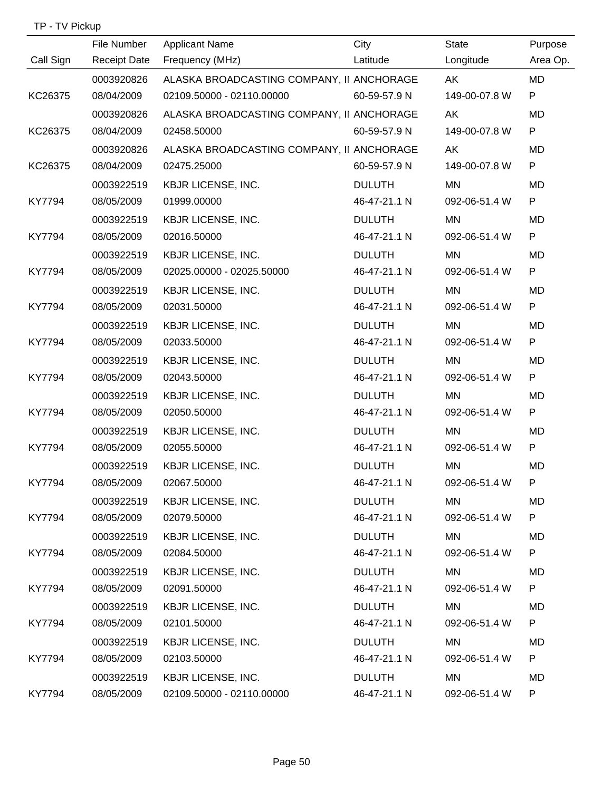| TP - TV Pickup |  |
|----------------|--|
|----------------|--|

|           | File Number         | <b>Applicant Name</b>                     | City          | <b>State</b>  | Purpose   |
|-----------|---------------------|-------------------------------------------|---------------|---------------|-----------|
| Call Sign | <b>Receipt Date</b> | Frequency (MHz)                           | Latitude      | Longitude     | Area Op.  |
|           | 0003920826          | ALASKA BROADCASTING COMPANY, II ANCHORAGE |               | AK            | <b>MD</b> |
| KC26375   | 08/04/2009          | 02109.50000 - 02110.00000                 | 60-59-57.9 N  | 149-00-07.8 W | P.        |
|           | 0003920826          | ALASKA BROADCASTING COMPANY, II ANCHORAGE |               | AK            | <b>MD</b> |
| KC26375   | 08/04/2009          | 02458.50000                               | 60-59-57.9 N  | 149-00-07.8 W | P         |
|           | 0003920826          | ALASKA BROADCASTING COMPANY, II ANCHORAGE |               | AK            | MD        |
| KC26375   | 08/04/2009          | 02475.25000                               | 60-59-57.9 N  | 149-00-07.8 W | P         |
|           | 0003922519          | <b>KBJR LICENSE, INC.</b>                 | <b>DULUTH</b> | MN            | MD        |
| KY7794    | 08/05/2009          | 01999.00000                               | 46-47-21.1 N  | 092-06-51.4 W | P         |
|           | 0003922519          | <b>KBJR LICENSE, INC.</b>                 | <b>DULUTH</b> | MN            | MD        |
| KY7794    | 08/05/2009          | 02016.50000                               | 46-47-21.1 N  | 092-06-51.4 W | P         |
|           | 0003922519          | <b>KBJR LICENSE, INC.</b>                 | <b>DULUTH</b> | MN            | <b>MD</b> |
| KY7794    | 08/05/2009          | 02025.00000 - 02025.50000                 | 46-47-21.1 N  | 092-06-51.4 W | P         |
|           | 0003922519          | <b>KBJR LICENSE, INC.</b>                 | <b>DULUTH</b> | MN            | MD        |
| KY7794    | 08/05/2009          | 02031.50000                               | 46-47-21.1 N  | 092-06-51.4 W | P         |
|           | 0003922519          | <b>KBJR LICENSE, INC.</b>                 | <b>DULUTH</b> | MN            | MD        |
| KY7794    | 08/05/2009          | 02033.50000                               | 46-47-21.1 N  | 092-06-51.4 W | P         |
|           | 0003922519          | <b>KBJR LICENSE, INC.</b>                 | <b>DULUTH</b> | MN            | <b>MD</b> |
| KY7794    | 08/05/2009          | 02043.50000                               | 46-47-21.1 N  | 092-06-51.4 W | P         |
|           | 0003922519          | <b>KBJR LICENSE, INC.</b>                 | <b>DULUTH</b> | <b>MN</b>     | <b>MD</b> |
| KY7794    | 08/05/2009          | 02050.50000                               | 46-47-21.1 N  | 092-06-51.4 W | P         |
|           | 0003922519          | <b>KBJR LICENSE, INC.</b>                 | <b>DULUTH</b> | MN            | MD        |
| KY7794    | 08/05/2009          | 02055.50000                               | 46-47-21.1 N  | 092-06-51.4 W | P         |
|           | 0003922519          | <b>KBJR LICENSE, INC.</b>                 | <b>DULUTH</b> | MN            | MD        |
| KY7794    | 08/05/2009          | 02067.50000                               | 46-47-21.1 N  | 092-06-51.4 W | P         |
|           | 0003922519          | <b>KBJR LICENSE, INC.</b>                 | <b>DULUTH</b> | MN            | MD        |
| KY7794    | 08/05/2009          | 02079.50000                               | 46-47-21.1 N  | 092-06-51.4 W | P         |
|           | 0003922519          | <b>KBJR LICENSE, INC.</b>                 | <b>DULUTH</b> | MN            | MD        |
| KY7794    | 08/05/2009          | 02084.50000                               | 46-47-21.1 N  | 092-06-51.4 W | P         |
|           | 0003922519          | <b>KBJR LICENSE, INC.</b>                 | <b>DULUTH</b> | MN            | MD        |
| KY7794    | 08/05/2009          | 02091.50000                               | 46-47-21.1 N  | 092-06-51.4 W | P.        |
|           | 0003922519          | <b>KBJR LICENSE, INC.</b>                 | <b>DULUTH</b> | MN            | MD        |
| KY7794    | 08/05/2009          | 02101.50000                               | 46-47-21.1 N  | 092-06-51.4 W | P.        |
|           | 0003922519          | <b>KBJR LICENSE, INC.</b>                 | <b>DULUTH</b> | MN            | MD        |
| KY7794    | 08/05/2009          | 02103.50000                               | 46-47-21.1 N  | 092-06-51.4 W | P         |
|           | 0003922519          | <b>KBJR LICENSE, INC.</b>                 | <b>DULUTH</b> | <b>MN</b>     | MD        |
| KY7794    | 08/05/2009          | 02109.50000 - 02110.00000                 | 46-47-21.1 N  | 092-06-51.4 W | P         |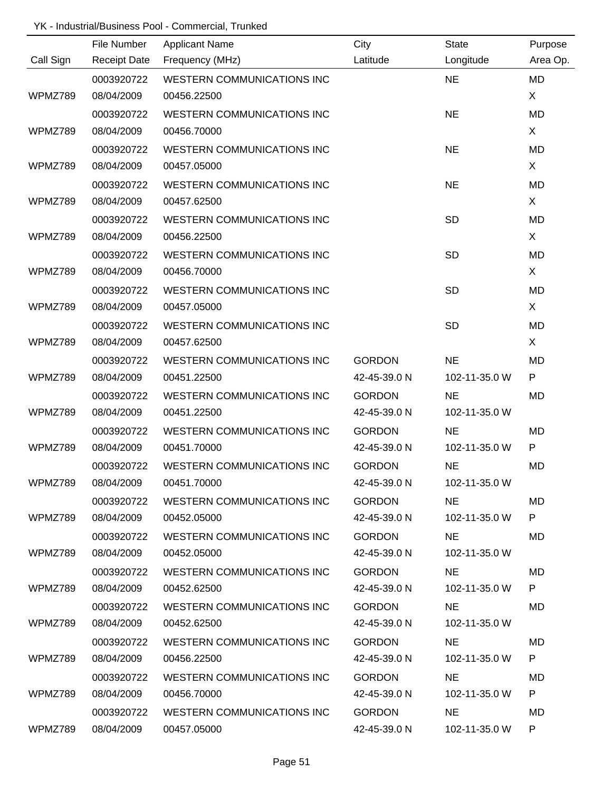|           | File Number         | <b>Applicant Name</b>             | City          | <b>State</b>  | Purpose   |
|-----------|---------------------|-----------------------------------|---------------|---------------|-----------|
| Call Sign | <b>Receipt Date</b> | Frequency (MHz)                   | Latitude      | Longitude     | Area Op.  |
|           | 0003920722          | <b>WESTERN COMMUNICATIONS INC</b> |               | <b>NE</b>     | <b>MD</b> |
| WPMZ789   | 08/04/2009          | 00456.22500                       |               |               | X         |
|           | 0003920722          | <b>WESTERN COMMUNICATIONS INC</b> |               | <b>NE</b>     | <b>MD</b> |
| WPMZ789   | 08/04/2009          | 00456.70000                       |               |               | X         |
|           | 0003920722          | <b>WESTERN COMMUNICATIONS INC</b> |               | <b>NE</b>     | MD        |
| WPMZ789   | 08/04/2009          | 00457.05000                       |               |               | X         |
|           | 0003920722          | <b>WESTERN COMMUNICATIONS INC</b> |               | <b>NE</b>     | MD        |
| WPMZ789   | 08/04/2009          | 00457.62500                       |               |               | X         |
|           | 0003920722          | <b>WESTERN COMMUNICATIONS INC</b> |               | <b>SD</b>     | MD        |
| WPMZ789   | 08/04/2009          | 00456.22500                       |               |               | X         |
|           | 0003920722          | <b>WESTERN COMMUNICATIONS INC</b> |               | <b>SD</b>     | MD        |
| WPMZ789   | 08/04/2009          | 00456.70000                       |               |               | X         |
|           | 0003920722          | WESTERN COMMUNICATIONS INC        |               | <b>SD</b>     | MD        |
| WPMZ789   | 08/04/2009          | 00457.05000                       |               |               | X         |
|           | 0003920722          | WESTERN COMMUNICATIONS INC        |               | <b>SD</b>     | MD        |
| WPMZ789   | 08/04/2009          | 00457.62500                       |               |               | X         |
|           | 0003920722          | WESTERN COMMUNICATIONS INC        | <b>GORDON</b> | <b>NE</b>     | MD        |
| WPMZ789   | 08/04/2009          | 00451.22500                       | 42-45-39.0 N  | 102-11-35.0 W | P         |
|           | 0003920722          | WESTERN COMMUNICATIONS INC        | <b>GORDON</b> | <b>NE</b>     | MD        |
| WPMZ789   | 08/04/2009          | 00451.22500                       | 42-45-39.0 N  | 102-11-35.0 W |           |
|           | 0003920722          | <b>WESTERN COMMUNICATIONS INC</b> | <b>GORDON</b> | <b>NE</b>     | <b>MD</b> |
| WPMZ789   | 08/04/2009          | 00451.70000                       | 42-45-39.0 N  | 102-11-35.0 W | P         |
|           | 0003920722          | <b>WESTERN COMMUNICATIONS INC</b> | <b>GORDON</b> | <b>NE</b>     | MD        |
| WPMZ789   | 08/04/2009          | 00451.70000                       | 42-45-39.0 N  | 102-11-35.0 W |           |
|           | 0003920722          | WESTERN COMMUNICATIONS INC        | <b>GORDON</b> | <b>NE</b>     | MD        |
| WPMZ789   | 08/04/2009          | 00452.05000                       | 42-45-39.0 N  | 102-11-35.0 W | P.        |
|           | 0003920722          | WESTERN COMMUNICATIONS INC        | <b>GORDON</b> | NE.           | MD        |
| WPMZ789   | 08/04/2009          | 00452.05000                       | 42-45-39.0 N  | 102-11-35.0 W |           |
|           | 0003920722          | WESTERN COMMUNICATIONS INC        | <b>GORDON</b> | NE.           | MD        |
| WPMZ789   | 08/04/2009          | 00452.62500                       | 42-45-39.0 N  | 102-11-35.0 W | P         |
|           | 0003920722          | WESTERN COMMUNICATIONS INC        | <b>GORDON</b> | NE.           | MD        |
| WPMZ789   | 08/04/2009          | 00452.62500                       | 42-45-39.0 N  | 102-11-35.0 W |           |
|           | 0003920722          | WESTERN COMMUNICATIONS INC        | <b>GORDON</b> | <b>NE</b>     | MD        |
| WPMZ789   | 08/04/2009          | 00456.22500                       | 42-45-39.0 N  | 102-11-35.0 W | P         |
|           | 0003920722          | <b>WESTERN COMMUNICATIONS INC</b> | <b>GORDON</b> | <b>NE</b>     | MD        |
| WPMZ789   | 08/04/2009          | 00456.70000                       | 42-45-39.0 N  | 102-11-35.0 W | P         |
|           | 0003920722          | WESTERN COMMUNICATIONS INC        | <b>GORDON</b> | <b>NE</b>     | MD        |
| WPMZ789   | 08/04/2009          | 00457.05000                       | 42-45-39.0 N  | 102-11-35.0 W | P         |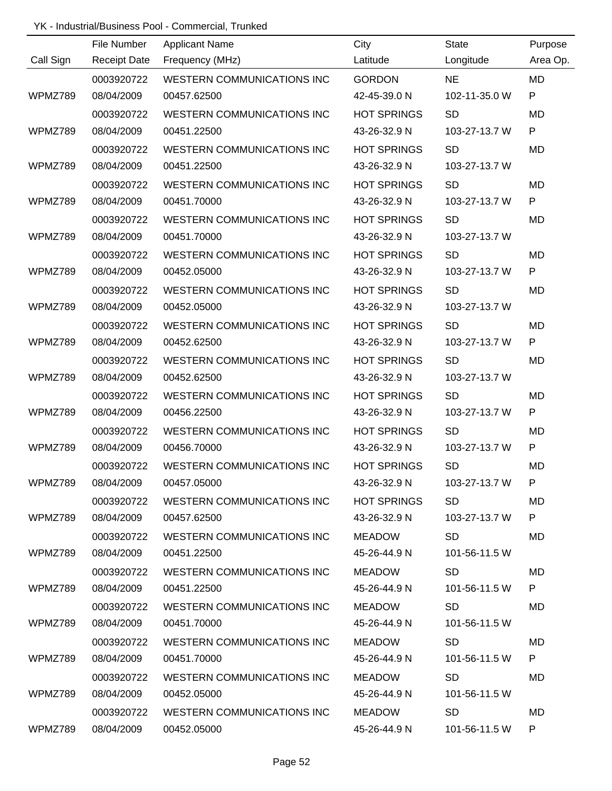|           | File Number         | <b>Applicant Name</b>             | City               | <b>State</b>  | Purpose   |
|-----------|---------------------|-----------------------------------|--------------------|---------------|-----------|
| Call Sign | <b>Receipt Date</b> | Frequency (MHz)                   | Latitude           | Longitude     | Area Op.  |
|           | 0003920722          | <b>WESTERN COMMUNICATIONS INC</b> | <b>GORDON</b>      | <b>NE</b>     | <b>MD</b> |
| WPMZ789   | 08/04/2009          | 00457.62500                       | 42-45-39.0 N       | 102-11-35.0 W | P         |
|           | 0003920722          | <b>WESTERN COMMUNICATIONS INC</b> | <b>HOT SPRINGS</b> | <b>SD</b>     | <b>MD</b> |
| WPMZ789   | 08/04/2009          | 00451.22500                       | 43-26-32.9 N       | 103-27-13.7 W | ${\sf P}$ |
|           | 0003920722          | <b>WESTERN COMMUNICATIONS INC</b> | <b>HOT SPRINGS</b> | <b>SD</b>     | <b>MD</b> |
| WPMZ789   | 08/04/2009          | 00451.22500                       | 43-26-32.9 N       | 103-27-13.7 W |           |
|           | 0003920722          | <b>WESTERN COMMUNICATIONS INC</b> | <b>HOT SPRINGS</b> | <b>SD</b>     | MD        |
| WPMZ789   | 08/04/2009          | 00451.70000                       | 43-26-32.9 N       | 103-27-13.7 W | P         |
|           | 0003920722          | <b>WESTERN COMMUNICATIONS INC</b> | <b>HOT SPRINGS</b> | <b>SD</b>     | MD        |
| WPMZ789   | 08/04/2009          | 00451.70000                       | 43-26-32.9 N       | 103-27-13.7 W |           |
|           | 0003920722          | <b>WESTERN COMMUNICATIONS INC</b> | <b>HOT SPRINGS</b> | <b>SD</b>     | <b>MD</b> |
| WPMZ789   | 08/04/2009          | 00452.05000                       | 43-26-32.9 N       | 103-27-13.7 W | ${\sf P}$ |
|           | 0003920722          | <b>WESTERN COMMUNICATIONS INC</b> | <b>HOT SPRINGS</b> | <b>SD</b>     | MD        |
| WPMZ789   | 08/04/2009          | 00452.05000                       | 43-26-32.9 N       | 103-27-13.7 W |           |
|           | 0003920722          | WESTERN COMMUNICATIONS INC        | <b>HOT SPRINGS</b> | <b>SD</b>     | MD        |
| WPMZ789   | 08/04/2009          | 00452.62500                       | 43-26-32.9 N       | 103-27-13.7 W | P         |
|           | 0003920722          | WESTERN COMMUNICATIONS INC        | <b>HOT SPRINGS</b> | <b>SD</b>     | <b>MD</b> |
| WPMZ789   | 08/04/2009          | 00452.62500                       | 43-26-32.9 N       | 103-27-13.7 W |           |
|           | 0003920722          | WESTERN COMMUNICATIONS INC        | <b>HOT SPRINGS</b> | <b>SD</b>     | MD        |
| WPMZ789   | 08/04/2009          | 00456.22500                       | 43-26-32.9 N       | 103-27-13.7 W | P         |
|           | 0003920722          | <b>WESTERN COMMUNICATIONS INC</b> | <b>HOT SPRINGS</b> | <b>SD</b>     | <b>MD</b> |
| WPMZ789   | 08/04/2009          | 00456.70000                       | 43-26-32.9 N       | 103-27-13.7 W | P         |
|           | 0003920722          | <b>WESTERN COMMUNICATIONS INC</b> | <b>HOT SPRINGS</b> | <b>SD</b>     | MD        |
| WPMZ789   | 08/04/2009          | 00457.05000                       | 43-26-32.9 N       | 103-27-13.7 W |           |
|           | 0003920722          | WESTERN COMMUNICATIONS INC        | <b>HOT SPRINGS</b> | <b>SD</b>     | MD        |
| WPMZ789   | 08/04/2009          | 00457.62500                       | 43-26-32.9 N       | 103-27-13.7 W | P         |
|           | 0003920722          | WESTERN COMMUNICATIONS INC        | MEADOW             | SD.           | MD        |
| WPMZ789   | 08/04/2009          | 00451.22500                       | 45-26-44.9 N       | 101-56-11.5 W |           |
|           | 0003920722          | WESTERN COMMUNICATIONS INC        | MEADOW             | <b>SD</b>     | <b>MD</b> |
| WPMZ789   | 08/04/2009          | 00451.22500                       | 45-26-44.9 N       | 101-56-11.5 W | P.        |
|           | 0003920722          | WESTERN COMMUNICATIONS INC        | MEADOW             | <b>SD</b>     | MD        |
| WPMZ789   | 08/04/2009          | 00451.70000                       | 45-26-44.9 N       | 101-56-11.5 W |           |
|           | 0003920722          | WESTERN COMMUNICATIONS INC        | MEADOW             | <b>SD</b>     | MD        |
| WPMZ789   | 08/04/2009          | 00451.70000                       | 45-26-44.9 N       | 101-56-11.5 W | P.        |
|           | 0003920722          | WESTERN COMMUNICATIONS INC        | MEADOW             | <b>SD</b>     | MD        |
| WPMZ789   | 08/04/2009          | 00452.05000                       | 45-26-44.9 N       | 101-56-11.5 W |           |
|           | 0003920722          | WESTERN COMMUNICATIONS INC        | MEADOW             | <b>SD</b>     | MD        |
| WPMZ789   | 08/04/2009          | 00452.05000                       | 45-26-44.9 N       | 101-56-11.5 W | P         |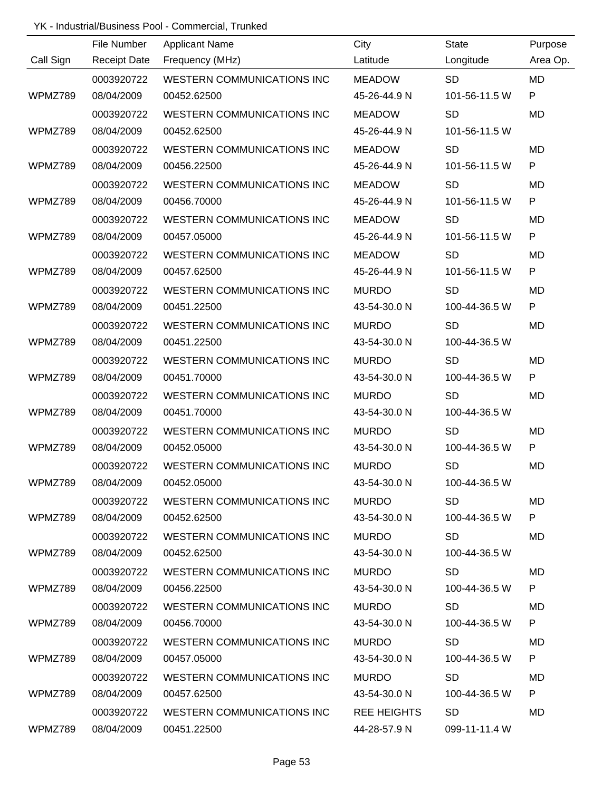|           | File Number         | <b>Applicant Name</b>             | City               | <b>State</b>  | Purpose   |
|-----------|---------------------|-----------------------------------|--------------------|---------------|-----------|
| Call Sign | <b>Receipt Date</b> | Frequency (MHz)                   | Latitude           | Longitude     | Area Op.  |
|           | 0003920722          | <b>WESTERN COMMUNICATIONS INC</b> | <b>MEADOW</b>      | <b>SD</b>     | <b>MD</b> |
| WPMZ789   | 08/04/2009          | 00452.62500                       | 45-26-44.9 N       | 101-56-11.5 W | P         |
|           | 0003920722          | <b>WESTERN COMMUNICATIONS INC</b> | <b>MEADOW</b>      | <b>SD</b>     | <b>MD</b> |
| WPMZ789   | 08/04/2009          | 00452.62500                       | 45-26-44.9 N       | 101-56-11.5 W |           |
|           | 0003920722          | <b>WESTERN COMMUNICATIONS INC</b> | <b>MEADOW</b>      | <b>SD</b>     | <b>MD</b> |
| WPMZ789   | 08/04/2009          | 00456.22500                       | 45-26-44.9 N       | 101-56-11.5 W | P         |
|           | 0003920722          | <b>WESTERN COMMUNICATIONS INC</b> | <b>MEADOW</b>      | <b>SD</b>     | MD        |
| WPMZ789   | 08/04/2009          | 00456.70000                       | 45-26-44.9 N       | 101-56-11.5 W | P         |
|           | 0003920722          | <b>WESTERN COMMUNICATIONS INC</b> | <b>MEADOW</b>      | <b>SD</b>     | <b>MD</b> |
| WPMZ789   | 08/04/2009          | 00457.05000                       | 45-26-44.9 N       | 101-56-11.5 W | P         |
|           | 0003920722          | WESTERN COMMUNICATIONS INC        | <b>MEADOW</b>      | <b>SD</b>     | MD        |
| WPMZ789   | 08/04/2009          | 00457.62500                       | 45-26-44.9 N       | 101-56-11.5 W | ${\sf P}$ |
|           | 0003920722          | <b>WESTERN COMMUNICATIONS INC</b> | <b>MURDO</b>       | <b>SD</b>     | MD        |
| WPMZ789   | 08/04/2009          | 00451.22500                       | 43-54-30.0 N       | 100-44-36.5 W | P         |
|           | 0003920722          | WESTERN COMMUNICATIONS INC        | <b>MURDO</b>       | <b>SD</b>     | <b>MD</b> |
| WPMZ789   | 08/04/2009          | 00451.22500                       | 43-54-30.0 N       | 100-44-36.5 W |           |
|           | 0003920722          | <b>WESTERN COMMUNICATIONS INC</b> | <b>MURDO</b>       | <b>SD</b>     | <b>MD</b> |
| WPMZ789   | 08/04/2009          | 00451.70000                       | 43-54-30.0 N       | 100-44-36.5 W | P         |
|           | 0003920722          | WESTERN COMMUNICATIONS INC        | <b>MURDO</b>       | <b>SD</b>     | MD        |
| WPMZ789   | 08/04/2009          | 00451.70000                       | 43-54-30.0 N       | 100-44-36.5 W |           |
|           | 0003920722          | <b>WESTERN COMMUNICATIONS INC</b> | <b>MURDO</b>       | <b>SD</b>     | <b>MD</b> |
| WPMZ789   | 08/04/2009          | 00452.05000                       | 43-54-30.0 N       | 100-44-36.5 W | P         |
|           | 0003920722          | <b>WESTERN COMMUNICATIONS INC</b> | <b>MURDO</b>       | <b>SD</b>     | MD        |
| WPMZ789   | 08/04/2009          | 00452.05000                       | 43-54-30.0 N       | 100-44-36.5 W |           |
|           | 0003920722          | WESTERN COMMUNICATIONS INC        | <b>MURDO</b>       | <b>SD</b>     | MD        |
| WPMZ789   | 08/04/2009          | 00452.62500                       | 43-54-30.0 N       | 100-44-36.5 W | P.        |
|           | 0003920722          | WESTERN COMMUNICATIONS INC        | <b>MURDO</b>       | <b>SD</b>     | MD        |
| WPMZ789   | 08/04/2009          | 00452.62500                       | 43-54-30.0 N       | 100-44-36.5 W |           |
|           | 0003920722          | WESTERN COMMUNICATIONS INC        | <b>MURDO</b>       | <b>SD</b>     | MD        |
| WPMZ789   | 08/04/2009          | 00456.22500                       | 43-54-30.0 N       | 100-44-36.5 W | P         |
|           | 0003920722          | WESTERN COMMUNICATIONS INC        | MURDO              | <b>SD</b>     | MD        |
| WPMZ789   | 08/04/2009          | 00456.70000                       | 43-54-30.0 N       | 100-44-36.5 W | P         |
|           | 0003920722          | WESTERN COMMUNICATIONS INC        | MURDO              | <b>SD</b>     | MD        |
| WPMZ789   | 08/04/2009          | 00457.05000                       | 43-54-30.0 N       | 100-44-36.5 W | P         |
|           | 0003920722          | <b>WESTERN COMMUNICATIONS INC</b> | <b>MURDO</b>       | <b>SD</b>     | MD        |
| WPMZ789   | 08/04/2009          | 00457.62500                       | 43-54-30.0 N       | 100-44-36.5 W | P.        |
|           | 0003920722          | WESTERN COMMUNICATIONS INC        | <b>REE HEIGHTS</b> | <b>SD</b>     | MD        |
| WPMZ789   | 08/04/2009          | 00451.22500                       | 44-28-57.9 N       | 099-11-11.4 W |           |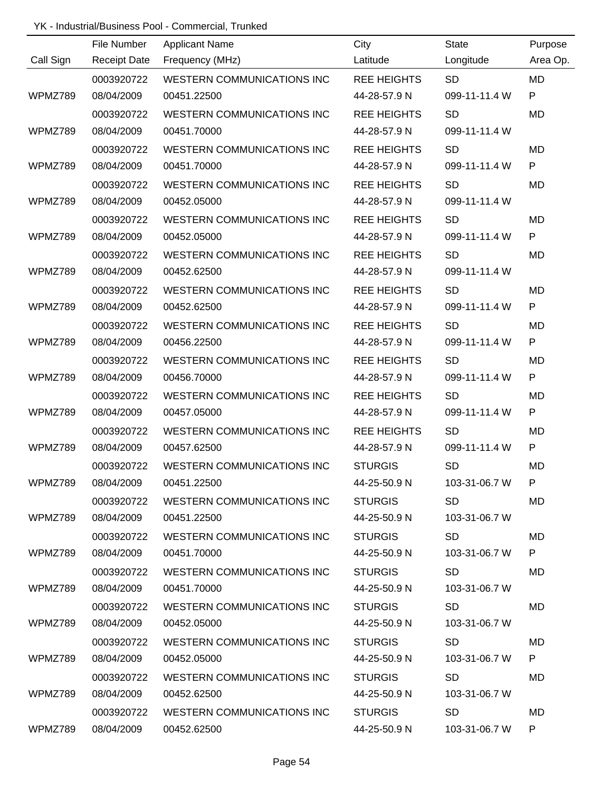|           | File Number         | <b>Applicant Name</b>      | City               | <b>State</b>  | Purpose      |
|-----------|---------------------|----------------------------|--------------------|---------------|--------------|
| Call Sign | <b>Receipt Date</b> | Frequency (MHz)            | Latitude           | Longitude     | Area Op.     |
|           | 0003920722          | WESTERN COMMUNICATIONS INC | <b>REE HEIGHTS</b> | <b>SD</b>     | MD           |
| WPMZ789   | 08/04/2009          | 00451.22500                | 44-28-57.9 N       | 099-11-11.4 W | P            |
|           | 0003920722          | WESTERN COMMUNICATIONS INC | <b>REE HEIGHTS</b> | <b>SD</b>     | MD           |
| WPMZ789   | 08/04/2009          | 00451.70000                | 44-28-57.9 N       | 099-11-11.4 W |              |
|           | 0003920722          | WESTERN COMMUNICATIONS INC | <b>REE HEIGHTS</b> | <b>SD</b>     | <b>MD</b>    |
| WPMZ789   | 08/04/2009          | 00451.70000                | 44-28-57.9 N       | 099-11-11.4 W | P            |
|           | 0003920722          | WESTERN COMMUNICATIONS INC | <b>REE HEIGHTS</b> | <b>SD</b>     | <b>MD</b>    |
| WPMZ789   | 08/04/2009          | 00452.05000                | 44-28-57.9 N       | 099-11-11.4 W |              |
|           | 0003920722          | WESTERN COMMUNICATIONS INC | <b>REE HEIGHTS</b> | <b>SD</b>     | <b>MD</b>    |
| WPMZ789   | 08/04/2009          | 00452.05000                | 44-28-57.9 N       | 099-11-11.4 W | P            |
|           | 0003920722          | WESTERN COMMUNICATIONS INC | <b>REE HEIGHTS</b> | <b>SD</b>     | MD           |
| WPMZ789   | 08/04/2009          | 00452.62500                | 44-28-57.9 N       | 099-11-11.4 W |              |
|           | 0003920722          | WESTERN COMMUNICATIONS INC | <b>REE HEIGHTS</b> | <b>SD</b>     | <b>MD</b>    |
| WPMZ789   | 08/04/2009          | 00452.62500                | 44-28-57.9 N       | 099-11-11.4 W | $\mathsf{P}$ |
|           | 0003920722          | WESTERN COMMUNICATIONS INC | <b>REE HEIGHTS</b> | <b>SD</b>     | <b>MD</b>    |
| WPMZ789   | 08/04/2009          | 00456.22500                | 44-28-57.9 N       | 099-11-11.4 W | P            |
|           | 0003920722          | WESTERN COMMUNICATIONS INC | <b>REE HEIGHTS</b> | <b>SD</b>     | <b>MD</b>    |
| WPMZ789   | 08/04/2009          | 00456.70000                | 44-28-57.9 N       | 099-11-11.4 W | P            |
|           | 0003920722          | WESTERN COMMUNICATIONS INC | <b>REE HEIGHTS</b> | <b>SD</b>     | MD           |
| WPMZ789   | 08/04/2009          | 00457.05000                | 44-28-57.9 N       | 099-11-11.4 W | P            |
|           | 0003920722          | WESTERN COMMUNICATIONS INC | <b>REE HEIGHTS</b> | <b>SD</b>     | <b>MD</b>    |
| WPMZ789   | 08/04/2009          | 00457.62500                | 44-28-57.9 N       | 099-11-11.4 W | P            |
|           | 0003920722          | WESTERN COMMUNICATIONS INC | <b>STURGIS</b>     | <b>SD</b>     | MD           |
| WPMZ789   | 08/04/2009          | 00451.22500                | 44-25-50.9 N       | 103-31-06.7 W | P            |
|           | 0003920722          | WESTERN COMMUNICATIONS INC | <b>STURGIS</b>     | <b>SD</b>     | MD           |
| WPMZ789   | 08/04/2009          | 00451.22500                | 44-25-50.9 N       | 103-31-06.7 W |              |
|           | 0003920722          | WESTERN COMMUNICATIONS INC | <b>STURGIS</b>     | <b>SD</b>     | MD           |
| WPMZ789   | 08/04/2009          | 00451.70000                | 44-25-50.9 N       | 103-31-06.7 W | P            |
|           | 0003920722          | WESTERN COMMUNICATIONS INC | <b>STURGIS</b>     | <b>SD</b>     | MD           |
| WPMZ789   | 08/04/2009          | 00451.70000                | 44-25-50.9 N       | 103-31-06.7 W |              |
|           | 0003920722          | WESTERN COMMUNICATIONS INC | <b>STURGIS</b>     | <b>SD</b>     | MD           |
| WPMZ789   | 08/04/2009          | 00452.05000                | 44-25-50.9 N       | 103-31-06.7 W |              |
|           | 0003920722          | WESTERN COMMUNICATIONS INC | <b>STURGIS</b>     | <b>SD</b>     | MD           |
| WPMZ789   | 08/04/2009          | 00452.05000                | 44-25-50.9 N       | 103-31-06.7 W | P            |
|           | 0003920722          | WESTERN COMMUNICATIONS INC | <b>STURGIS</b>     | <b>SD</b>     | MD           |
| WPMZ789   | 08/04/2009          | 00452.62500                | 44-25-50.9 N       | 103-31-06.7 W |              |
|           | 0003920722          | WESTERN COMMUNICATIONS INC | <b>STURGIS</b>     | <b>SD</b>     | MD           |
| WPMZ789   | 08/04/2009          | 00452.62500                | 44-25-50.9 N       | 103-31-06.7 W | P.           |